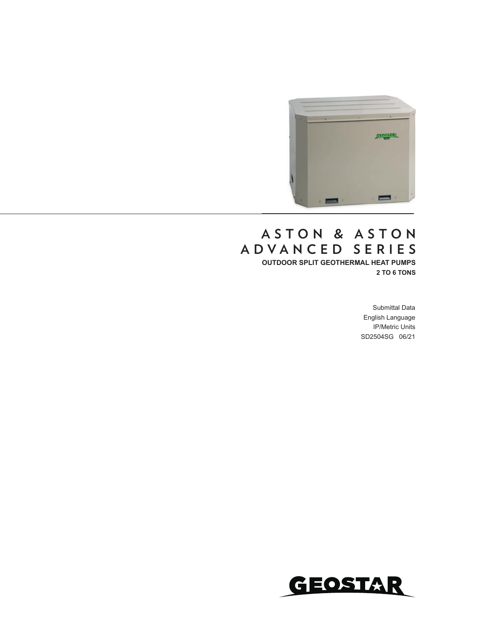

### **OUTDOOR SPLIT GEOTHERMAL HEAT PUMPS 2 TO 6 TONS A S T O N & A S T O N ADVANCED SERIES**

Submittal Data English Language IP/Metric Units SD2504SG 06/21

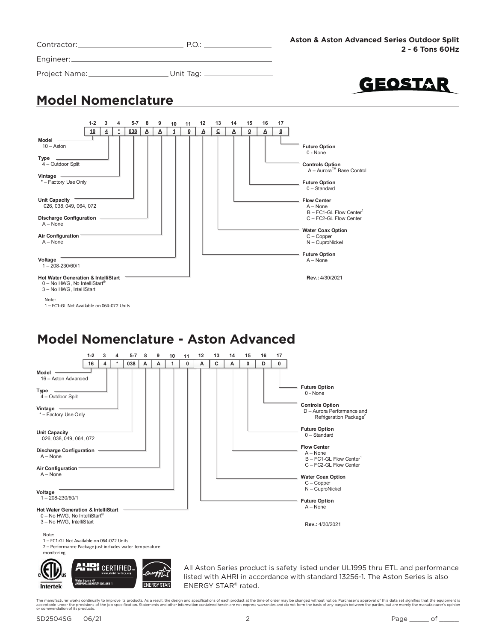| Contractor: |  |
|-------------|--|
|-------------|--|

Engineer:

Project Name: Unit Tag: \_



### **Model Nomenclature**



### **Model Nomenclature - Aston Advanced**

**ENERGY STAR** 



ENERGY STAR® rated.

The manufacturer works continually to improve its products. As a result, the design and specifications of each product at the time of order may be changed without notice. Purchaser's approval of this data set signifies tha

Intertek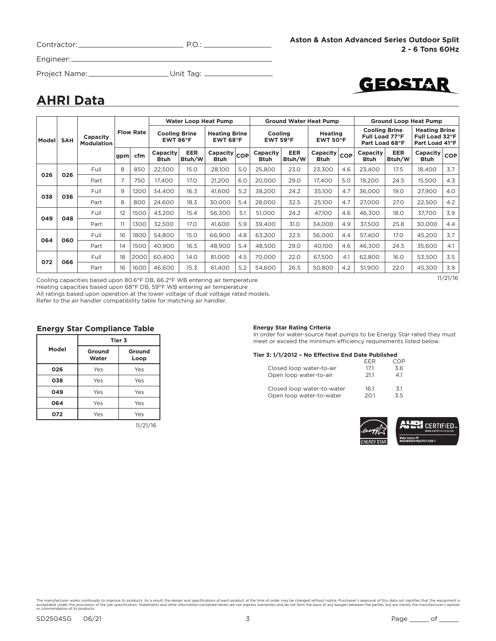| Contractor: |  |
|-------------|--|
|             |  |

Engineer:

Project Name: Unit Tag:

# GEOSTAR

### **AHRI Data**

|        |            |                                                   |     |                                            |                         |                                            | <b>Water Loop Heat Pump</b> |                               |                  |                                      | <b>Ground Water Heat Pump</b>                                                                  |                                                          |                  |                                                          | <b>Ground Loop Heat Pump</b> |            |
|--------|------------|---------------------------------------------------|-----|--------------------------------------------|-------------------------|--------------------------------------------|-----------------------------|-------------------------------|------------------|--------------------------------------|------------------------------------------------------------------------------------------------|----------------------------------------------------------|------------------|----------------------------------------------------------|------------------------------|------------|
| Modell | <b>SAH</b> | <b>Flow Rate</b><br>Capacity<br><b>Modulation</b> |     | <b>Cooling Brine</b><br>EWT 86 $\degree$ F |                         | <b>Heating Brine</b><br>EWT 68 $\degree$ F |                             | Cooling<br>EWT 59 $\degree$ F |                  | <b>Heating</b><br>EWT 50 $\degree$ F |                                                                                                | <b>Cooling Brine</b><br>Full Load 77°F<br>Part Load 68°F |                  | <b>Heating Brine</b><br>Full Load 32°F<br>Part Load 41°F |                              |            |
|        |            |                                                   | gpm | cfm                                        | Capacity<br><b>Btuh</b> | EER<br>Btuh/W                              | Capacity COP<br>Btuh        |                               | Capacity<br>Btuh | <b>EER</b><br>Btuh/W                 | $\begin{array}{ c c c }\n \hline\n \text{Capacity} & \text{cop} \n \end{array}$<br><b>Btuh</b> |                                                          | Capacity<br>Btuh | <b>EER</b><br>Btuh/W                                     | Capacity<br><b>Btuh</b>      | <b>COP</b> |
| 026    | 026        | Full                                              | 8   | 850                                        | 22,500                  | 15.0                                       | 28,100                      | 5.0                           | 25,800           | 23.0                                 | 23,300                                                                                         | 4.6                                                      | 23,400           | 17.5                                                     | 18,400                       | 3.7        |
|        |            | Part                                              | 7   | 750                                        | 17.400                  | 17.0                                       | 21,200                      | 6.0                           | 20,000           | 29.0                                 | 17,400                                                                                         | 5.0                                                      | 19,200           | 24.5                                                     | 15,500                       | 4.3        |
| 038    | 036        | Full                                              | 9   | 1200                                       | 34,400                  | 16.3                                       | 41,600                      | 5.2                           | 38,200           | 24.2                                 | 35,100                                                                                         | 4.7                                                      | 36,000           | 19.0                                                     | 27,900                       | 4.0        |
|        |            | Part                                              | 8   | 800                                        | 24,600                  | 18.3                                       | 30,000                      | 5.4                           | 28,000           | 32.5                                 | 25,100                                                                                         | 4.7                                                      | 27,000           | 27.0                                                     | 22,500                       | 4.2        |
| 049    | 048        | Full                                              | 12  | 1500                                       | 43,200                  | 15.4                                       | 56,300                      | 5.1                           | 51,000           | 24.2                                 | 47,100                                                                                         | 4.6                                                      | 46,300           | 18.0                                                     | 37,700                       | 3.9        |
|        |            | Part                                              | 11  | 1300                                       | 32,500                  | 17.0                                       | 41.600                      | 5.9                           | 39,400           | 31.0                                 | 34.000                                                                                         | 4.9                                                      | 37,500           | 25.8                                                     | 30.000                       | 4.4        |
| 064    | 060        | Full                                              | 16  | 1800                                       | 54.800                  | 15.0                                       | 66,900                      | 4.8                           | 63,200           | 22.5                                 | 56.000                                                                                         | 4.4                                                      | 57.400           | 17.0                                                     | 45,200                       | 3.7        |
|        |            | Part                                              | 14  | 1500                                       | 40,900                  | 16.5                                       | 48,900                      | 5.4                           | 48,500           | 29.0                                 | 40,100                                                                                         | 4.6                                                      | 46,300           | 24.5                                                     | 35,600                       | 4.1        |
| 072    | 066        | Full                                              | 18  | 2000                                       | 60,400                  | 14.0                                       | 81,000                      | 4.5                           | 70,000           | 22.0                                 | 67,500                                                                                         | 4.1                                                      | 62,800           | 16.0                                                     | 53,500                       | 3.5        |
|        |            | Part                                              | 16  | 1600                                       | 46,600                  | 15.3                                       | 61,400                      | 5.2                           | 54,600           | 26.5                                 | 50,800                                                                                         | 4.2                                                      | 51,900           | 22.0                                                     | 45,300                       | 3.9        |

Cooling capacities based upon 80.6°F DB, 66.2°F WB entering air temperature

11/21/16

Heating capacities based upon 68°F DB, 59°F WB entering air temperature

All ratings based upon operation at the lower voltage of dual voltage rated models.

Refer to the air handler compatibility table for matching air handler.

#### **Energy Star Compliance Table**

|       | Tier 3          |                |  |  |  |  |
|-------|-----------------|----------------|--|--|--|--|
| Model | Ground<br>Water | Ground<br>Loop |  |  |  |  |
| 026   | Yes             | Yes            |  |  |  |  |
| 038   | Yes             | Yes            |  |  |  |  |
| 049   | Yes             | Yes            |  |  |  |  |
| 064   | Yes             | Yes            |  |  |  |  |
| 072   | Yes             | Yes            |  |  |  |  |
|       |                 | $-1$ $-1$ $-1$ |  |  |  |  |

11/21/16

#### **Energy Star Rating Criteria**

In order for water-source heat pumps to be Energy Star rated they must meet or exceed the minimum efficiency requirements listed below.

#### **Tier 3: 1/1/2012 – No Effective End Date Published**

|                            | FFR  | MNP |
|----------------------------|------|-----|
| Closed loop water-to-air   | 171  | 3.6 |
| Open loop water-to-air     | 211  | 41  |
| Closed loop water-to-water | 16.1 | 3.1 |
| Open loop water-to-water   | 201  | 35  |

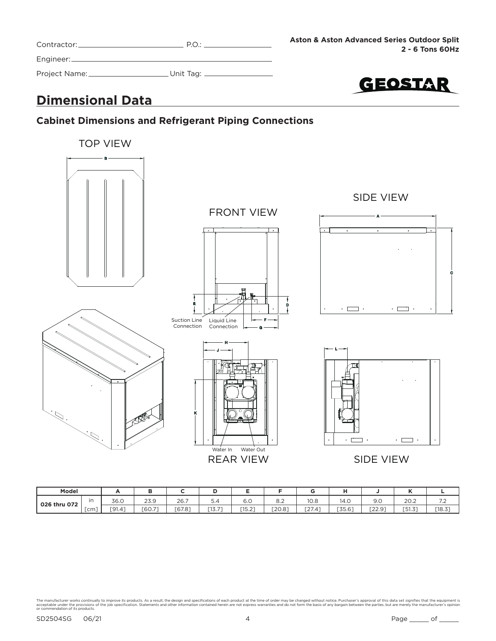| Contractor:   | PO:          |
|---------------|--------------|
| Engineer:     |              |
| Project Name: | _Unit Tag: . |



### **Dimensional Data**

### **Cabinet Dimensions and Refrigerant Piping Connections**



| Model        |    |        |        |        |                   |                      |        |                   |                    |                                   |        |                                           |
|--------------|----|--------|--------|--------|-------------------|----------------------|--------|-------------------|--------------------|-----------------------------------|--------|-------------------------------------------|
| 026 thru 072 | in | 36.0   | 23.9   | 26.7   | 0.4               | $\sim$ $\sim$<br>b.U | o.z    | 10.8              | 14.C               | 9.0                               | 20.2   | $\sim$ $\sim$<br>$\overline{\phantom{a}}$ |
|              | cm | [91.4] | [60.7] | [67.8] | $-1 - -1$<br>، ۱۵ | [15.2]               | [20.8] | $\sim$<br>, 27.4' | --- --<br>, 35.6 ! | $\sqrt{2}$<br>$\sim$<br>ഄ<br>22.9 | [51.3] | $[18.3]$                                  |

The manufacturer works continually to improve its products. As a result, the design and specifications of each product at the time of order may be changed without notice. Purchaser's approval of this data set signifies tha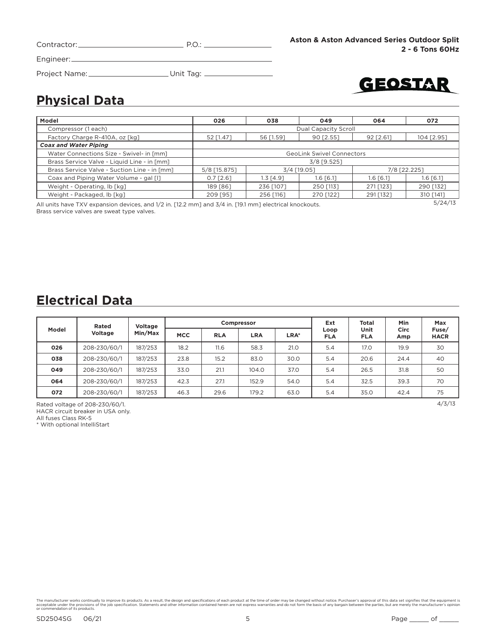| Contractor: | $P \cap \cdot$ |
|-------------|----------------|
| Engineer:   |                |

 $\overline{\phantom{a}}$ 

Project Name: \_\_\_\_\_\_\_\_\_\_\_\_\_\_\_\_\_\_\_\_\_\_\_\_\_\_Unit Tag: \_\_\_\_\_\_\_\_\_\_\_\_\_\_\_\_\_\_\_\_\_\_\_\_\_\_\_\_\_\_



### **Physical Data**

| Model                                                                                                          | 026          | 038         | 049                              | 064         | 072          |  |  |
|----------------------------------------------------------------------------------------------------------------|--------------|-------------|----------------------------------|-------------|--------------|--|--|
| Compressor (1 each)                                                                                            |              |             | Dual Capacity Scroll             |             |              |  |  |
| Factory Charge R-410A, oz [kg]                                                                                 | 52 [1.47]    | 56 [1.59]   | 90 [2.55]                        | 92 [2.61]   | 104 [2.95]   |  |  |
| <b>Coax and Water Piping</b>                                                                                   |              |             |                                  |             |              |  |  |
| Water Connections Size - Swivel- in [mm]                                                                       |              |             | <b>GeoLink Swivel Connectors</b> |             |              |  |  |
| Brass Service Valve - Liquid Line - in [mm]                                                                    |              | 3/8 [9.525] |                                  |             |              |  |  |
| Brass Service Valve - Suction Line - in [mm]                                                                   | 5/8 [15.875] |             | 3/4 [19.05]                      |             | 7/8 [22.225] |  |  |
| Coax and Piping Water Volume - gal [1]                                                                         | $0.7$ [2.6]  | $1.3$ [4.9] | $1.6$ $[6.1]$                    | $1.6$ [6.1] | $1.6$ [6.1]  |  |  |
| Weight - Operating, lb [kg]                                                                                    | 189 [86]     | 236 [107]   | 250 [113]                        | 271 [123]   | 290 [132]    |  |  |
| Weight - Packaged, lb [kg]                                                                                     | 209 [95]     | 256 [116]   | 270 [122]                        | 291 [132]   | 310 [141]    |  |  |
| 5/24/13<br>All units have TXV expansion devices and 1/2 in [12.2 mm] and 3/4 in [19.1 mm] electrical knockouts |              |             |                                  |             |              |  |  |

All units have TXV expansion devices, and 1/2 in. [12.2 mm] and 3/4 in. [19.1 mm] electrical knockouts. Brass service valves are sweat type valves.

### **Electrical Data**

|       | Voltage<br>Rated |         | Compressor |            |            |      | Ext                | <b>Total</b>       | Min         | Max                  |
|-------|------------------|---------|------------|------------|------------|------|--------------------|--------------------|-------------|----------------------|
| Model | <b>Voltage</b>   | Min/Max | <b>MCC</b> | <b>RLA</b> | <b>LRA</b> | LRA* | Loop<br><b>FLA</b> | Unit<br><b>FLA</b> | Circ<br>Amp | Fuse/<br><b>HACR</b> |
| 026   | 208-230/60/1     | 187/253 | 18.2       | 11.6       | 58.3       | 21.0 | 5.4                | 17.0               | 19.9        | 30                   |
| 038   | 208-230/60/1     | 187/253 | 23.8       | 15.2       | 83.0       | 30.0 | 5.4                | 20.6               | 24.4        | 40                   |
| 049   | 208-230/60/1     | 187/253 | 33.0       | 21.1       | 104.0      | 37.0 | 5.4                | 26.5               | 31.8        | 50                   |
| 064   | 208-230/60/1     | 187/253 | 42.3       | 27.1       | 152.9      | 54.0 | 5.4                | 32.5               | 39.3        | 70                   |
| 072   | 208-230/60/1     | 187/253 | 46.3       | 29.6       | 179.2      | 63.0 | 5.4                | 35.0               | 42.4        | 75                   |

Rated voltage of 208-230/60/1. 4/3/13

HACR circuit breaker in USA only.

All fuses Class RK-5 \* With optional IntelliStart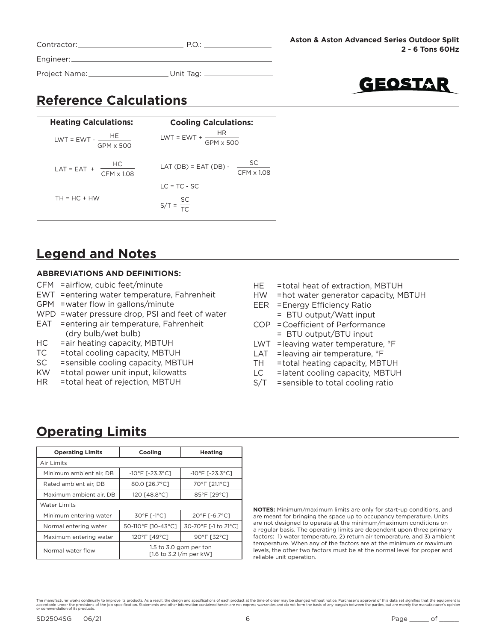| Contractor:   | PO:       |  |
|---------------|-----------|--|
| Engineer:     |           |  |
| Project Name: | Unit Tag: |  |



## **Reference Calculations**

| <b>Heating Calculations:</b>            | <b>Cooling Calculations:</b>                      |
|-----------------------------------------|---------------------------------------------------|
| $LWT = EWT - \frac{HE}{H}$<br>GPM x 500 | LWT = EWT + $\frac{HR}{GPM \times 500}$           |
| HC<br>$LAT = EAT +$<br>CFM x 1.08       | LAT (DB) = EAT (DB) - $\frac{SC}{}$<br>CFM x 1.08 |
|                                         | $IC = TC - SC$                                    |
| $TH = HC + HW$                          | $S/T = \frac{SC}{TC}$                             |

### **Legend and Notes**

#### **ABBREVIATIONS AND DEFINITIONS:**

- $CFM = airflow$ , cubic feet/minute
- EWT = entering water temperature, Fahrenheit
- $GPM$  = water flow in gallons/minute
- WPD = water pressure drop, PSI and feet of water
- EAT = entering air temperature, Fahrenheit (dry bulb/wet bulb)
- HC = air heating capacity, MBTUH
- TC = total cooling capacity, MBTUH
- SC = sensible cooling capacity, MBTUH
- KW = total power unit input, kilowatts
- HR = total heat of rejection, MBTUH
- HE = total heat of extraction, MBTUH
- HW = hot water generator capacity, MBTUH
- EER = Energy Efficiency Ratio
	- = BTU output/Watt input
- COP = Coefficient of Performance = BTU output/BTU input
- LWT = leaving water temperature, °F
- LAT = leaving air temperature, °F
- TH = total heating capacity, MBTUH
- LC = latent cooling capacity, MBTUH
- S/T = sensible to total cooling ratio

### **Operating Limits**

| <b>Operating Limits</b> | Cooling                                           | <b>Heating</b>                       |  |  |  |  |
|-------------------------|---------------------------------------------------|--------------------------------------|--|--|--|--|
| Air Limits              |                                                   |                                      |  |  |  |  |
| Minimum ambient air, DB | $-10^{\circ}$ F [ $-23.3^{\circ}$ C]              | $-10^{\circ}$ F [ $-23.3^{\circ}$ C] |  |  |  |  |
| Rated ambient air. DB   | 80.0 [26.7°C]                                     | 70°F [21.1°C]                        |  |  |  |  |
| Maximum ambient air, DB | 120 [48.8°C]                                      | 85°F [29°C]                          |  |  |  |  |
| <b>Water Limits</b>     |                                                   |                                      |  |  |  |  |
| Minimum entering water  | 30°F [-1°C]                                       | 20°F [-6.7°C]                        |  |  |  |  |
| Normal entering water   | 50-110°F [10-43°C]                                | 30-70°F [-1 to 21°C]                 |  |  |  |  |
| Maximum entering water  | 120°F [49°C]                                      | 90°F [32°C]                          |  |  |  |  |
| Normal water flow       | 1.5 to 3.0 gpm per ton<br>[1.6 to 3.2 l/m per kW] |                                      |  |  |  |  |

**NOTES:** Minimum/maximum limits are only for start-up conditions, and are meant for bringing the space up to occupancy temperature. Units are not designed to operate at the minimum/maximum conditions on a regular basis. The operating limits are dependent upon three primary factors: 1) water temperature, 2) return air temperature, and 3) ambient temperature. When any of the factors are at the minimum or maximum levels, the other two factors must be at the normal level for proper and reliable unit operation.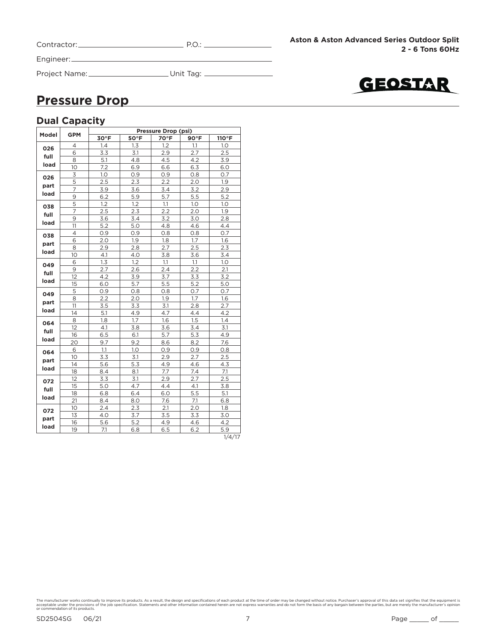| Contractor: |  |
|-------------|--|
|             |  |

Project Name: Unit Tag:

**Aston & Aston Advanced Series Outdoor Split 2 - 6 Tons 60Hz**



### **Pressure Drop**

### **Dual Capacity**

|       | <b>GPM</b>        |                |      | <b>Pressure Drop (psi)</b> |      |                                                                                                                                                                                      |  |  |
|-------|-------------------|----------------|------|----------------------------|------|--------------------------------------------------------------------------------------------------------------------------------------------------------------------------------------|--|--|
| Model |                   | $30^{\circ}$ F | 50°F | 70°F                       | 90°F | 110°F<br>1.0<br>2.5<br>3.9<br>6.0<br>0.7<br>1.9<br>2.9<br>5.2<br>1.0<br>1.9<br>2.8<br>4.4<br>0.7<br>1.6<br>2.3<br>3.4<br>1.0<br>2.1<br>3.2<br>5.0<br>0.7<br>1.6<br>2.7<br>4.2<br>1.4 |  |  |
| 026   | 4                 | 1.4            | 1.3  | 1.2                        | 1.1  |                                                                                                                                                                                      |  |  |
| full  | 6                 | 3.3            | 3.1  | 2.9                        | 2.7  |                                                                                                                                                                                      |  |  |
|       | 8                 | 5.1            | 4.8  | 4.5                        | 4.2  |                                                                                                                                                                                      |  |  |
| load  | 10                | 7.2            | 6.9  | 6.6                        | 6.3  |                                                                                                                                                                                      |  |  |
| 026   | 3                 | 1.0            | 0.9  | 0.9                        | 0.8  |                                                                                                                                                                                      |  |  |
| part  | 5                 | 2.5            | 2.3  | 2.2                        | 2.0  |                                                                                                                                                                                      |  |  |
| load  | 7                 | 3.9            | 3.6  | 3.4                        | 3.2  |                                                                                                                                                                                      |  |  |
|       | 9                 | 6.2            | 5.9  | 5.7                        | 5.5  |                                                                                                                                                                                      |  |  |
| 038   | 5                 | 1.2            | 1.2  | 1.1                        | 1.0  |                                                                                                                                                                                      |  |  |
| full  | $\overline{7}$    | 2.5            | 2.3  | 2.2                        | 2.0  |                                                                                                                                                                                      |  |  |
| load  | 9                 | 3.6            | 3.4  | 3.2                        | 3.0  |                                                                                                                                                                                      |  |  |
|       | 11                | 5.2            | 5.0  | 4.8                        | 4.6  |                                                                                                                                                                                      |  |  |
| 038   | 4                 | 0.9            | 0.9  | 0.8                        | 0.8  |                                                                                                                                                                                      |  |  |
| part  | 6                 | 2.0            | 1.9  | 1.8                        | 1.7  |                                                                                                                                                                                      |  |  |
|       | 8                 | 2.9            | 2.8  | 2.7                        | 2.5  |                                                                                                                                                                                      |  |  |
| load  | 10                | 4.1            | 4.0  | 3.8                        | 3.6  |                                                                                                                                                                                      |  |  |
| 049   | 6                 | 1.3            | 1.2  | 1.1                        | 1.1  |                                                                                                                                                                                      |  |  |
| full  | 9                 | 2.7            | 2.6  | 2.4                        | 2.2  |                                                                                                                                                                                      |  |  |
| load  | $12 \overline{ }$ | 4.2            | 3.9  | 3.7                        | 3.3  |                                                                                                                                                                                      |  |  |
|       | 15                | 6.0            | 5.7  | 5.5                        | 5.2  |                                                                                                                                                                                      |  |  |
| 049   | 5                 | 0.9            | 0.8  | 0.8                        | 0.7  |                                                                                                                                                                                      |  |  |
| part  | 8                 | 2.2            | 2.0  | 1.9                        | 1.7  |                                                                                                                                                                                      |  |  |
| load  | 11                | 3.5            | 3.3  | 3.1                        | 2.8  |                                                                                                                                                                                      |  |  |
|       | 14                | 5.1            | 4.9  | 4.7                        | 4.4  |                                                                                                                                                                                      |  |  |
| 064   | 8                 | 1.8            | 1.7  | 1.6                        | 1.5  |                                                                                                                                                                                      |  |  |
| full  | 12                | 4.1            | 3.8  | 3.6                        | 3.4  | 3.1                                                                                                                                                                                  |  |  |
| load  | 16                | 6.5            | 6.1  | 5.7                        | 5.3  | 4.9                                                                                                                                                                                  |  |  |
|       | 20                | 9.7            | 9.2  | 8.6                        | 8.2  | 7.6                                                                                                                                                                                  |  |  |
| 064   | 6                 | 1.1            | 1.0  | 0.9                        | 0.9  | 0.8                                                                                                                                                                                  |  |  |
| part  | 10                | 3.3            | 3.1  | 2.9                        | 2.7  | 2.5                                                                                                                                                                                  |  |  |
| load  | 14                | 5.6            | 5.3  | 4.9                        | 4.6  | 4.3                                                                                                                                                                                  |  |  |
|       | 18                | 8.4            | 8.1  | 7.7                        | 7.4  | 7.1                                                                                                                                                                                  |  |  |
| 072   | 12                | 3.3            | 3.1  | 2.9                        | 2.7  | 2.5                                                                                                                                                                                  |  |  |
| full  | 15                | 5.0            | 4.7  | 4.4                        | 4.1  | 3.8                                                                                                                                                                                  |  |  |
|       | 18                | 6.8            | 6.4  | 6.0                        | 5.5  | 5.1                                                                                                                                                                                  |  |  |
| load  | 21                | 8.4            | 8.0  | 7.6                        | 7.1  | 6.8                                                                                                                                                                                  |  |  |
| 072   | 10                | 2.4            | 2.3  | 2.1                        | 2.0  | 1.8                                                                                                                                                                                  |  |  |
| part  | 13                | 4.0            | 3.7  | 3.5                        | 3.3  | 3.0                                                                                                                                                                                  |  |  |
|       | 16                | 5.6            | 5.2  | 4.9                        | 4.6  | 4.2                                                                                                                                                                                  |  |  |
| load  | 19                | 7.1            | 6.8  | 6.5                        | 6.2  | 5.9                                                                                                                                                                                  |  |  |
|       |                   |                |      |                            |      | 1/4/17                                                                                                                                                                               |  |  |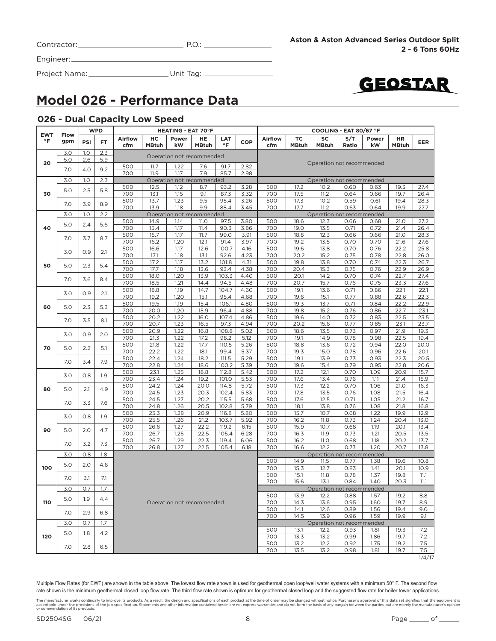| Contractor: |  |
|-------------|--|
|             |  |

Engineer:

Project Name: Unit Tag:



### **Model 026 - Performance Data**

#### **026 - Dual Capacity Low Speed**

| <b>EWT</b> |                                 |            | <b>WPD</b> |                       |                    | <b>HEATING - EAT 70°F</b> |                                  |                |              | COOLING - EAT 80/67 °F<br><b>SC</b><br><b>Airflow</b><br>ТC<br>S/T<br>Power |                                                                   |                                   |              |              |              |               |
|------------|---------------------------------|------------|------------|-----------------------|--------------------|---------------------------|----------------------------------|----------------|--------------|-----------------------------------------------------------------------------|-------------------------------------------------------------------|-----------------------------------|--------------|--------------|--------------|---------------|
| °F         | <b>Flow</b><br>gpm              | PSI        | <b>FT</b>  | <b>Airflow</b><br>cfm | нc<br><b>MBtuh</b> | Power<br>kW               | HE<br><b>MBtuh</b>               | LAT<br>°F      | COP          | cfm                                                                         | HR<br><b>MBtuh</b><br><b>MBtuh</b><br>Ratio<br>kW<br><b>MBtuh</b> |                                   |              |              |              |               |
|            | 3.0<br>5.0                      | 1.0<br>2.6 | 2.3<br>5.9 |                       |                    |                           | Operation not recommended        |                |              |                                                                             |                                                                   |                                   |              |              |              |               |
| 20         | 7.0                             | 4.0        | 9.2        | 500                   | 11.7               | 1.22                      | 7.6                              | 91.7           | 2.82         |                                                                             |                                                                   | Operation not recommended         |              |              |              |               |
|            | 3.0                             | 1.0        | 2.3        | 700                   | 11.9               | 1.17                      | 7.9<br>Operation not recommended | 85.7           | 2.98         |                                                                             |                                                                   |                                   |              |              |              |               |
|            |                                 |            |            | 500                   | 12.5               | 1.12                      | 8.7                              | 93.2           | 3.28         | 500                                                                         | 17.2                                                              | Operation not recommended<br>10.2 | 0.60         | 0.63         | 19.3         | 27.4          |
| 30         | 5.0                             | 2.5        | 5.8        | 700                   | 13.1               | 1.15                      | 9.1                              | 87.3           | 3.32         | 700                                                                         | 17.5                                                              | 11.2                              | 0.64         | 0.66         | 19.7         | 26.4          |
|            |                                 |            |            | 500                   | 13.7               | 1.23                      | 9.5                              | 95.4           | 3.26         | 500                                                                         | 17.3                                                              | 10.2                              | 0.59         | 0.61         | 19.4         | 28.3          |
|            | 7.0                             | 3.9        | 8.9        | 700                   | 13.9               | 1.18                      | 9.9                              | 88.4           | 3.45         | 700                                                                         | 17.7                                                              | 11.2                              | 0.63         | 0.64         | 19.9         | 27.7          |
|            | 3.0                             | 1.0        | 2.2        |                       |                    |                           | Operation not recommended        |                |              |                                                                             |                                                                   | Operation not recommended         |              |              |              |               |
|            |                                 |            | 5.6        | 500                   | 14.9               | 1.14                      | <b>11.0</b>                      | 97.5           | 3.80         | 500                                                                         | 18.6                                                              | 12.3                              | 0.66         | 0.68         | 21.0         | 27.2          |
| 40         | 5.0                             | 2.4        |            | 700                   | 15.4               | 1.17                      | 11.4                             | 90.3           | 3.86         | 700                                                                         | 19.0                                                              | 13.5                              | 0.71         | 0.72         | 21.4         | 26.4          |
|            | 7.0                             | 3.7        | 8.7        | 500                   | 15.7               | 1.17                      | 11.7                             | 99.0           | 3.91         | 500                                                                         | 18.8                                                              | 12.3                              | 0.66         | 0.66         | 21.0         | 28.3          |
| 50<br>60   |                                 |            |            | 700                   | 16.2               | 1.20                      | 12.1                             | 91.4           | 3.97         | 700                                                                         | 19.2                                                              | 13.5                              | 0.70         | 0.70         | 21.6         | 27.6          |
|            | 3.0                             | 0.9        | 2.1        | 500                   | 16.6               | 1.17                      | 12.6                             | 100.7          | 4.16         | 500                                                                         | 19.6                                                              | 13.8                              | 0.70         | 0.76         | 22.2         | 25.8          |
|            |                                 |            |            | 700                   | 17.1               | 1.18                      | 13.1                             | 92.6           | 4.23         | 700                                                                         | 20.2                                                              | 15.2                              | 0.75         | 0.78         | 22.8         | 26.0          |
|            | 5.0                             | 2.3        | 5.4        | 500                   | 17.2               | 1.17                      | 13.2                             | 101.8          | 4.31         | 500                                                                         | 19.8                                                              | 13.8                              | 0.70         | 0.74         | 22.3         | 26.7          |
|            |                                 |            |            | 700                   | 17.7               | 1.18                      | 13.6                             | 93.4           | 4.38         | 700                                                                         | 20.4                                                              | 15.3                              | 0.75         | 0.76         | 22.9         | 26.9          |
|            | 7.0                             | 3.6        | 8.4        | 500                   | 18.0               | 1.20                      | 13.9                             | 103.3          | 4.40         | 500                                                                         | 20.1                                                              | 14.2                              | 0.70         | 0.74         | 22.7         | 27.4          |
|            |                                 |            |            | 700                   | 18.5               | 1.21                      | 14.4                             | 94.5           | 4.48         | 700                                                                         | 20.7                                                              | 15.7                              | 0.76         | 0.75         | 23.3         | 27.6          |
|            | 3.0                             | 0.9        | 2.1        | 500                   | 18.8               | 1.19                      | 14.7                             | 104.7          | 4.60         | 500                                                                         | 19.1                                                              | 13.6                              | 0.71         | 0.86         | 22.1         | 22.1          |
|            |                                 |            |            | 700                   | 19.2               | 1.20                      | 15.1                             | 95.4           | 4.68         | 700                                                                         | 19.6                                                              | 15.1                              | 0.77         | 0.88         | 22.6         | 22.3          |
|            | 5.0                             | 2.3        | 5.3        | 500                   | 19.5               | 1.19                      | 15.4                             | 106.1          | 4.80         | 500                                                                         | 19.3                                                              | 13.7                              | 0.71         | 0.84         | 22.2         | 22.9          |
|            |                                 |            |            | 700                   | 20.0               | 1.20                      | 15.9                             | 96.4           | 4.88         | 700                                                                         | 19.8                                                              | 15.2                              | 0.76         | 0.86         | 22.7         | 23.1          |
|            | 7.0                             | 3.5        | 8.1        | 500                   | 20.2               | 1.22                      | 16.0                             | 107.4          | 4.86         | 500                                                                         | 19.6                                                              | 14.0                              | 0.72         | 0.83         | 22.5         | 23.5          |
|            |                                 |            |            | 700                   | 20.7               | 1.23                      | 16.5                             | 97.3           | 4.94         | 700                                                                         | 20.2                                                              | 15.6                              | 0.77         | 0.85         | 23.1         | 23.7          |
|            | 3.0                             | 0.9        | 2.0        | 500                   | 20.9               | 1.22                      | 16.8                             | 108.8          | 5.02         | 500                                                                         | 18.6                                                              | 13.5                              | 0.73         | 0.97         | 21.9         | 19.3          |
|            |                                 |            |            | 700                   | 21.3               | 1.22                      | 17.2                             | 98.2           | 5.12         | 700                                                                         | 19.1                                                              | 14.9                              | 0.78         | 0.98         | 22.5         | 19.4          |
| 70         | 5.0                             | 2.2        | 5.1        | 500                   | 21.8               | 1.22                      | 17.7                             | 110.5          | 5.26         | 500                                                                         | 18.8                                                              | 13.6                              | 0.72         | 0.94         | 22.0         | 20.0          |
|            |                                 |            |            | 700<br>500            | 22.2               | 1.22                      | 18.1                             | 99.4           | 5.37         | 700                                                                         | 19.3<br>19.1                                                      | 15.0                              | 0.78         | 0.96         | 22.6         | 20.1          |
|            | 7.0                             | 3.4        | 7.9        | 700                   | 22.4<br>22.8       | 1.24<br>1.24              | 18.2<br>18.6                     | 111.5<br>100.2 | 5.29<br>5.39 | 500<br>700                                                                  | 19.6                                                              | 13.9<br>15.4                      | 0.73<br>0.79 | 0.93<br>0.95 | 22.3<br>22.8 | 20.5<br>20.6  |
|            |                                 |            |            | 500                   | 23.1               | 1.25                      | 18.8                             | 112.8          | 5.42         | 500                                                                         | 17.2                                                              | 12.1                              | 0.70         | 1.09         | 20.9         | 15.7          |
|            |                                 |            | 1.9        | 700                   | 23.4               | 1.24                      | 19.2                             | 101.0          | 5.53         | 700                                                                         | 17.6                                                              | 13.4                              | 0.76         | 1.11         | 21.4         | 15.9          |
|            |                                 |            |            | 500                   | 24.2               | 1.24                      | 20.0                             | 114.8          | 5.72         | 500                                                                         | 17.3                                                              | 12.2                              | 0.70         | 1.06         | 21.0         | 16.3          |
| 80         |                                 |            | 4.9        | 700                   | 24.5               | 1.23                      | 20.3                             | 102.4          | 5.83         | 700                                                                         | 17.8                                                              | 13.5                              | 0.76         | 1.08         | 21.5         | 16.4          |
|            | 3.0<br>5.0<br>7.0               |            |            | 500                   | 24.5               | 1.27                      | 20.2                             | 115.5          | 5.68         | 500                                                                         | 17.6                                                              | 12.5                              | 0.71         | 1.05         | 21.2         | 16.7          |
|            | 0.8<br>2.1<br>3.3<br>3.0<br>0.8 |            | 7.6        | 700                   | 24.8               | 1.26                      | 20.5                             | 102.8          | 5.79         | 700                                                                         | 18.1                                                              | 13.8                              | 0.76         | 1.08         | 21.8         | 16.8          |
|            |                                 |            |            | 500                   | 25.3               | 1.28                      | 20.9                             | 116.8          | 5.80         | 500                                                                         | 15.7                                                              | 10.7                              | 0.68         | 1.22         | 19.9         | 12.9          |
|            |                                 |            | 1.9        | 700                   | 25.5               | 1.26                      | 21.2                             | 103.7          | 5.92         | 700                                                                         | 16.2                                                              | 11.8                              | 0.73         | 1.24         | 20.4         | 13.0          |
|            |                                 |            |            | 500                   | 26.6               | 1.27                      | 22.2                             | 119.2          | 6.15         | 500                                                                         | 15.9                                                              | 10.7                              | 0.68         | 1.19         | 20.1         | 13.4          |
| 90         | 5.0                             | 2.0        | 4.7        | 700                   | 26.7               | 1.25                      | 22.5                             | 105.4          | 6.28         | 700                                                                         | 16.3                                                              | 11.9                              | 0.73         | 1.21         | 20.5         | 13.5          |
|            | 7.0                             | 3.2        | 7.3        | 500                   | 26.7               | 1.29                      | 22.3                             | 119.4          | 6.06         | 500                                                                         | 16.2                                                              | <b>11.0</b>                       | 0.68         | 1.18         | 20.2         | 13.7          |
|            |                                 |            |            | 700                   | 26.8               | 1.27                      | 22.5                             | 105.4          | 6.18         | 700                                                                         | 16.6                                                              | 12.2                              | 0.73         | 1.20         | 20.7         | 13.8          |
|            | 3.0                             | 0.8        | 1.8        |                       |                    |                           |                                  |                |              |                                                                             |                                                                   | Operation not recommended         |              |              |              |               |
|            | 5.0                             | 2.0        | 4.6        |                       |                    |                           |                                  |                |              | 500                                                                         | 14.9                                                              | 11.5                              | 0.77         | 1.38         | 19.6         | 10.8          |
| 100        |                                 |            |            |                       |                    |                           |                                  |                |              | 700                                                                         | 15.3                                                              | 12.7                              | 0.83         | 1.41         | 20.1         | 10.9          |
|            | 7.0                             | 3.1        | 7.1        |                       |                    |                           |                                  |                |              | 500<br>700                                                                  | 15.1<br>15.6                                                      | 11.8<br>13.1                      | 0.78<br>0.84 | 1.37<br>1.40 | 19.8<br>20.3 | 11.1<br>11.1  |
|            | 3.0                             | 0.7        | 1.7        |                       |                    |                           |                                  |                |              |                                                                             |                                                                   | Operation not recommended         |              |              |              |               |
|            | 5.0<br>1.9                      |            |            |                       |                    |                           |                                  |                |              | 500                                                                         | 13.9                                                              | 12.2                              | 0.88         | 1.57         | 19.2         | 8.8           |
| 110        |                                 |            | 4.4        |                       |                    |                           | Operation not recommended        |                |              | 700                                                                         | 14.3                                                              | 13.6                              | 0.95         | 1.60         | 19.7         | 8.9           |
|            | 7.0                             | 2.9        | 6.8        |                       |                    |                           |                                  |                |              | 500<br>700                                                                  | 14.1<br>14.5                                                      | 12.6<br>13.9                      | 0.89<br>0.96 | 1.56<br>1.59 | 19.4<br>19.9 | 9.0<br>9.1    |
|            | 3.0                             | O.7        | 1.7        |                       |                    |                           |                                  |                |              |                                                                             |                                                                   | Operation not recommended         |              |              |              |               |
|            |                                 |            |            |                       |                    |                           |                                  |                |              | 500                                                                         | 13.1                                                              | 12.2                              | 0.93         | 1.81         | 19.3         | 7.2           |
| 120        | 5.0                             | 1.8        | 4.2        |                       |                    |                           |                                  |                |              | 700                                                                         | 13.3                                                              | 13.2                              | 0.99         | 1.86         | 19.7         | 7.2           |
|            | 7.0                             | 2.8        | 6.5        |                       |                    |                           |                                  |                |              | 500                                                                         | 13.2                                                              | 12.2                              | 0.92         | 1.75         | 19.2         | 7.5           |
|            |                                 |            |            |                       |                    |                           |                                  |                |              | 700                                                                         | 13.5                                                              | 13.2                              | 0.98         | 1.81         | 19.7         | 7.5<br>1/4/17 |
|            |                                 |            |            |                       |                    |                           |                                  |                |              |                                                                             |                                                                   |                                   |              |              |              |               |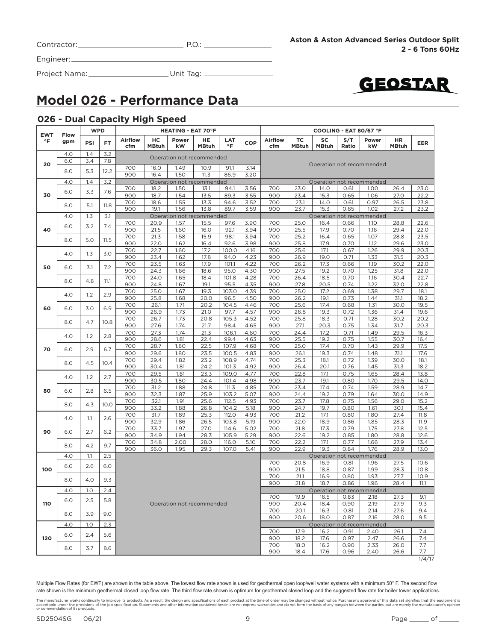| Contractor: | ້.∪ |
|-------------|-----|
|-------------|-----|

Project Name: Unit Tag:



### **Model 026 - Performance Data**

#### **026 - Dual Capacity High Speed**

| <b>Airflow</b><br>HC<br>Power<br>LAT<br><b>Airflow</b><br>ТC<br>SC<br>S/T<br>HE<br>Power<br>HR<br>$\circ$ F<br>gpm<br><b>COP</b><br>PSI<br>FT<br>$\circ$ F<br><b>MBtuh</b><br>kW<br><b>MBtuh</b><br><b>MBtuh</b><br><b>MBtuh</b><br>kW<br><b>MBtuh</b><br>cfm<br>cfm<br>Ratio<br>4.0<br>1.4<br>3.2<br>Operation not recommended<br>3.4<br>6.0<br>7.8<br>20<br>Operation not recommended<br>700<br>16.0<br>1.49<br>10.9<br>91.1<br>3.14<br>8.0<br>5.3<br>12.2<br>900<br>16.4<br>1.50<br>11.3<br>86.9<br>3.20<br>1.4<br>3.2<br>4.0<br>Operation not recommended<br>Operation not recommended<br>23.0<br>700<br>18.2<br>1.50<br>13.1<br>94.1<br>3.56<br>700<br>14.0<br>1.00<br>26.4<br>0.61<br>3.3<br>6.0<br>7.6<br>30<br>900<br>89.3<br>3.55<br>23.4<br>18.7<br>1.54<br>13.5<br>900<br>15.3<br>0.65<br>1.06<br>27.0<br>700<br>18.6<br>1.55<br>13.3<br>94.6<br>3.52<br>700<br>23.1<br>14.0<br>0.97<br>0.61<br>26.5<br>8.0<br>5.1<br>11.8<br>900<br>19.1<br>1.56<br>13.8<br>89.7<br>3.59<br>900<br>23.7<br>15.3<br>0.65<br>1.02<br>27.2<br>4.0<br>1.3<br>3.1<br>Operation not recommended<br>Operation not recommended<br>25.0<br>700<br>20.9<br>1.57<br>15.5<br>97.6<br>3.90<br>700<br>16.4<br>0.66<br>1.10<br>28.8<br>3.2<br>6.0<br>7.4<br>40<br>25.5<br>900<br>21.5<br>1.60<br>16.0<br>92.1<br>3.94<br>900<br>17.9<br>0.70<br>1.16<br>29.4<br>15.9<br>700<br>21.3<br>1.58<br>98.1<br>3.94<br>700<br>25.2<br>16.4<br>0.65<br>1.07<br>28.8<br>8.0<br>5.0<br>11.5<br>900<br>22.0<br>1.62<br>16.4<br>92.6<br>3.98<br>900<br>25.8<br>17.9<br>0.70<br>1.12<br>29.6<br>700<br>22.7<br>1.60<br>17.2<br>700<br>25.6<br>17.1<br>1.26<br>100.0<br>4.16<br>0.67<br>29.9<br>4.0<br>1.3<br>3.0<br>900<br>23.4<br>1.62<br>17.8<br>94.0<br>4.23<br>900<br>26.9<br>19.0<br>0.71<br>1.33<br>31.5<br>700<br>23.5<br>1.63<br>17.9<br>101.1<br>4.22<br>700<br>26.2<br>17.3<br>0.66<br>1.19<br>30.2<br>50<br>7.2<br>6.0<br>3.1<br>900<br>24.3<br>1.66<br>18.6<br>95.0<br>4.30<br>900<br>27.5<br>19.2<br>0.70<br>1.25<br>31.8<br>700<br>24.0<br>1.65<br>18.4<br>101.8<br>4.28<br>700<br>26.4<br>18.5<br>0.70<br>1.16<br>30.4<br>8.0<br>4.8<br>11.1<br>900<br>1.67<br>95.5<br>24.8<br>19.1<br>4.35<br>900<br>27.8<br>20.5<br>0.74<br>1.22<br>32.0<br>700<br>25.0<br>1.67<br>19.3<br>103.0<br>4.39<br>700<br>25.0<br>17.2<br>0.69<br>1.38<br>29.7<br>4.0<br>1.2<br>2.9<br>900<br>25.8<br>1.68<br>20.0<br>96.5<br>4.50<br>900<br>26.2<br>19.1<br>0.73<br>1.44<br>31.1<br>1.71<br>25.6<br>700<br>26.1<br>20.2<br>104.5<br>4.46<br>700<br>17.4<br>0.68<br>1.31<br>30.0<br>6.9<br>60<br>6.0<br>3.0<br>1.73<br>900<br>26.9<br>21.0<br>97.7<br>4.57<br>900<br>26.8<br>19.3<br>0.72<br>1.36<br>31.4<br>1.73<br>700<br>26.7<br>20.8<br>105.3<br>4.52<br>700<br>25.8<br>0.71<br>1.28<br>30.2<br>18.3<br>8.0<br>4.7<br>10.8<br>900<br>27.6<br>1.74<br>21.7<br>98.4<br>4.65<br>900<br>27.1<br>20.3<br>0.75<br>1.34<br>31.7<br>27.3<br>1.74<br>21.3<br>700<br>24.4<br>1.49<br>700<br>106.1<br>4.60<br>17.2<br>0.71<br>29.5<br>1.2<br>4.0<br>2.8<br>900<br>28.6<br>1.81<br>22.4<br>99.4<br>4.63<br>900<br>25.5<br>19.2<br>0.75<br>1.55<br>30.7<br>700<br>28.7<br>1.80<br>22.5<br>107.9<br>4.68<br>700<br>25.0<br>17.4<br>0.70<br>1.43<br>29.9<br>70<br>2.9<br>6.0<br>6.7<br>900<br>29.6<br>1.80<br>23.5<br>100.5<br>4.83<br>900<br>26.1<br>19.3<br>0.74<br>1.48<br>31.1<br>25.3<br>700<br>29.4<br>1.82<br>23.2<br>108.9<br>4.74<br>700<br>18.1<br>0.72<br>1.39<br>30.0<br>4.5<br>8.0<br>10.4<br>900<br>30.4<br>1.81<br>24.2<br>101.3<br>4.92<br>900<br>26.4<br>20.1<br>0.76<br>1.45<br>31.3<br>22.8<br>700<br>29.5<br>1.81<br>23.3<br>109.0<br>4.77<br>700<br>17.1<br>0.75<br>1.65<br>28.4<br>4.0<br>1.2<br>2.7<br>900<br>30.5<br>1.80<br>24.4<br>101.4<br>4.98<br>900<br>23.7<br>19.1<br>0.80<br>1.70<br>29.5<br>23.4<br>700<br>31.2<br>1.88<br>24.8<br>111.3<br>4.85<br>700<br>17.4<br>0.74<br>1.59<br>28.9<br>6.5<br>80<br>6.0<br>2.8<br>900<br>32.3<br>1.87<br>25.9<br>103.2<br>5.07<br>900<br>24.4<br>19.2<br>0.79<br>1.64<br>30.0<br>700<br>1.91<br>23.7<br>32.1<br>25.6<br>112.5<br>4.93<br>700<br>17.8<br>0.75<br>1.56<br>29.0<br>10.0<br>8.0<br>4.3<br>900<br>33.2<br>1.88<br>26.8<br>104.2<br>5.18<br>900<br>24.7<br>19.7<br>0.80<br>1.61<br>30.1<br>700<br>31.7<br>1.89<br>25.3<br>112.0<br>4.93<br>700<br>21.2<br>17.1<br>0.80<br>1.80<br>27.4<br>4.0<br>2.6<br>1.1<br>22.0<br>900<br>32.9<br>1.86<br>26.5<br>103.8<br>5.19<br>900<br>18.9<br>0.86<br>1.85<br>28.3<br>700<br>33.7<br>1.97<br>27.0<br>114.6<br>5.02<br>700<br>21.8<br>17.3<br>0.79<br>1.75<br>27.8<br>90<br>6.0<br>2.7<br>6.2<br>900<br>105.9<br>1.80<br>34.9<br>1.94<br>28.3<br>5.29<br>900<br>22.6<br>19.2<br>0.85<br>28.8<br>700<br>2.00<br>700<br>22.2<br>17.1<br>0.77<br>1.66<br>27.9<br>34.8<br>28.0<br>116.0<br>5.10<br>4.2<br>9.7<br>8.0<br>900<br>36.0<br>1.95<br>29.3<br>107.0<br>5.41<br>900<br>22.9<br>19.3<br>0.84<br>1.76<br>28.9<br>2.5<br>4.0<br>1.1<br>Operation not recommended | COOLING - EAT 80/67 °F |      |      |      |      |     | <b>HEATING - EAT 70°F</b> |  |  |  |  |  |  | <b>WPD</b> |             | <b>EWT</b> |  |  |  |  |
|---------------------------------------------------------------------------------------------------------------------------------------------------------------------------------------------------------------------------------------------------------------------------------------------------------------------------------------------------------------------------------------------------------------------------------------------------------------------------------------------------------------------------------------------------------------------------------------------------------------------------------------------------------------------------------------------------------------------------------------------------------------------------------------------------------------------------------------------------------------------------------------------------------------------------------------------------------------------------------------------------------------------------------------------------------------------------------------------------------------------------------------------------------------------------------------------------------------------------------------------------------------------------------------------------------------------------------------------------------------------------------------------------------------------------------------------------------------------------------------------------------------------------------------------------------------------------------------------------------------------------------------------------------------------------------------------------------------------------------------------------------------------------------------------------------------------------------------------------------------------------------------------------------------------------------------------------------------------------------------------------------------------------------------------------------------------------------------------------------------------------------------------------------------------------------------------------------------------------------------------------------------------------------------------------------------------------------------------------------------------------------------------------------------------------------------------------------------------------------------------------------------------------------------------------------------------------------------------------------------------------------------------------------------------------------------------------------------------------------------------------------------------------------------------------------------------------------------------------------------------------------------------------------------------------------------------------------------------------------------------------------------------------------------------------------------------------------------------------------------------------------------------------------------------------------------------------------------------------------------------------------------------------------------------------------------------------------------------------------------------------------------------------------------------------------------------------------------------------------------------------------------------------------------------------------------------------------------------------------------------------------------------------------------------------------------------------------------------------------------------------------------------------------------------------------------------------------------------------------------------------------------------------------------------------------------------------------------------------------------------------------------------------------------------------------------------------------------------------------------------------------------------------------------------------------------------------------------------------------------------------------------------------------------------------------------------------------------------------------------------------------------------------------------------------------------------------------------------------------------------------------------------------------------------------------------------------------------------------------------------------------------------------------------------------------------------------------------------------------------------------------------------------------------------------------------------------------------------------------------------------------------------------------------------------------------|------------------------|------|------|------|------|-----|---------------------------|--|--|--|--|--|--|------------|-------------|------------|--|--|--|--|
|                                                                                                                                                                                                                                                                                                                                                                                                                                                                                                                                                                                                                                                                                                                                                                                                                                                                                                                                                                                                                                                                                                                                                                                                                                                                                                                                                                                                                                                                                                                                                                                                                                                                                                                                                                                                                                                                                                                                                                                                                                                                                                                                                                                                                                                                                                                                                                                                                                                                                                                                                                                                                                                                                                                                                                                                                                                                                                                                                                                                                                                                                                                                                                                                                                                                                                                                                                                                                                                                                                                                                                                                                                                                                                                                                                                                                                                                                                                                                                                                                                                                                                                                                                                                                                                                                                                                                                                                                                                                                                                                                                                                                                                                                                                                                                                                                                                                                                                                       | <b>EER</b>             |      |      |      |      |     |                           |  |  |  |  |  |  |            | <b>Flow</b> |            |  |  |  |  |
|                                                                                                                                                                                                                                                                                                                                                                                                                                                                                                                                                                                                                                                                                                                                                                                                                                                                                                                                                                                                                                                                                                                                                                                                                                                                                                                                                                                                                                                                                                                                                                                                                                                                                                                                                                                                                                                                                                                                                                                                                                                                                                                                                                                                                                                                                                                                                                                                                                                                                                                                                                                                                                                                                                                                                                                                                                                                                                                                                                                                                                                                                                                                                                                                                                                                                                                                                                                                                                                                                                                                                                                                                                                                                                                                                                                                                                                                                                                                                                                                                                                                                                                                                                                                                                                                                                                                                                                                                                                                                                                                                                                                                                                                                                                                                                                                                                                                                                                                       |                        |      |      |      |      |     |                           |  |  |  |  |  |  |            |             |            |  |  |  |  |
|                                                                                                                                                                                                                                                                                                                                                                                                                                                                                                                                                                                                                                                                                                                                                                                                                                                                                                                                                                                                                                                                                                                                                                                                                                                                                                                                                                                                                                                                                                                                                                                                                                                                                                                                                                                                                                                                                                                                                                                                                                                                                                                                                                                                                                                                                                                                                                                                                                                                                                                                                                                                                                                                                                                                                                                                                                                                                                                                                                                                                                                                                                                                                                                                                                                                                                                                                                                                                                                                                                                                                                                                                                                                                                                                                                                                                                                                                                                                                                                                                                                                                                                                                                                                                                                                                                                                                                                                                                                                                                                                                                                                                                                                                                                                                                                                                                                                                                                                       |                        |      |      |      |      |     |                           |  |  |  |  |  |  |            |             |            |  |  |  |  |
|                                                                                                                                                                                                                                                                                                                                                                                                                                                                                                                                                                                                                                                                                                                                                                                                                                                                                                                                                                                                                                                                                                                                                                                                                                                                                                                                                                                                                                                                                                                                                                                                                                                                                                                                                                                                                                                                                                                                                                                                                                                                                                                                                                                                                                                                                                                                                                                                                                                                                                                                                                                                                                                                                                                                                                                                                                                                                                                                                                                                                                                                                                                                                                                                                                                                                                                                                                                                                                                                                                                                                                                                                                                                                                                                                                                                                                                                                                                                                                                                                                                                                                                                                                                                                                                                                                                                                                                                                                                                                                                                                                                                                                                                                                                                                                                                                                                                                                                                       |                        |      |      |      |      |     |                           |  |  |  |  |  |  |            |             |            |  |  |  |  |
|                                                                                                                                                                                                                                                                                                                                                                                                                                                                                                                                                                                                                                                                                                                                                                                                                                                                                                                                                                                                                                                                                                                                                                                                                                                                                                                                                                                                                                                                                                                                                                                                                                                                                                                                                                                                                                                                                                                                                                                                                                                                                                                                                                                                                                                                                                                                                                                                                                                                                                                                                                                                                                                                                                                                                                                                                                                                                                                                                                                                                                                                                                                                                                                                                                                                                                                                                                                                                                                                                                                                                                                                                                                                                                                                                                                                                                                                                                                                                                                                                                                                                                                                                                                                                                                                                                                                                                                                                                                                                                                                                                                                                                                                                                                                                                                                                                                                                                                                       |                        |      |      |      |      |     |                           |  |  |  |  |  |  |            |             |            |  |  |  |  |
|                                                                                                                                                                                                                                                                                                                                                                                                                                                                                                                                                                                                                                                                                                                                                                                                                                                                                                                                                                                                                                                                                                                                                                                                                                                                                                                                                                                                                                                                                                                                                                                                                                                                                                                                                                                                                                                                                                                                                                                                                                                                                                                                                                                                                                                                                                                                                                                                                                                                                                                                                                                                                                                                                                                                                                                                                                                                                                                                                                                                                                                                                                                                                                                                                                                                                                                                                                                                                                                                                                                                                                                                                                                                                                                                                                                                                                                                                                                                                                                                                                                                                                                                                                                                                                                                                                                                                                                                                                                                                                                                                                                                                                                                                                                                                                                                                                                                                                                                       | 23.0                   |      |      |      |      |     |                           |  |  |  |  |  |  |            |             |            |  |  |  |  |
|                                                                                                                                                                                                                                                                                                                                                                                                                                                                                                                                                                                                                                                                                                                                                                                                                                                                                                                                                                                                                                                                                                                                                                                                                                                                                                                                                                                                                                                                                                                                                                                                                                                                                                                                                                                                                                                                                                                                                                                                                                                                                                                                                                                                                                                                                                                                                                                                                                                                                                                                                                                                                                                                                                                                                                                                                                                                                                                                                                                                                                                                                                                                                                                                                                                                                                                                                                                                                                                                                                                                                                                                                                                                                                                                                                                                                                                                                                                                                                                                                                                                                                                                                                                                                                                                                                                                                                                                                                                                                                                                                                                                                                                                                                                                                                                                                                                                                                                                       | 22.2                   |      |      |      |      |     |                           |  |  |  |  |  |  |            |             |            |  |  |  |  |
|                                                                                                                                                                                                                                                                                                                                                                                                                                                                                                                                                                                                                                                                                                                                                                                                                                                                                                                                                                                                                                                                                                                                                                                                                                                                                                                                                                                                                                                                                                                                                                                                                                                                                                                                                                                                                                                                                                                                                                                                                                                                                                                                                                                                                                                                                                                                                                                                                                                                                                                                                                                                                                                                                                                                                                                                                                                                                                                                                                                                                                                                                                                                                                                                                                                                                                                                                                                                                                                                                                                                                                                                                                                                                                                                                                                                                                                                                                                                                                                                                                                                                                                                                                                                                                                                                                                                                                                                                                                                                                                                                                                                                                                                                                                                                                                                                                                                                                                                       | 23.8                   |      |      |      |      |     |                           |  |  |  |  |  |  |            |             |            |  |  |  |  |
|                                                                                                                                                                                                                                                                                                                                                                                                                                                                                                                                                                                                                                                                                                                                                                                                                                                                                                                                                                                                                                                                                                                                                                                                                                                                                                                                                                                                                                                                                                                                                                                                                                                                                                                                                                                                                                                                                                                                                                                                                                                                                                                                                                                                                                                                                                                                                                                                                                                                                                                                                                                                                                                                                                                                                                                                                                                                                                                                                                                                                                                                                                                                                                                                                                                                                                                                                                                                                                                                                                                                                                                                                                                                                                                                                                                                                                                                                                                                                                                                                                                                                                                                                                                                                                                                                                                                                                                                                                                                                                                                                                                                                                                                                                                                                                                                                                                                                                                                       | 23.2                   |      |      |      |      |     |                           |  |  |  |  |  |  |            |             |            |  |  |  |  |
|                                                                                                                                                                                                                                                                                                                                                                                                                                                                                                                                                                                                                                                                                                                                                                                                                                                                                                                                                                                                                                                                                                                                                                                                                                                                                                                                                                                                                                                                                                                                                                                                                                                                                                                                                                                                                                                                                                                                                                                                                                                                                                                                                                                                                                                                                                                                                                                                                                                                                                                                                                                                                                                                                                                                                                                                                                                                                                                                                                                                                                                                                                                                                                                                                                                                                                                                                                                                                                                                                                                                                                                                                                                                                                                                                                                                                                                                                                                                                                                                                                                                                                                                                                                                                                                                                                                                                                                                                                                                                                                                                                                                                                                                                                                                                                                                                                                                                                                                       | 22.6                   |      |      |      |      |     |                           |  |  |  |  |  |  |            |             |            |  |  |  |  |
|                                                                                                                                                                                                                                                                                                                                                                                                                                                                                                                                                                                                                                                                                                                                                                                                                                                                                                                                                                                                                                                                                                                                                                                                                                                                                                                                                                                                                                                                                                                                                                                                                                                                                                                                                                                                                                                                                                                                                                                                                                                                                                                                                                                                                                                                                                                                                                                                                                                                                                                                                                                                                                                                                                                                                                                                                                                                                                                                                                                                                                                                                                                                                                                                                                                                                                                                                                                                                                                                                                                                                                                                                                                                                                                                                                                                                                                                                                                                                                                                                                                                                                                                                                                                                                                                                                                                                                                                                                                                                                                                                                                                                                                                                                                                                                                                                                                                                                                                       | 22.0                   |      |      |      |      |     |                           |  |  |  |  |  |  |            |             |            |  |  |  |  |
|                                                                                                                                                                                                                                                                                                                                                                                                                                                                                                                                                                                                                                                                                                                                                                                                                                                                                                                                                                                                                                                                                                                                                                                                                                                                                                                                                                                                                                                                                                                                                                                                                                                                                                                                                                                                                                                                                                                                                                                                                                                                                                                                                                                                                                                                                                                                                                                                                                                                                                                                                                                                                                                                                                                                                                                                                                                                                                                                                                                                                                                                                                                                                                                                                                                                                                                                                                                                                                                                                                                                                                                                                                                                                                                                                                                                                                                                                                                                                                                                                                                                                                                                                                                                                                                                                                                                                                                                                                                                                                                                                                                                                                                                                                                                                                                                                                                                                                                                       | 23.5                   |      |      |      |      |     |                           |  |  |  |  |  |  |            |             |            |  |  |  |  |
|                                                                                                                                                                                                                                                                                                                                                                                                                                                                                                                                                                                                                                                                                                                                                                                                                                                                                                                                                                                                                                                                                                                                                                                                                                                                                                                                                                                                                                                                                                                                                                                                                                                                                                                                                                                                                                                                                                                                                                                                                                                                                                                                                                                                                                                                                                                                                                                                                                                                                                                                                                                                                                                                                                                                                                                                                                                                                                                                                                                                                                                                                                                                                                                                                                                                                                                                                                                                                                                                                                                                                                                                                                                                                                                                                                                                                                                                                                                                                                                                                                                                                                                                                                                                                                                                                                                                                                                                                                                                                                                                                                                                                                                                                                                                                                                                                                                                                                                                       | 23.0                   |      |      |      |      |     |                           |  |  |  |  |  |  |            |             |            |  |  |  |  |
|                                                                                                                                                                                                                                                                                                                                                                                                                                                                                                                                                                                                                                                                                                                                                                                                                                                                                                                                                                                                                                                                                                                                                                                                                                                                                                                                                                                                                                                                                                                                                                                                                                                                                                                                                                                                                                                                                                                                                                                                                                                                                                                                                                                                                                                                                                                                                                                                                                                                                                                                                                                                                                                                                                                                                                                                                                                                                                                                                                                                                                                                                                                                                                                                                                                                                                                                                                                                                                                                                                                                                                                                                                                                                                                                                                                                                                                                                                                                                                                                                                                                                                                                                                                                                                                                                                                                                                                                                                                                                                                                                                                                                                                                                                                                                                                                                                                                                                                                       | 20.3                   |      |      |      |      |     |                           |  |  |  |  |  |  |            |             |            |  |  |  |  |
|                                                                                                                                                                                                                                                                                                                                                                                                                                                                                                                                                                                                                                                                                                                                                                                                                                                                                                                                                                                                                                                                                                                                                                                                                                                                                                                                                                                                                                                                                                                                                                                                                                                                                                                                                                                                                                                                                                                                                                                                                                                                                                                                                                                                                                                                                                                                                                                                                                                                                                                                                                                                                                                                                                                                                                                                                                                                                                                                                                                                                                                                                                                                                                                                                                                                                                                                                                                                                                                                                                                                                                                                                                                                                                                                                                                                                                                                                                                                                                                                                                                                                                                                                                                                                                                                                                                                                                                                                                                                                                                                                                                                                                                                                                                                                                                                                                                                                                                                       | 20.3                   |      |      |      |      |     |                           |  |  |  |  |  |  |            |             |            |  |  |  |  |
|                                                                                                                                                                                                                                                                                                                                                                                                                                                                                                                                                                                                                                                                                                                                                                                                                                                                                                                                                                                                                                                                                                                                                                                                                                                                                                                                                                                                                                                                                                                                                                                                                                                                                                                                                                                                                                                                                                                                                                                                                                                                                                                                                                                                                                                                                                                                                                                                                                                                                                                                                                                                                                                                                                                                                                                                                                                                                                                                                                                                                                                                                                                                                                                                                                                                                                                                                                                                                                                                                                                                                                                                                                                                                                                                                                                                                                                                                                                                                                                                                                                                                                                                                                                                                                                                                                                                                                                                                                                                                                                                                                                                                                                                                                                                                                                                                                                                                                                                       | 22.0                   |      |      |      |      |     |                           |  |  |  |  |  |  |            |             |            |  |  |  |  |
|                                                                                                                                                                                                                                                                                                                                                                                                                                                                                                                                                                                                                                                                                                                                                                                                                                                                                                                                                                                                                                                                                                                                                                                                                                                                                                                                                                                                                                                                                                                                                                                                                                                                                                                                                                                                                                                                                                                                                                                                                                                                                                                                                                                                                                                                                                                                                                                                                                                                                                                                                                                                                                                                                                                                                                                                                                                                                                                                                                                                                                                                                                                                                                                                                                                                                                                                                                                                                                                                                                                                                                                                                                                                                                                                                                                                                                                                                                                                                                                                                                                                                                                                                                                                                                                                                                                                                                                                                                                                                                                                                                                                                                                                                                                                                                                                                                                                                                                                       | 22.0                   |      |      |      |      |     |                           |  |  |  |  |  |  |            |             |            |  |  |  |  |
|                                                                                                                                                                                                                                                                                                                                                                                                                                                                                                                                                                                                                                                                                                                                                                                                                                                                                                                                                                                                                                                                                                                                                                                                                                                                                                                                                                                                                                                                                                                                                                                                                                                                                                                                                                                                                                                                                                                                                                                                                                                                                                                                                                                                                                                                                                                                                                                                                                                                                                                                                                                                                                                                                                                                                                                                                                                                                                                                                                                                                                                                                                                                                                                                                                                                                                                                                                                                                                                                                                                                                                                                                                                                                                                                                                                                                                                                                                                                                                                                                                                                                                                                                                                                                                                                                                                                                                                                                                                                                                                                                                                                                                                                                                                                                                                                                                                                                                                                       | 22.7<br>22.8           |      |      |      |      |     |                           |  |  |  |  |  |  |            |             |            |  |  |  |  |
|                                                                                                                                                                                                                                                                                                                                                                                                                                                                                                                                                                                                                                                                                                                                                                                                                                                                                                                                                                                                                                                                                                                                                                                                                                                                                                                                                                                                                                                                                                                                                                                                                                                                                                                                                                                                                                                                                                                                                                                                                                                                                                                                                                                                                                                                                                                                                                                                                                                                                                                                                                                                                                                                                                                                                                                                                                                                                                                                                                                                                                                                                                                                                                                                                                                                                                                                                                                                                                                                                                                                                                                                                                                                                                                                                                                                                                                                                                                                                                                                                                                                                                                                                                                                                                                                                                                                                                                                                                                                                                                                                                                                                                                                                                                                                                                                                                                                                                                                       | 18.1                   |      |      |      |      |     |                           |  |  |  |  |  |  |            |             |            |  |  |  |  |
|                                                                                                                                                                                                                                                                                                                                                                                                                                                                                                                                                                                                                                                                                                                                                                                                                                                                                                                                                                                                                                                                                                                                                                                                                                                                                                                                                                                                                                                                                                                                                                                                                                                                                                                                                                                                                                                                                                                                                                                                                                                                                                                                                                                                                                                                                                                                                                                                                                                                                                                                                                                                                                                                                                                                                                                                                                                                                                                                                                                                                                                                                                                                                                                                                                                                                                                                                                                                                                                                                                                                                                                                                                                                                                                                                                                                                                                                                                                                                                                                                                                                                                                                                                                                                                                                                                                                                                                                                                                                                                                                                                                                                                                                                                                                                                                                                                                                                                                                       | 18.2                   |      |      |      |      |     |                           |  |  |  |  |  |  |            |             |            |  |  |  |  |
|                                                                                                                                                                                                                                                                                                                                                                                                                                                                                                                                                                                                                                                                                                                                                                                                                                                                                                                                                                                                                                                                                                                                                                                                                                                                                                                                                                                                                                                                                                                                                                                                                                                                                                                                                                                                                                                                                                                                                                                                                                                                                                                                                                                                                                                                                                                                                                                                                                                                                                                                                                                                                                                                                                                                                                                                                                                                                                                                                                                                                                                                                                                                                                                                                                                                                                                                                                                                                                                                                                                                                                                                                                                                                                                                                                                                                                                                                                                                                                                                                                                                                                                                                                                                                                                                                                                                                                                                                                                                                                                                                                                                                                                                                                                                                                                                                                                                                                                                       | 19.5                   |      |      |      |      |     |                           |  |  |  |  |  |  |            |             |            |  |  |  |  |
|                                                                                                                                                                                                                                                                                                                                                                                                                                                                                                                                                                                                                                                                                                                                                                                                                                                                                                                                                                                                                                                                                                                                                                                                                                                                                                                                                                                                                                                                                                                                                                                                                                                                                                                                                                                                                                                                                                                                                                                                                                                                                                                                                                                                                                                                                                                                                                                                                                                                                                                                                                                                                                                                                                                                                                                                                                                                                                                                                                                                                                                                                                                                                                                                                                                                                                                                                                                                                                                                                                                                                                                                                                                                                                                                                                                                                                                                                                                                                                                                                                                                                                                                                                                                                                                                                                                                                                                                                                                                                                                                                                                                                                                                                                                                                                                                                                                                                                                                       | 19.6                   |      |      |      |      |     |                           |  |  |  |  |  |  |            |             |            |  |  |  |  |
|                                                                                                                                                                                                                                                                                                                                                                                                                                                                                                                                                                                                                                                                                                                                                                                                                                                                                                                                                                                                                                                                                                                                                                                                                                                                                                                                                                                                                                                                                                                                                                                                                                                                                                                                                                                                                                                                                                                                                                                                                                                                                                                                                                                                                                                                                                                                                                                                                                                                                                                                                                                                                                                                                                                                                                                                                                                                                                                                                                                                                                                                                                                                                                                                                                                                                                                                                                                                                                                                                                                                                                                                                                                                                                                                                                                                                                                                                                                                                                                                                                                                                                                                                                                                                                                                                                                                                                                                                                                                                                                                                                                                                                                                                                                                                                                                                                                                                                                                       | 20.2                   |      |      |      |      |     |                           |  |  |  |  |  |  |            |             |            |  |  |  |  |
|                                                                                                                                                                                                                                                                                                                                                                                                                                                                                                                                                                                                                                                                                                                                                                                                                                                                                                                                                                                                                                                                                                                                                                                                                                                                                                                                                                                                                                                                                                                                                                                                                                                                                                                                                                                                                                                                                                                                                                                                                                                                                                                                                                                                                                                                                                                                                                                                                                                                                                                                                                                                                                                                                                                                                                                                                                                                                                                                                                                                                                                                                                                                                                                                                                                                                                                                                                                                                                                                                                                                                                                                                                                                                                                                                                                                                                                                                                                                                                                                                                                                                                                                                                                                                                                                                                                                                                                                                                                                                                                                                                                                                                                                                                                                                                                                                                                                                                                                       | 20.3                   |      |      |      |      |     |                           |  |  |  |  |  |  |            |             |            |  |  |  |  |
|                                                                                                                                                                                                                                                                                                                                                                                                                                                                                                                                                                                                                                                                                                                                                                                                                                                                                                                                                                                                                                                                                                                                                                                                                                                                                                                                                                                                                                                                                                                                                                                                                                                                                                                                                                                                                                                                                                                                                                                                                                                                                                                                                                                                                                                                                                                                                                                                                                                                                                                                                                                                                                                                                                                                                                                                                                                                                                                                                                                                                                                                                                                                                                                                                                                                                                                                                                                                                                                                                                                                                                                                                                                                                                                                                                                                                                                                                                                                                                                                                                                                                                                                                                                                                                                                                                                                                                                                                                                                                                                                                                                                                                                                                                                                                                                                                                                                                                                                       | 16.3<br>16.4           |      |      |      |      |     |                           |  |  |  |  |  |  |            |             |            |  |  |  |  |
|                                                                                                                                                                                                                                                                                                                                                                                                                                                                                                                                                                                                                                                                                                                                                                                                                                                                                                                                                                                                                                                                                                                                                                                                                                                                                                                                                                                                                                                                                                                                                                                                                                                                                                                                                                                                                                                                                                                                                                                                                                                                                                                                                                                                                                                                                                                                                                                                                                                                                                                                                                                                                                                                                                                                                                                                                                                                                                                                                                                                                                                                                                                                                                                                                                                                                                                                                                                                                                                                                                                                                                                                                                                                                                                                                                                                                                                                                                                                                                                                                                                                                                                                                                                                                                                                                                                                                                                                                                                                                                                                                                                                                                                                                                                                                                                                                                                                                                                                       | 17.5                   |      |      |      |      |     |                           |  |  |  |  |  |  |            |             |            |  |  |  |  |
|                                                                                                                                                                                                                                                                                                                                                                                                                                                                                                                                                                                                                                                                                                                                                                                                                                                                                                                                                                                                                                                                                                                                                                                                                                                                                                                                                                                                                                                                                                                                                                                                                                                                                                                                                                                                                                                                                                                                                                                                                                                                                                                                                                                                                                                                                                                                                                                                                                                                                                                                                                                                                                                                                                                                                                                                                                                                                                                                                                                                                                                                                                                                                                                                                                                                                                                                                                                                                                                                                                                                                                                                                                                                                                                                                                                                                                                                                                                                                                                                                                                                                                                                                                                                                                                                                                                                                                                                                                                                                                                                                                                                                                                                                                                                                                                                                                                                                                                                       | 17.6                   |      |      |      |      |     |                           |  |  |  |  |  |  |            |             |            |  |  |  |  |
|                                                                                                                                                                                                                                                                                                                                                                                                                                                                                                                                                                                                                                                                                                                                                                                                                                                                                                                                                                                                                                                                                                                                                                                                                                                                                                                                                                                                                                                                                                                                                                                                                                                                                                                                                                                                                                                                                                                                                                                                                                                                                                                                                                                                                                                                                                                                                                                                                                                                                                                                                                                                                                                                                                                                                                                                                                                                                                                                                                                                                                                                                                                                                                                                                                                                                                                                                                                                                                                                                                                                                                                                                                                                                                                                                                                                                                                                                                                                                                                                                                                                                                                                                                                                                                                                                                                                                                                                                                                                                                                                                                                                                                                                                                                                                                                                                                                                                                                                       | 18.1                   |      |      |      |      |     |                           |  |  |  |  |  |  |            |             |            |  |  |  |  |
|                                                                                                                                                                                                                                                                                                                                                                                                                                                                                                                                                                                                                                                                                                                                                                                                                                                                                                                                                                                                                                                                                                                                                                                                                                                                                                                                                                                                                                                                                                                                                                                                                                                                                                                                                                                                                                                                                                                                                                                                                                                                                                                                                                                                                                                                                                                                                                                                                                                                                                                                                                                                                                                                                                                                                                                                                                                                                                                                                                                                                                                                                                                                                                                                                                                                                                                                                                                                                                                                                                                                                                                                                                                                                                                                                                                                                                                                                                                                                                                                                                                                                                                                                                                                                                                                                                                                                                                                                                                                                                                                                                                                                                                                                                                                                                                                                                                                                                                                       | 18.2                   |      |      |      |      |     |                           |  |  |  |  |  |  |            |             |            |  |  |  |  |
|                                                                                                                                                                                                                                                                                                                                                                                                                                                                                                                                                                                                                                                                                                                                                                                                                                                                                                                                                                                                                                                                                                                                                                                                                                                                                                                                                                                                                                                                                                                                                                                                                                                                                                                                                                                                                                                                                                                                                                                                                                                                                                                                                                                                                                                                                                                                                                                                                                                                                                                                                                                                                                                                                                                                                                                                                                                                                                                                                                                                                                                                                                                                                                                                                                                                                                                                                                                                                                                                                                                                                                                                                                                                                                                                                                                                                                                                                                                                                                                                                                                                                                                                                                                                                                                                                                                                                                                                                                                                                                                                                                                                                                                                                                                                                                                                                                                                                                                                       | 13.8                   |      |      |      |      |     |                           |  |  |  |  |  |  |            |             |            |  |  |  |  |
|                                                                                                                                                                                                                                                                                                                                                                                                                                                                                                                                                                                                                                                                                                                                                                                                                                                                                                                                                                                                                                                                                                                                                                                                                                                                                                                                                                                                                                                                                                                                                                                                                                                                                                                                                                                                                                                                                                                                                                                                                                                                                                                                                                                                                                                                                                                                                                                                                                                                                                                                                                                                                                                                                                                                                                                                                                                                                                                                                                                                                                                                                                                                                                                                                                                                                                                                                                                                                                                                                                                                                                                                                                                                                                                                                                                                                                                                                                                                                                                                                                                                                                                                                                                                                                                                                                                                                                                                                                                                                                                                                                                                                                                                                                                                                                                                                                                                                                                                       | 14.0                   |      |      |      |      |     |                           |  |  |  |  |  |  |            |             |            |  |  |  |  |
|                                                                                                                                                                                                                                                                                                                                                                                                                                                                                                                                                                                                                                                                                                                                                                                                                                                                                                                                                                                                                                                                                                                                                                                                                                                                                                                                                                                                                                                                                                                                                                                                                                                                                                                                                                                                                                                                                                                                                                                                                                                                                                                                                                                                                                                                                                                                                                                                                                                                                                                                                                                                                                                                                                                                                                                                                                                                                                                                                                                                                                                                                                                                                                                                                                                                                                                                                                                                                                                                                                                                                                                                                                                                                                                                                                                                                                                                                                                                                                                                                                                                                                                                                                                                                                                                                                                                                                                                                                                                                                                                                                                                                                                                                                                                                                                                                                                                                                                                       | 14.7                   |      |      |      |      |     |                           |  |  |  |  |  |  |            |             |            |  |  |  |  |
|                                                                                                                                                                                                                                                                                                                                                                                                                                                                                                                                                                                                                                                                                                                                                                                                                                                                                                                                                                                                                                                                                                                                                                                                                                                                                                                                                                                                                                                                                                                                                                                                                                                                                                                                                                                                                                                                                                                                                                                                                                                                                                                                                                                                                                                                                                                                                                                                                                                                                                                                                                                                                                                                                                                                                                                                                                                                                                                                                                                                                                                                                                                                                                                                                                                                                                                                                                                                                                                                                                                                                                                                                                                                                                                                                                                                                                                                                                                                                                                                                                                                                                                                                                                                                                                                                                                                                                                                                                                                                                                                                                                                                                                                                                                                                                                                                                                                                                                                       | 14.9<br>15.2           |      |      |      |      |     |                           |  |  |  |  |  |  |            |             |            |  |  |  |  |
|                                                                                                                                                                                                                                                                                                                                                                                                                                                                                                                                                                                                                                                                                                                                                                                                                                                                                                                                                                                                                                                                                                                                                                                                                                                                                                                                                                                                                                                                                                                                                                                                                                                                                                                                                                                                                                                                                                                                                                                                                                                                                                                                                                                                                                                                                                                                                                                                                                                                                                                                                                                                                                                                                                                                                                                                                                                                                                                                                                                                                                                                                                                                                                                                                                                                                                                                                                                                                                                                                                                                                                                                                                                                                                                                                                                                                                                                                                                                                                                                                                                                                                                                                                                                                                                                                                                                                                                                                                                                                                                                                                                                                                                                                                                                                                                                                                                                                                                                       | 15.4                   |      |      |      |      |     |                           |  |  |  |  |  |  |            |             |            |  |  |  |  |
|                                                                                                                                                                                                                                                                                                                                                                                                                                                                                                                                                                                                                                                                                                                                                                                                                                                                                                                                                                                                                                                                                                                                                                                                                                                                                                                                                                                                                                                                                                                                                                                                                                                                                                                                                                                                                                                                                                                                                                                                                                                                                                                                                                                                                                                                                                                                                                                                                                                                                                                                                                                                                                                                                                                                                                                                                                                                                                                                                                                                                                                                                                                                                                                                                                                                                                                                                                                                                                                                                                                                                                                                                                                                                                                                                                                                                                                                                                                                                                                                                                                                                                                                                                                                                                                                                                                                                                                                                                                                                                                                                                                                                                                                                                                                                                                                                                                                                                                                       | 11.8                   |      |      |      |      |     |                           |  |  |  |  |  |  |            |             |            |  |  |  |  |
|                                                                                                                                                                                                                                                                                                                                                                                                                                                                                                                                                                                                                                                                                                                                                                                                                                                                                                                                                                                                                                                                                                                                                                                                                                                                                                                                                                                                                                                                                                                                                                                                                                                                                                                                                                                                                                                                                                                                                                                                                                                                                                                                                                                                                                                                                                                                                                                                                                                                                                                                                                                                                                                                                                                                                                                                                                                                                                                                                                                                                                                                                                                                                                                                                                                                                                                                                                                                                                                                                                                                                                                                                                                                                                                                                                                                                                                                                                                                                                                                                                                                                                                                                                                                                                                                                                                                                                                                                                                                                                                                                                                                                                                                                                                                                                                                                                                                                                                                       | 11.9                   |      |      |      |      |     |                           |  |  |  |  |  |  |            |             |            |  |  |  |  |
|                                                                                                                                                                                                                                                                                                                                                                                                                                                                                                                                                                                                                                                                                                                                                                                                                                                                                                                                                                                                                                                                                                                                                                                                                                                                                                                                                                                                                                                                                                                                                                                                                                                                                                                                                                                                                                                                                                                                                                                                                                                                                                                                                                                                                                                                                                                                                                                                                                                                                                                                                                                                                                                                                                                                                                                                                                                                                                                                                                                                                                                                                                                                                                                                                                                                                                                                                                                                                                                                                                                                                                                                                                                                                                                                                                                                                                                                                                                                                                                                                                                                                                                                                                                                                                                                                                                                                                                                                                                                                                                                                                                                                                                                                                                                                                                                                                                                                                                                       | 12.5                   |      |      |      |      |     |                           |  |  |  |  |  |  |            |             |            |  |  |  |  |
|                                                                                                                                                                                                                                                                                                                                                                                                                                                                                                                                                                                                                                                                                                                                                                                                                                                                                                                                                                                                                                                                                                                                                                                                                                                                                                                                                                                                                                                                                                                                                                                                                                                                                                                                                                                                                                                                                                                                                                                                                                                                                                                                                                                                                                                                                                                                                                                                                                                                                                                                                                                                                                                                                                                                                                                                                                                                                                                                                                                                                                                                                                                                                                                                                                                                                                                                                                                                                                                                                                                                                                                                                                                                                                                                                                                                                                                                                                                                                                                                                                                                                                                                                                                                                                                                                                                                                                                                                                                                                                                                                                                                                                                                                                                                                                                                                                                                                                                                       | 12.6                   |      |      |      |      |     |                           |  |  |  |  |  |  |            |             |            |  |  |  |  |
|                                                                                                                                                                                                                                                                                                                                                                                                                                                                                                                                                                                                                                                                                                                                                                                                                                                                                                                                                                                                                                                                                                                                                                                                                                                                                                                                                                                                                                                                                                                                                                                                                                                                                                                                                                                                                                                                                                                                                                                                                                                                                                                                                                                                                                                                                                                                                                                                                                                                                                                                                                                                                                                                                                                                                                                                                                                                                                                                                                                                                                                                                                                                                                                                                                                                                                                                                                                                                                                                                                                                                                                                                                                                                                                                                                                                                                                                                                                                                                                                                                                                                                                                                                                                                                                                                                                                                                                                                                                                                                                                                                                                                                                                                                                                                                                                                                                                                                                                       | 13.4                   |      |      |      |      |     |                           |  |  |  |  |  |  |            |             |            |  |  |  |  |
|                                                                                                                                                                                                                                                                                                                                                                                                                                                                                                                                                                                                                                                                                                                                                                                                                                                                                                                                                                                                                                                                                                                                                                                                                                                                                                                                                                                                                                                                                                                                                                                                                                                                                                                                                                                                                                                                                                                                                                                                                                                                                                                                                                                                                                                                                                                                                                                                                                                                                                                                                                                                                                                                                                                                                                                                                                                                                                                                                                                                                                                                                                                                                                                                                                                                                                                                                                                                                                                                                                                                                                                                                                                                                                                                                                                                                                                                                                                                                                                                                                                                                                                                                                                                                                                                                                                                                                                                                                                                                                                                                                                                                                                                                                                                                                                                                                                                                                                                       | 13.0                   |      |      |      |      |     |                           |  |  |  |  |  |  |            |             |            |  |  |  |  |
|                                                                                                                                                                                                                                                                                                                                                                                                                                                                                                                                                                                                                                                                                                                                                                                                                                                                                                                                                                                                                                                                                                                                                                                                                                                                                                                                                                                                                                                                                                                                                                                                                                                                                                                                                                                                                                                                                                                                                                                                                                                                                                                                                                                                                                                                                                                                                                                                                                                                                                                                                                                                                                                                                                                                                                                                                                                                                                                                                                                                                                                                                                                                                                                                                                                                                                                                                                                                                                                                                                                                                                                                                                                                                                                                                                                                                                                                                                                                                                                                                                                                                                                                                                                                                                                                                                                                                                                                                                                                                                                                                                                                                                                                                                                                                                                                                                                                                                                                       | 27.5<br>10.6           | 1.96 | 0.81 | 16.9 | 20.8 | 700 |                           |  |  |  |  |  |  |            |             |            |  |  |  |  |
| 6.0<br>2.6<br>6.0<br>100<br>900<br>21.5<br>18.8<br>0.87<br>1.99<br>28.3                                                                                                                                                                                                                                                                                                                                                                                                                                                                                                                                                                                                                                                                                                                                                                                                                                                                                                                                                                                                                                                                                                                                                                                                                                                                                                                                                                                                                                                                                                                                                                                                                                                                                                                                                                                                                                                                                                                                                                                                                                                                                                                                                                                                                                                                                                                                                                                                                                                                                                                                                                                                                                                                                                                                                                                                                                                                                                                                                                                                                                                                                                                                                                                                                                                                                                                                                                                                                                                                                                                                                                                                                                                                                                                                                                                                                                                                                                                                                                                                                                                                                                                                                                                                                                                                                                                                                                                                                                                                                                                                                                                                                                                                                                                                                                                                                                                               | 10.8                   |      |      |      |      |     |                           |  |  |  |  |  |  |            |             |            |  |  |  |  |
| 21.1<br>700<br>16.9<br>0.80<br>1.93<br>27.7<br>4.0<br>8.0<br>9.3                                                                                                                                                                                                                                                                                                                                                                                                                                                                                                                                                                                                                                                                                                                                                                                                                                                                                                                                                                                                                                                                                                                                                                                                                                                                                                                                                                                                                                                                                                                                                                                                                                                                                                                                                                                                                                                                                                                                                                                                                                                                                                                                                                                                                                                                                                                                                                                                                                                                                                                                                                                                                                                                                                                                                                                                                                                                                                                                                                                                                                                                                                                                                                                                                                                                                                                                                                                                                                                                                                                                                                                                                                                                                                                                                                                                                                                                                                                                                                                                                                                                                                                                                                                                                                                                                                                                                                                                                                                                                                                                                                                                                                                                                                                                                                                                                                                                      | 10.9                   |      |      |      |      |     |                           |  |  |  |  |  |  |            |             |            |  |  |  |  |
| 900<br>21.8<br>18.7<br>0.86<br>1.96<br>28.4                                                                                                                                                                                                                                                                                                                                                                                                                                                                                                                                                                                                                                                                                                                                                                                                                                                                                                                                                                                                                                                                                                                                                                                                                                                                                                                                                                                                                                                                                                                                                                                                                                                                                                                                                                                                                                                                                                                                                                                                                                                                                                                                                                                                                                                                                                                                                                                                                                                                                                                                                                                                                                                                                                                                                                                                                                                                                                                                                                                                                                                                                                                                                                                                                                                                                                                                                                                                                                                                                                                                                                                                                                                                                                                                                                                                                                                                                                                                                                                                                                                                                                                                                                                                                                                                                                                                                                                                                                                                                                                                                                                                                                                                                                                                                                                                                                                                                           | 11.1                   |      |      |      |      |     |                           |  |  |  |  |  |  |            |             |            |  |  |  |  |
| 2.4<br>1.0<br>4.0<br>Operation not recommended                                                                                                                                                                                                                                                                                                                                                                                                                                                                                                                                                                                                                                                                                                                                                                                                                                                                                                                                                                                                                                                                                                                                                                                                                                                                                                                                                                                                                                                                                                                                                                                                                                                                                                                                                                                                                                                                                                                                                                                                                                                                                                                                                                                                                                                                                                                                                                                                                                                                                                                                                                                                                                                                                                                                                                                                                                                                                                                                                                                                                                                                                                                                                                                                                                                                                                                                                                                                                                                                                                                                                                                                                                                                                                                                                                                                                                                                                                                                                                                                                                                                                                                                                                                                                                                                                                                                                                                                                                                                                                                                                                                                                                                                                                                                                                                                                                                                                        |                        |      |      |      |      |     |                           |  |  |  |  |  |  |            |             |            |  |  |  |  |
| 700<br>19.9<br>2.18<br>27.3<br>16.5<br>0.83<br>6.0<br>2.5<br>5.8                                                                                                                                                                                                                                                                                                                                                                                                                                                                                                                                                                                                                                                                                                                                                                                                                                                                                                                                                                                                                                                                                                                                                                                                                                                                                                                                                                                                                                                                                                                                                                                                                                                                                                                                                                                                                                                                                                                                                                                                                                                                                                                                                                                                                                                                                                                                                                                                                                                                                                                                                                                                                                                                                                                                                                                                                                                                                                                                                                                                                                                                                                                                                                                                                                                                                                                                                                                                                                                                                                                                                                                                                                                                                                                                                                                                                                                                                                                                                                                                                                                                                                                                                                                                                                                                                                                                                                                                                                                                                                                                                                                                                                                                                                                                                                                                                                                                      | 9.1                    |      |      |      |      |     |                           |  |  |  |  |  |  |            |             |            |  |  |  |  |
| 110<br>Operation not recommended<br>20.4<br>0.90<br>27.9<br>900<br>18.4<br>2.19<br>700<br>20.1<br>16.3<br>0.81<br>2.14<br>27.6                                                                                                                                                                                                                                                                                                                                                                                                                                                                                                                                                                                                                                                                                                                                                                                                                                                                                                                                                                                                                                                                                                                                                                                                                                                                                                                                                                                                                                                                                                                                                                                                                                                                                                                                                                                                                                                                                                                                                                                                                                                                                                                                                                                                                                                                                                                                                                                                                                                                                                                                                                                                                                                                                                                                                                                                                                                                                                                                                                                                                                                                                                                                                                                                                                                                                                                                                                                                                                                                                                                                                                                                                                                                                                                                                                                                                                                                                                                                                                                                                                                                                                                                                                                                                                                                                                                                                                                                                                                                                                                                                                                                                                                                                                                                                                                                        | 9.3<br>9.4             |      |      |      |      |     |                           |  |  |  |  |  |  |            |             |            |  |  |  |  |
| 8.0<br>3.9<br>9.0<br>900<br>20.6<br>18.0<br>0.87<br>2.16<br>28.0                                                                                                                                                                                                                                                                                                                                                                                                                                                                                                                                                                                                                                                                                                                                                                                                                                                                                                                                                                                                                                                                                                                                                                                                                                                                                                                                                                                                                                                                                                                                                                                                                                                                                                                                                                                                                                                                                                                                                                                                                                                                                                                                                                                                                                                                                                                                                                                                                                                                                                                                                                                                                                                                                                                                                                                                                                                                                                                                                                                                                                                                                                                                                                                                                                                                                                                                                                                                                                                                                                                                                                                                                                                                                                                                                                                                                                                                                                                                                                                                                                                                                                                                                                                                                                                                                                                                                                                                                                                                                                                                                                                                                                                                                                                                                                                                                                                                      | 9.5                    |      |      |      |      |     |                           |  |  |  |  |  |  |            |             |            |  |  |  |  |
| 4.0<br>1.0<br>2.3<br>Operation not recommended                                                                                                                                                                                                                                                                                                                                                                                                                                                                                                                                                                                                                                                                                                                                                                                                                                                                                                                                                                                                                                                                                                                                                                                                                                                                                                                                                                                                                                                                                                                                                                                                                                                                                                                                                                                                                                                                                                                                                                                                                                                                                                                                                                                                                                                                                                                                                                                                                                                                                                                                                                                                                                                                                                                                                                                                                                                                                                                                                                                                                                                                                                                                                                                                                                                                                                                                                                                                                                                                                                                                                                                                                                                                                                                                                                                                                                                                                                                                                                                                                                                                                                                                                                                                                                                                                                                                                                                                                                                                                                                                                                                                                                                                                                                                                                                                                                                                                        |                        |      |      |      |      |     |                           |  |  |  |  |  |  |            |             |            |  |  |  |  |
| 700<br>17.9<br>16.2<br>0.91<br>2.40<br>26.1                                                                                                                                                                                                                                                                                                                                                                                                                                                                                                                                                                                                                                                                                                                                                                                                                                                                                                                                                                                                                                                                                                                                                                                                                                                                                                                                                                                                                                                                                                                                                                                                                                                                                                                                                                                                                                                                                                                                                                                                                                                                                                                                                                                                                                                                                                                                                                                                                                                                                                                                                                                                                                                                                                                                                                                                                                                                                                                                                                                                                                                                                                                                                                                                                                                                                                                                                                                                                                                                                                                                                                                                                                                                                                                                                                                                                                                                                                                                                                                                                                                                                                                                                                                                                                                                                                                                                                                                                                                                                                                                                                                                                                                                                                                                                                                                                                                                                           | 7.4                    |      |      |      |      |     |                           |  |  |  |  |  |  |            |             |            |  |  |  |  |
| 6.0<br>2.4<br>5.6<br>120<br>18.2<br>17.6<br>0.97<br>2.47<br>26.6<br>900                                                                                                                                                                                                                                                                                                                                                                                                                                                                                                                                                                                                                                                                                                                                                                                                                                                                                                                                                                                                                                                                                                                                                                                                                                                                                                                                                                                                                                                                                                                                                                                                                                                                                                                                                                                                                                                                                                                                                                                                                                                                                                                                                                                                                                                                                                                                                                                                                                                                                                                                                                                                                                                                                                                                                                                                                                                                                                                                                                                                                                                                                                                                                                                                                                                                                                                                                                                                                                                                                                                                                                                                                                                                                                                                                                                                                                                                                                                                                                                                                                                                                                                                                                                                                                                                                                                                                                                                                                                                                                                                                                                                                                                                                                                                                                                                                                                               | 7.4                    |      |      |      |      |     |                           |  |  |  |  |  |  |            |             |            |  |  |  |  |
| 700<br>18.0<br>16.2<br>0.90<br>2.33<br>26.0<br>8.0<br>3.7<br>8.6                                                                                                                                                                                                                                                                                                                                                                                                                                                                                                                                                                                                                                                                                                                                                                                                                                                                                                                                                                                                                                                                                                                                                                                                                                                                                                                                                                                                                                                                                                                                                                                                                                                                                                                                                                                                                                                                                                                                                                                                                                                                                                                                                                                                                                                                                                                                                                                                                                                                                                                                                                                                                                                                                                                                                                                                                                                                                                                                                                                                                                                                                                                                                                                                                                                                                                                                                                                                                                                                                                                                                                                                                                                                                                                                                                                                                                                                                                                                                                                                                                                                                                                                                                                                                                                                                                                                                                                                                                                                                                                                                                                                                                                                                                                                                                                                                                                                      | 7.7                    |      |      |      |      |     |                           |  |  |  |  |  |  |            |             |            |  |  |  |  |
| 900<br>18.4<br>17.6<br>2.40<br>0.96<br>26.6                                                                                                                                                                                                                                                                                                                                                                                                                                                                                                                                                                                                                                                                                                                                                                                                                                                                                                                                                                                                                                                                                                                                                                                                                                                                                                                                                                                                                                                                                                                                                                                                                                                                                                                                                                                                                                                                                                                                                                                                                                                                                                                                                                                                                                                                                                                                                                                                                                                                                                                                                                                                                                                                                                                                                                                                                                                                                                                                                                                                                                                                                                                                                                                                                                                                                                                                                                                                                                                                                                                                                                                                                                                                                                                                                                                                                                                                                                                                                                                                                                                                                                                                                                                                                                                                                                                                                                                                                                                                                                                                                                                                                                                                                                                                                                                                                                                                                           | 7.7<br>1/4/17          |      |      |      |      |     |                           |  |  |  |  |  |  |            |             |            |  |  |  |  |

The manufacturer works continually to improve its products. As a result, the design and specifications of each product at the time of order may be changed without notice. Purchaser's approval of this data set signifies tha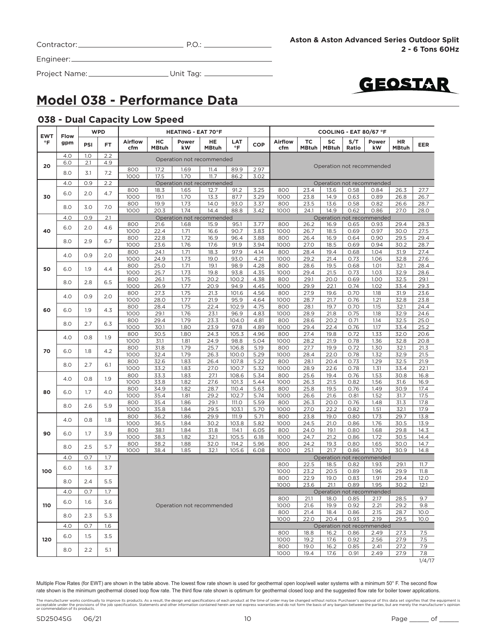| Contractor: |  |
|-------------|--|
|             |  |

Project Name: Unit Tag:



### **Model 038 - Performance Data**

### **038 - Dual Capacity Low Speed**

| <b>EWT</b><br>$\circ$ F |                           |     | <b>WPD</b> |                       |                    | <b>HEATING - EAT 70°F</b> |                    |                  |              |                           |                    |                    |              | COOLING - EAT 80/67 °F    |                    |              |
|-------------------------|---------------------------|-----|------------|-----------------------|--------------------|---------------------------|--------------------|------------------|--------------|---------------------------|--------------------|--------------------|--------------|---------------------------|--------------------|--------------|
|                         | Flow<br>gpm               | PSI | FT.        | <b>Airflow</b><br>cfm | нc<br><b>MBtuh</b> | Power<br>kW               | <b>HE</b><br>MBtuh | LAT<br>$\circ$ F | COP          | Airflow<br>cfm            | ТC<br><b>MBtuh</b> | SC<br><b>MBtuh</b> | S/T<br>Ratio | Power<br>kW               | HR<br><b>MBtuh</b> | <b>EER</b>   |
|                         | 4.0                       | 1.0 | 2.2        |                       |                    | Operation not recommended |                    |                  |              |                           |                    |                    |              |                           |                    |              |
| 20                      | 6.0                       | 2.1 | 4.9        | 800                   | 17.2               | 1.69                      | 11.4               | 89.9             | 2.97         |                           |                    |                    |              | Operation not recommended |                    |              |
|                         | 8.0                       | 3.1 | 7.2        | 1000                  | 17.5               | 1.70                      | 11.7               | 86.2             | 3.02         |                           |                    |                    |              |                           |                    |              |
|                         | 4.0                       | 0.9 | 2.2        |                       |                    | Operation not recommended |                    |                  |              | Operation not recommended |                    |                    |              |                           |                    |              |
|                         | 6.0                       | 2.0 | 4.7        | 800                   | 18.3               | 1.65                      | 12.7               | 91.2             | 3.25         | 800                       | 23.4               | 13.6               | 0.58         | 0.84                      | 26.3               | 27.7         |
| 30                      |                           |     |            | 1000<br>800           | 19.1<br>19.9       | 1.70<br>1.73              | 13.3<br>14.0       | 87.7<br>93.0     | 3.29<br>3.37 | 1000<br>800               | 23.8<br>23.5       | 14.9<br>13.6       | 0.63<br>0.58 | 0.89<br>0.82              | 26.8<br>26.6       | 26.7<br>28.7 |
|                         | 8.0                       | 3.0 | 7.0        | 1000                  | 20.3               | 1.74                      | 14.4               | 88.8             | 3.42         | 1000                      | 24.1               | 14.9               | 0.62         | 0.86                      | 27.0               | 28.0         |
|                         | 4.0                       | 0.9 | 2.1        |                       |                    | Operation not recommended |                    |                  |              |                           |                    |                    |              | Operation not recommended |                    |              |
|                         | 6.0                       |     | 4.6        | 800                   | 21.6               | 1.68                      | 15.9               | 95.1             | 3.77         | 800                       | 26.2               | 16.9               | 0.65         | 0.93                      | 29.4               | 28.3         |
| 40                      |                           | 2.0 |            | 1000                  | 22.4               | 1.71                      | 16.6               | 90.7             | 3.83         | 1000                      | 26.7               | 18.5               | 0.69         | 0.97                      | 30.0               | 27.5         |
|                         | 8.0                       | 2.9 | 6.7        | 800                   | 22.8               | 1.72                      | 16.9               | 96.4             | 3.88         | 800                       | 26.4               | 16.9               | 0.64         | 0.90                      | 29.5               | 29.4         |
|                         |                           |     |            | 1000                  | 23.6               | 1.76                      | 17.6               | 91.9             | 3.94         | 1000                      | 27.0               | 18.5               | 0.69         | 0.94                      | 30.2               | 28.7         |
|                         | 4.0                       | 0.9 | 2.0        | 800                   | 24.1               | 1.71                      | 18.3               | 97.9             | 4.14         | 800                       | 28.4               | 19.4               | 0.68         | 1.04                      | 31.9               | 27.4         |
|                         |                           |     |            | 1000<br>800           | 24.9<br>25.0       | 1.73<br>1.71              | 19.0<br>19.1       | 93.0<br>98.9     | 4.21<br>4.28 | 1000<br>800               | 29.2<br>28.6       | 21.4<br>19.5       | 0.73<br>0.68 | 1.06<br>1.01              | 32.8<br>32.1       | 27.6<br>28.4 |
| 50                      | 6.0                       | 1.9 | 4.4        | 1000                  | 25.7               | 1.73                      | 19.8               | 93.8             | 4.35         | 1000                      | 29.4               | 21.5               | 0.73         | 1.03                      | 32.9               | 28.6         |
|                         |                           |     |            | 800                   | 26.1               | 1.75                      | 20.2               | 100.2            | 4.38         | 800                       | 29.1               | 20.0               | 0.69         | 1.00                      | 32.5               | 29.1         |
|                         | 8.0                       | 2.8 | 6.5        | 1000                  | 26.9               | 1.77                      | 20.9               | 94.9             | 4.45         | 1000                      | 29.9               | 22.1               | 0.74         | 1.02                      | 33.4               | 29.3         |
|                         | 4.0                       | 0.9 | 2.0        | 800                   | 27.3               | 1.75                      | 21.3               | 101.6            | 4.56         | 800                       | 27.9               | 19.6               | 0.70         | 1.18                      | 31.9               | 23.6         |
|                         |                           |     |            | 1000                  | 28.0               | 1.77                      | 21.9               | 95.9             | 4.64         | 1000                      | 28.7               | 21.7               | 0.76         | 1.21                      | 32.8               | 23.8         |
| 60                      | 6.0                       | 1.9 | 4.3        | 800                   | 28.4               | 1.75                      | 22.4               | 102.9            | 4.75         | 800                       | 28.1               | 19.7               | 0.70         | 1.15                      | 32.1               | 24.4         |
|                         |                           |     |            | 1000                  | 29.1               | 1.76                      | 23.1               | 96.9             | 4.83         | 1000                      | 28.9               | 21.8               | 0.75         | 1.18                      | 32.9               | 24.6         |
|                         | 8.0                       | 2.7 | 6.3        | 800<br>1000           | 29.4<br>30.1       | 1.79<br>1.80              | 23.3<br>23.9       | 104.0<br>97.8    | 4.81<br>4.89 | 800<br>1000               | 28.6<br>29.4       | 20.2<br>22.4       | 0.71<br>0.76 | 1.14<br>1.17              | 32.5<br>33.4       | 25.0<br>25.2 |
|                         |                           |     |            | 800                   | 30.5               | 1.80                      | 24.3               | 105.3            | 4.96         | 800                       | 27.4               | 19.8               | 0.72         | 1.33                      | 32.0               | 20.6         |
|                         | 4.0                       | 0.8 | 1.9        | 1000                  | 31.1               | 1.81                      | 24.9               | 98.8             | 5.04         | 1000                      | 28.2               | 21.9               | 0.78         | 1.36                      | 32.8               | 20.8         |
|                         |                           |     |            | 800                   | 31.8               | 1.79                      | 25.7               | 106.8            | 5.19         | 800                       | 27.7               | 19.9               | 0.72         | 1.30                      | 32.1               | 21.3         |
| 70                      | 6.0                       | 1.8 | 4.2        | 1000                  | 32.4               | 1.79                      | 26.3               | 100.0            | 5.29         | 1000                      | 28.4               | 22.0               | 0.78         | 1.32                      | 32.9               | 21.5         |
|                         | 8.0                       | 2.7 | 6.1        | 800                   | 32.6               | 1.83                      | 26.4               | 107.8            | 5.22         | 800                       | 28.1               | 20.4               | 0.73         | 1.29                      | 32.5               | 21.9         |
|                         |                           |     |            | 1000                  | 33.2               | 1.83                      | 27.0               | 100.7            | 5.32         | 1000                      | 28.9               | 22.6               | 0.78         | 1.31                      | 33.4               | 22.1         |
|                         | 4.0                       | 0.8 | 1.9        | 800<br>1000           | 33.3<br>33.8       | 1.83<br>1.82              | 27.1<br>27.6       | 108.6<br>101.3   | 5.34<br>5.44 | 800<br>1000               | 25.6<br>26.3       | 19.4<br>21.5       | 0.76<br>0.82 | 1.53<br>1.56              | 30.8<br>31.6       | 16.8<br>16.9 |
|                         |                           |     |            | 800                   | 34.9               | 1.82                      | 28.7               | 110.4            | 5.63         | 800                       | 25.8               | 19.5               | 0.76         | 1.49                      | 30.9               | 17.4         |
| 80                      | 6.0                       | 1.7 | 4.0        | 1000                  | 35.4               | 1.81                      | 29.2               | 102.7            | 5.74         | 1000                      | 26.6               | 21.6               | 0.81         | 1.52                      | 31.7               | 17.5         |
|                         |                           |     | 5.9        | 800                   | 35.4               | 1.86                      | 29.1               | 111.O            | 5.59         | 800                       | 26.3               | 20.0               | 0.76         | 1.48                      | 31.3               | 17.8         |
|                         | 8.0                       | 2.6 |            | 1000                  | 35.8               | 1.84                      | 29.5               | 103.1            | 5.70         | 1000                      | 27.0               | 22.2               | 0.82         | 1.51                      | 32.1               | 17.9         |
|                         | 4.0                       | 0.8 | 1.8        | 800                   | 36.2               | 1.86                      | 29.9               | 111.9            | 5.71         | 800                       | 23.8               | 19.0               | 0.80         | 1.73                      | 29.7               | 13.8         |
|                         |                           |     |            | 1000                  | 36.5               | 1.84                      | 30.2               | 103.8            | 5.82         | 1000                      | 24.5               | 21.0               | 0.86         | 1.76                      | 30.5               | 13.9         |
| 90                      | 6.0                       | 1.7 | 3.9        | 800<br>1000           | 38.1<br>38.3       | 1.84                      | 31.8<br>32.1       | 114.1<br>105.5   | 6.05         | 800<br>1000               | 24.0<br>24.7       | 19.1<br>21.2       | 0.80<br>0.86 | 1.68<br>1.72              | 29.8<br>30.5       | 14.3<br>14.4 |
|                         |                           |     |            | 800                   | 38.2               | 1.82<br>1.88              | 32.0               | 114.2            | 6.18<br>5.96 | 800                       | 24.2               | 19.3               | 0.80         | 1.65                      | 30.0               | 14.7         |
|                         | 8.0                       | 2.5 | 5.7        | 1000                  | 38.4               | 1.85                      | 32.1               | 105.6            | 6.08         | 1000                      | 25.1               | 21.7               | 0.86         | 1.70                      | 30.9               | 14.8         |
|                         | 4.0                       | O.7 | 1.7        |                       |                    |                           |                    |                  |              |                           |                    |                    |              | Operation not recommended |                    |              |
|                         | 6.0                       | 1.6 | 3.7        |                       |                    |                           |                    |                  |              | 800                       | 22.5               | 18.5               | 0.82         | 1.93                      | 29.1               | 11.7         |
| 100                     |                           |     |            |                       |                    |                           |                    |                  |              | 1000                      | 23.2               | 20.5               | 0.89         | 1.96                      | 29.9               | 11.8<br>12.0 |
|                         | 8.0                       | 2.4 | 5.5        |                       |                    |                           |                    |                  |              | 800<br>1000               | 22.9<br>23.6       | 19.0<br>21.1       | 0.83<br>0.89 | 1.91<br>1.95              | 29.4<br>30.2       | 12.1         |
|                         | 4.0                       | 0.7 | 1.7        |                       |                    |                           |                    |                  |              |                           |                    |                    |              | Operation not recommended |                    |              |
|                         | 6.0                       | 1.6 | 3.6        |                       |                    |                           |                    |                  |              | 800                       | 21.1               | 18.0               | 0.85         | 2.17                      | 28.5               | 9.7          |
| 110                     | Operation not recommended |     |            |                       |                    |                           |                    |                  |              | 1000<br>800               | 21.6<br>21.4       | 19.9<br>18.4       | 0.92<br>0.86 | 2.21<br>2.15              | 29.2<br>28.7       | 9.8<br>10.0  |
|                         | 8.0                       | 2.3 | 5.3        |                       |                    |                           |                    |                  |              | 1000                      | 22.0               | 20.4               | 0.93         | 2.19                      | 29.5               | 10.0         |
|                         | 4.0                       | 0.7 | 1.6        |                       |                    |                           |                    |                  |              |                           |                    |                    |              | Operation not recommended |                    |              |
| 120                     | 6.0                       | 1.5 | 3.5        |                       |                    |                           |                    |                  |              | 800<br>1000               | 18.8<br>19.2       | 16.2<br>17.6       | 0.86         | 2.49                      | 27.3<br>27.9       | 7.5<br>7.5   |
|                         |                           |     |            |                       |                    |                           |                    |                  |              | 800                       | 19.0               | 16.2               | 0.92<br>0.85 | 2.56<br>2.41              | 27.2               | 7.9          |
|                         | 8.0                       | 2.2 | 5.1        |                       |                    |                           |                    |                  |              | 1000                      | 19.4               | 17.6               | 0.91         | 2.49                      | 27.9               | 7.8          |
|                         |                           |     |            |                       |                    |                           |                    |                  |              |                           |                    |                    |              |                           |                    | 1/4/17       |

The manufacturer works continually to improve its products. As a result, the design and specifications of each product at the time of order may be changed without notice. Purchaser's approval of this data set signifies tha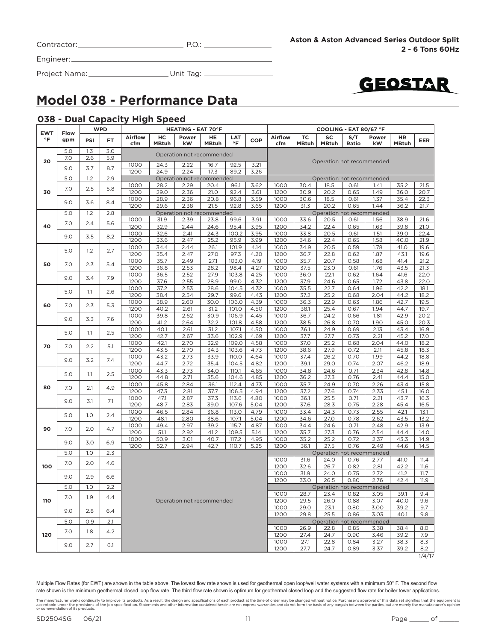| Contractor: |  |
|-------------|--|
|             |  |

 $P.O.:$ 



Project Name: Unit Tag:



### **Model 038 - Performance Data**

#### **038 - Dual Capacity High Speed**

| <b>EWT</b> |                          |     | <b>WPD</b><br><b>HEATING - EAT 70°F</b><br>ТC<br><b>Airflow</b><br>нc<br>HE<br>LAT<br>Airflow<br>Power<br><b>COP</b><br>FT. | COOLING - EAT 80/67 °F |              |                                   |              |                |              |              |              |                                   |              |              |                    |               |
|------------|--------------------------|-----|-----------------------------------------------------------------------------------------------------------------------------|------------------------|--------------|-----------------------------------|--------------|----------------|--------------|--------------|--------------|-----------------------------------|--------------|--------------|--------------------|---------------|
| °F         | Flow<br>gpm              | PSI |                                                                                                                             | cfm                    | <b>MBtuh</b> | kW                                | <b>MBtuh</b> | $\circ$ F      |              | cfm          | <b>MBtuh</b> | SC<br><b>MBtuh</b>                | S/T<br>Ratio | Power<br>kW  | HR<br><b>MBtuh</b> | EER           |
|            | 5.0                      | 1.3 | 3.0                                                                                                                         |                        |              | Operation not recommended         |              |                |              |              |              |                                   |              |              |                    |               |
| 20         | 7.0                      | 2.6 | 5.9                                                                                                                         |                        |              |                                   |              |                |              |              |              |                                   |              |              |                    |               |
|            | 9.0                      | 3.7 | 8.7                                                                                                                         | 1000                   | 24.3<br>24.9 | 2.22                              | 16.7<br>17.3 | 92.5           | 3.21         |              |              | Operation not recommended         |              |              |                    |               |
|            | 5.0                      | 1.2 | 2.9                                                                                                                         | 1200                   |              | 2.24<br>Operation not recommended |              | 89.2           | 3.26         |              |              | Operation not recommended         |              |              |                    |               |
|            |                          |     |                                                                                                                             | 1000                   | 28.2         | 2.29                              | 20.4         | 96.1           | 3.62         | 1000         | 30.4         | 18.5                              | 0.61         | 1.41         | 35.2               | 21.5          |
| 30         | 7.0                      | 2.5 | 5.8                                                                                                                         | 1200                   | 29.0         | 2.36                              | 21.0         | 92.4           | 3.61         | 1200         | 30.9         | 20.2                              | 0.65         | 1.49         | 36.0               | 20.7          |
|            | 9.0                      | 3.6 | 8.4                                                                                                                         | 1000                   | 28.9         | 2.36                              | 20.8         | 96.8           | 3.59         | 1000         | 30.6         | 18.5                              | 0.61         | 1.37         | 35.4               | 22.3          |
|            |                          |     |                                                                                                                             | 1200                   | 29.6         | 2.38                              | 21.5         | 92.8           | 3.65         | 1200         | 31.3         | 20.2                              | 0.65         | 1.44         | 36.2               | 21.7          |
|            | 5.0                      | 1.2 | 2.8                                                                                                                         |                        |              | Operation not recommended         |              |                |              |              |              | Operation not recommended         |              |              |                    |               |
|            | 7.0                      | 2.4 | 5.6                                                                                                                         | 1000                   | 31.9         | 2.39                              | 23.8         | 99.6           | 3.91         | 1000         | 33.6         | 20.5                              | 0.61         | 1.56         | 38.9               | 21.6          |
| 40         |                          |     |                                                                                                                             | 1200<br>1000           | 32.9<br>32.6 | 2.44<br>2.41                      | 24.6<br>24.3 | 95.4<br>100.2  | 3.95<br>3.95 | 1200<br>1000 | 34.2<br>33.8 | 22.4<br>20.5                      | 0.65<br>0.61 | 1.63<br>1.51 | 39.8<br>39.0       | 21.0<br>22.4  |
|            | 9.0                      | 3.5 | 8.2                                                                                                                         | 1200                   | 33.6         | 2.47                              | 25.2         | 95.9           | 3.99         | 1200         | 34.6         | 22.4                              | 0.65         | 1.58         | 40.0               | 21.9          |
|            |                          |     |                                                                                                                             | 1000                   | 34.4         | 2.44                              | 26.1         | 101.9          | 4.14         | 1000         | 34.9         | 20.5                              | 0.59         | 1.78         | 41.0               | 19.6          |
|            | 5.0                      | 1.2 | 2.7                                                                                                                         | 1200                   | 35.4         | 2.47                              | 27.0         | 97.3           | 4.20         | 1200         | 36.7         | 22.8                              | 0.62         | 1.87         | 43.1               | 19.6          |
| 50         | 7.0                      | 2.3 | 5.4                                                                                                                         | 1000                   | 35.7         | 2.49                              | 27.1         | 103.0          | 4.19         | 1000         | 35.7         | 20.7                              | 0.58         | 1.68         | 41.4               | 21.2          |
|            |                          |     |                                                                                                                             | 1200                   | 36.8         | 2.53                              | 28.2         | 98.4           | 4.27         | 1200         | 37.5         | 23.0                              | 0.61         | 1.76         | 43.5               | 21.3          |
|            | 9.0                      | 3.4 | 7.9                                                                                                                         | 1000                   | 36.5         | 2.52                              | 27.9         | 103.8          | 4.25         | 1000         | 36.0         | 22.1                              | 0.62         | 1.64         | 41.6               | 22.0          |
|            |                          |     |                                                                                                                             | 1200                   | 37.6         | 2.55                              | 28.9         | 99.0           | 4.32         | 1200         | 37.9         | 24.6                              | 0.65         | 1.72         | 43.8               | 22.0          |
|            | 5.0<br>1.1<br>7.0<br>2.3 | 2.6 | 1000                                                                                                                        | 37.2                   | 2.53         | 28.6                              | 104.5        | 4.32           | 1000         | 35.5         | 22.7         | 0.64                              | 1.96         | 42.2         | 18.1               |               |
|            |                          |     |                                                                                                                             | 1200<br>1000           | 38.4<br>38.9 | 2.54<br>2.60                      | 29.7<br>30.0 | 99.6<br>106.0  | 4.43<br>4.39 | 1200<br>1000 | 37.2<br>36.3 | 25.2<br>22.9                      | 0.68<br>0.63 | 2.04<br>1.86 | 44.2<br>42.7       | 18.2<br>19.5  |
| 60         |                          |     | 5.3                                                                                                                         | 1200                   | 40.2         | 2.61                              | 31.2         | 101.0          | 4.50         | 1200         | 38.1         | 25.4                              | 0.67         | 1.94         | 44.7               | 19.7          |
|            |                          |     |                                                                                                                             | 1000                   | 39.8         | 2.62                              | 30.9         | 106.9          | 4.45         | 1000         | 36.7         | 24.2                              | 0.66         | 1.81         | 42.9               | 20.2          |
|            | 9.0                      | 3.3 | 7.6                                                                                                                         | 1200                   | 41.2         | 2.64                              | 32.2         | 101.8          | 4.58         | 1200         | 38.5         | 26.8                              | 0.70         | 1.90         | 45.0               | 20.3          |
|            |                          |     | 2.5                                                                                                                         | 1000                   | 40.1         | 2.61                              | 31.2         | 107.1          | 4.50         | 1000         | 36.1         | 24.9                              | 0.69         | 2.13         | 43.4               | 16.9          |
|            | 5.0                      | 1.1 |                                                                                                                             | 1200                   | 42.7         | 2.67                              | 33.6         | 102.9          | 4.69         | 1200         | 37.7         | 27.7                              | 0.73         | 2.21         | 45.2               | 17.0          |
|            | 70<br>7.0                | 2.2 | 5.1                                                                                                                         | 1000                   | 42.1         | 2.70                              | 32.9         | 109.0          | 4.58         | 1000         | 37.0         | 25.2                              | 0.68         | 2.04         | 44.0               | 18.2          |
|            |                          |     |                                                                                                                             | 1200                   | 43.5         | 2.70                              | 34.3         | 103.6          | 4.73         | 1200         | 38.6         | 27.9                              | 0.72         | 2.11         | 45.8               | 18.3          |
|            | 9.0                      | 3.2 | 7.4                                                                                                                         | 1000                   | 43.2         | 2.73                              | 33.9         | 110.0          | 4.64         | 1000         | 37.4         | 26.2                              | 0.70         | 1.99         | 44.2               | 18.8          |
|            |                          |     |                                                                                                                             | 1200<br>1000           | 44.7<br>43.3 | 2.72<br>2.73                      | 35.4<br>34.0 | 104.5<br>110.1 | 4.82<br>4.65 | 1200<br>1000 | 39.1<br>34.8 | 29.0<br>24.6                      | 0.74<br>0.71 | 2.07<br>2.34 | 46.2<br>42.8       | 18.9<br>14.8  |
|            | 5.0                      | 1.1 | 2.5                                                                                                                         | 1200                   | 44.8         | 2.71                              | 35.6         | 104.6          | 4.85         | 1200         | 36.2         | 27.3                              | 0.76         | 2.41         | 44.4               | 15.0          |
|            | 7.0<br>2.1               |     | 1000                                                                                                                        | 45.8                   | 2.84         | 36.1                              | 112.4        | 4.73           | 1000         | 35.7         | 24.9         | 0.70                              | 2.26         | 43.4         | 15.8               |               |
| 80         |                          |     | 4.9                                                                                                                         | 1200                   | 47.3         | 2.81                              | 37.7         | 106.5          | 4.94         | 1200         | 37.2         | 27.6                              | 0.74         | 2.33         | 45.1               | 16.0          |
|            |                          |     | 7.1                                                                                                                         | 1000                   | 47.1         | 2.87                              | 37.3         | 113.6          | 4.80         | 1000         | 36.1         | 25.5                              | 0.71         | 2.21         | 43.7               | 16.3          |
|            | 9.0<br>3.1               |     | 1200                                                                                                                        | 48.7                   | 2.83         | 39.0                              | 107.6        | 5.04           | 1200         | 37.6         | 28.3         | 0.75                              | 2.28         | 45.4         | 16.5               |               |
|            | 5.0                      | 1.0 | 2.4                                                                                                                         | 1000                   | 46.5         | 2.84                              | 36.8         | 113.0          | 4.79         | 1000         | 33.4         | 24.3                              | 0.73         | 2.55         | 42.1               | 13.1          |
|            |                          |     |                                                                                                                             | 1200                   | 48.1         | 2.80                              | 38.6         | 107.1          | 5.04         | 1200         | 34.6         | 27.0                              | 0.78         | 2.62         | 43.5               | 13.2          |
| 90         | 7.0                      | 2.0 | 4.7                                                                                                                         | 1000<br>1200           | 49.4<br>51.1 | 2.97<br>2.92                      | 39.2<br>41.2 | 115.7<br>109.5 | 4.87<br>5.14 | 1000<br>1200 | 34.4<br>35.7 | 24.6<br>27.3                      | 0.71<br>0.76 | 2.48<br>2.54 | 42.9<br>44.4       | 13.9<br>14.0  |
|            |                          |     |                                                                                                                             | 1000                   | 50.9         | 3.01                              | 40.7         | 117.2          | 4.95         | 1000         | 35.2         | 25.2                              | 0.72         | 2.37         | 43.3               | 14.9          |
|            | 9.0                      | 3.0 | 6.9                                                                                                                         | 1200                   | 52.7         | 2.94                              | 42.7         | 110.7          | 5.25         | 1200         | 36.1         | 27.5                              | 0.76         | 2.49         | 44.6               | 14.5          |
|            | 5.0                      | 1.0 | 2.3                                                                                                                         |                        |              |                                   |              |                |              |              |              | Operation not recommended         |              |              |                    |               |
|            | 7.0                      | 2.0 | 4.6                                                                                                                         |                        |              |                                   |              |                |              | 1000         | 31.6         | 24.0                              | 0.76         | 2.77         | 41.0               | 11.4          |
| 100        |                          |     |                                                                                                                             |                        |              |                                   |              |                |              | 1200         | 32.6         | 26.7                              | 0.82         | 2.81         | 42.2               | 11.6          |
|            | 9.0                      | 2.9 | 6.6                                                                                                                         |                        |              |                                   |              |                |              | 1000         | 31.9         | 24.0                              | 0.75         | 2.72         | 41.2               | 11.7          |
|            |                          |     |                                                                                                                             |                        |              |                                   |              |                |              | 1200         | 33.0         | 26.5                              | 0.80         | 2.76         | 42.4               | 11.9          |
|            | 5.0                      | 1.0 | 2.2                                                                                                                         |                        |              |                                   |              |                |              | 1000         | 28.7         | Operation not recommended<br>23.4 | 0.82         | 3.05         | 39.1               | 9.4           |
| 110        | 7.0                      | 1.9 | 4.4                                                                                                                         |                        |              | Operation not recommended         |              |                |              | 1200         | 29.5         | 26.0                              | 0.88         | 3.07         | 40.0               | 9.6           |
|            |                          |     |                                                                                                                             |                        |              |                                   |              |                |              | 1000         | 29.0         | 23.1                              | 0.80         | 3.00         | 39.2               | 9.7           |
|            | 9.0                      | 2.8 | 6.4                                                                                                                         |                        |              |                                   |              |                |              | 1200         | 29.8         | 25.5                              | 0.86         | 3.03         | 40.1               | 9.8           |
|            | 5.0                      | 0.9 | 2.1                                                                                                                         |                        |              |                                   |              |                |              |              |              | Operation not recommended         |              |              |                    |               |
|            | 7.0                      | 1.8 | 4.2                                                                                                                         |                        |              |                                   |              |                |              | 1000         | 26.9         | 22.8                              | 0.85         | 3.38         | 38.4               | 8.0           |
| 120        |                          |     |                                                                                                                             |                        |              |                                   |              |                |              | 1200         | 27.4         | 24.7                              | 0.90         | 3.46         | 39.2               | 7.9           |
|            | 9.0                      | 2.7 | 6.1                                                                                                                         |                        |              |                                   |              |                |              | 1000         | 27.1         | 22.8                              | 0.84         | 3.27         | 38.3               | 8.3           |
|            |                          |     |                                                                                                                             |                        |              |                                   |              |                |              | 1200         | 27.7         | 24.7                              | 0.89         | 3.37         | 39.2               | 8.2<br>1/4/17 |

The manufacturer works continually to improve its products. As a result, the design and specifications of each product at the time of order may be changed without notice. Purchaser's approval of this data set signifies tha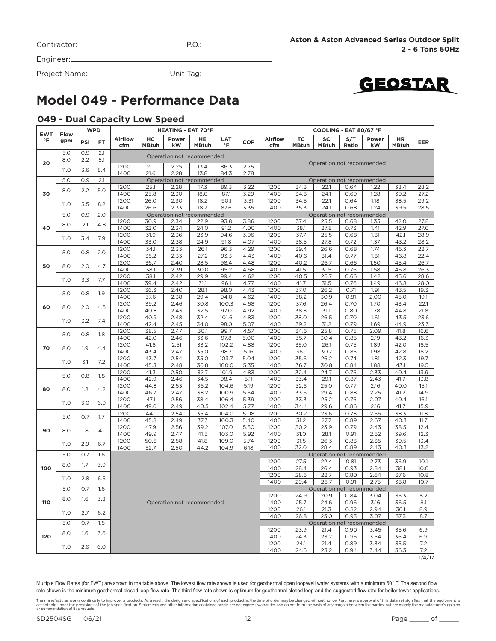|  | Contractor: |  |
|--|-------------|--|
|--|-------------|--|

Contractor: P.O.:

Engineer:

Project Name: Unit Tag:



### **Model 049 - Performance Data**

#### **049 - Dual Capacity Low Speed**

| <b>EWT</b> | <b>Flow</b> |     | <b>WPD</b> |                |                    | <b>HEATING - EAT 70°F</b> |                           |                         |              | COOLING - EAT 80/67 °F |                    |                           |              |              |                    |              |
|------------|-------------|-----|------------|----------------|--------------------|---------------------------|---------------------------|-------------------------|--------------|------------------------|--------------------|---------------------------|--------------|--------------|--------------------|--------------|
| $\circ$ F  | gpm         | PSI | <b>FT</b>  | Airflow<br>cfm | нc<br><b>MBtuh</b> | Power<br>kW               | HE.<br><b>MBtuh</b>       | <b>LAT</b><br>$\circ$ F | <b>COP</b>   | <b>Airflow</b><br>cfm  | ТC<br><b>MBtuh</b> | SC<br><b>MBtuh</b>        | S/T<br>Ratio | Power<br>kW  | HR<br><b>MBtuh</b> | <b>EER</b>   |
|            | 5.0         | 0.9 | 2.1        |                |                    |                           | Operation not recommended |                         |              |                        |                    |                           |              |              |                    |              |
| 20         | 8.0         | 2.2 | 5.1        |                |                    |                           |                           |                         |              |                        |                    | Operation not recommended |              |              |                    |              |
|            | 11.0        | 3.6 | 8.4        | 1200           | 21.1               | 2.25                      | 13.4                      | 86.3                    | 2.75         |                        |                    |                           |              |              |                    |              |
|            |             |     |            | 1400           | 21.6               | 2.28                      | 13.8                      | 84.3                    | 2.78         |                        |                    |                           |              |              |                    |              |
|            | 5.0         | 0.9 | 2.1        |                |                    |                           | Operation not recommended |                         |              |                        |                    | Operation not recommended |              |              |                    |              |
|            | 8.0         | 2.2 | 5.0        | 1200           | 25.1               | 2.28                      | 17.3                      | 89.3                    | 3.22         | 1200                   | 34.3               | 22.1                      | 0.64         | 1.22         | 38.4               | 28.2         |
| 30         |             |     |            | 1400           | 25.8               | 2.30                      | 18.0                      | 87.1                    | 3.29         | 1400                   | 34.8               | 24.1                      | 0.69         | 1.28         | 39.2               | 27.2         |
|            | 11.0        | 3.5 | 8.2        | 1200<br>1400   | 26.0<br>26.6       | 2.30<br>2.33              | 18.2<br>18.7              | 90.1<br>87.6            | 3.31<br>3.35 | 1200<br>1400           | 34.5<br>35.3       | 22.1<br>24.1              | 0.64<br>0.68 | 1.18<br>1.24 | 38.5<br>39.5       | 29.2<br>28.5 |
|            | 5.0         | 0.9 | 2.0        |                |                    |                           | Operation not recommended |                         |              |                        |                    | Operation not recommended |              |              |                    |              |
|            |             |     |            | 1200           | 30.9               | 2.34                      | 22.9                      | 93.8                    | 3.86         | 1200                   | 37.4               | 25.5                      | 0.68         | 1.35         | 42.0               | 27.8         |
| 40         | 8.0         | 2.1 | 4.8        | 1400           | 32.0               | 2.34                      | 24.0                      | 91.2                    | 4.00         | 1400                   | 38.1               | 27.8                      | 0.73         | 1.41         | 42.9               | 27.0         |
|            |             |     |            | 1200           | 31.9               | 2.36                      | 23.9                      | 94.6                    | 3.96         | 1200                   | 37.7               | 25.5                      | 0.68         | 1.31         | 42.1               | 28.9         |
|            | 11.0        | 3.4 | 7.9        | 1400           | 33.0               | 2.38                      | 24.9                      | 91.8                    | 4.07         | 1400                   | 38.5               | 27.8                      | 0.72         | 1.37         | 43.2               | 28.2         |
|            |             |     |            | 1200           | 34.1               | 2.33                      | 26.1                      | 96.3                    | 4.29         | 1200                   | 39.4               | 26.6                      | 0.68         | 1.74         | 45.3               | 22.7         |
|            | 5.0         | 0.8 | 2.0        | 1400           | 35.2               | 2.33                      | 27.2                      | 93.3                    | 4.43         | 1400                   | 40.6               | 31.4                      | 0.77         | 1.81         | 46.8               | 22.4         |
|            |             |     |            | 1200           | 36.7               | 2.40                      | 28.5                      | 98.4                    | 4.48         | 1200                   | 40.2               | 26.7                      | 0.66         | 1.50         | 45.4               | 26.7         |
| 50         | 8.0         | 2.0 | 4.7        | 1400           | 38.1               | 2.39                      | 30.0                      | 95.2                    | 4.68         | 1400                   | 41.5               | 31.5                      | 0.76         | 1.58         | 46.8               | 26.3         |
|            |             |     |            | 1200           | 38.1               | 2.42                      | 29.9                      | 99.4                    | 4.62         | 1200                   | 40.5               | 26.7                      | 0.66         | 1.42         | 45.6               | 28.6         |
|            | 11.O        | 3.3 | 7.7        | 1400           | 39.4               | 2.42                      | 31.1                      | 96.1                    | 4.77         | 1400                   | 41.7               | 31.5                      | 0.76         | 1.49         | 46.8               | 28.0         |
|            |             |     |            | 1200           | 36.3               | 2.40                      | 28.1                      | 98.0                    | 4.43         | 1200                   | 37.0               | 26.2                      | 0.71         | 1.91         | 43.5               | 19.3         |
|            | 5.0         | 0.8 | 1.9        | 1400           | 37.6               | 2.38                      | 29.4                      | 94.8                    | 4.62         | 1400                   | 38.2               | 30.9                      | 0.81         | 2.00         | 45.0               | 19.1         |
| 60         | 8.0         | 2.0 | 4.5        | 1200           | 39.2               | 2.46                      | 30.8                      | 100.3                   | 4.68         | 1200                   | 37.6               | 26.4                      | 0.70         | 1.70         | 43.4               | 22.1         |
|            |             |     |            | 1400           | 40.8               | 2.43                      | 32.5                      | 97.0                    | 4.92         | 1400                   | 38.8               | 31.1                      | 0.80         | 1.78         | 44.8               | 21.8         |
|            | 11.0        | 3.2 | 7.4        | 1200           | 40.9               | 2.48                      | 32.4                      | 101.6                   | 4.83         | 1200                   | 38.0               | 26.5                      | 0.70         | 1.61         | 43.5               | 23.6         |
|            |             |     |            | 1400           | 42.4               | 2.45                      | 34.0                      | 98.0                    | 5.07         | 1400                   | 39.2               | 31.2                      | 0.79         | 1.69         | 44.9               | 23.3         |
|            | 5.0         | 0.8 | 1.8        | 1200           | 38.5               | 2.47                      | 30.1                      | 99.7                    | 4.57         | 1200                   | 34.6               | 25.8                      | 0.75         | 2.09         | 41.8               | 16.6         |
|            |             |     |            | 1400           | 42.0               | 2.46                      | 33.6                      | 97.8                    | 5.00         | 1400                   | 35.7               | 30.4                      | 0.85         | 2.19         | 43.2               | 16.3         |
| 70         | 8.0         | 1.9 | 4.4        | 1200           | 41.8               | 2.51                      | 33.2                      | 102.2                   | 4.88         | 1200                   | 35.0               | 26.1                      | 0.75         | 1.89         | 42.0               | 18.5         |
|            |             |     |            | 1400           | 43.4               | 2.47                      | 35.0                      | 98.7                    | 5.16         | 1400                   | 36.1               | 30.7                      | 0.85         | 1.98         | 42.8               | 18.2         |
|            | 11.O        | 3.1 | 7.2        | 1200           | 43.7               | 2.54                      | 35.0                      | 103.7                   | 5.04         | 1200                   | 35.6               | 26.2                      | 0.74         | 1.81         | 42.3               | 19.7         |
|            |             |     |            | 1400           | 45.3               | 2.48                      | 36.8                      | 100.0                   | 5.35         | 1400                   | 36.7               | 30.8                      | 0.84         | 1.88         | 43.1               | 19.5         |
|            | 5.0         | 0.8 | 1.8        | 1200<br>1400   | 41.3<br>42.9       | 2.50                      | 32.7                      | 101.9<br>98.4           | 4.83<br>5.11 | 1200                   | 32.4               | 24.7                      | 0.76<br>0.87 | 2.33         | 40.4<br>41.7       | 13.9         |
|            |             |     |            | 1200           | 44.8               | 2.46<br>2.53              | 34.5<br>36.2              | 104.6                   | 5.19         | 1400<br>1200           | 33.4<br>32.6       | 29.1<br>25.0              | 0.77         | 2.43<br>2.16 | 40.0               | 13.8<br>15.1 |
| 80         | 8.0         | 1.8 | 4.2        | 1400           | 46.7               | 2.47                      | 38.2                      | 100.9                   | 5.54         | 1400                   | 33.6               | 29.4                      | 0.88         | 2.25         | 41.2               | 14.9         |
|            |             |     |            | 1200           | 47.1               | 2.56                      | 38.4                      | 106.4                   | 5.39         | 1200                   | 33.3               | 25.2                      | 0.76         | 2.07         | 40.4               | 16.1         |
|            | 11.O        | 3.0 | 6.9        | 1400           | 49.0               | 2.49                      | 40.5                      | 102.4                   | 5.77         | 1400                   | 34.4               | 29.6                      | 0.86         | 2.16         | 41.7               | 15.9         |
|            |             |     |            | 1200           | 44.1               | 2.54                      | 35.4                      | 104.0                   | 5.08         | 1200                   | 30.2               | 23.6                      | 0.78         | 2.56         | 38.3               | 11.8         |
|            | 5.0         | 0.7 | 1.7        | 1400           | 45.8               | 2.49                      | 37.3                      | 100.3                   | 5.40         | 1400                   | 31.2               | 27.7                      | 0.89         | 2.67         | 40.3               | 11.7         |
|            |             |     |            | 1200           | 47.9               | 2.56                      | 39.2                      | 107.0                   | 5.50         | 1200                   | 30.2               | 23.9                      | 0.79         | 2.43         | 38.5               | 12.4         |
| 90         | 8.0         | 1.8 | 4.1        | 1400           | 49.9               | 2.47                      | 41.5                      | 103.0                   | 5.92         | 1400                   | 31.0               | 28.1                      | 0.91         | 2.52         | 39.6               | 12.3         |
|            |             |     |            | 1200           | 50.6               | 2.58                      | 41.8                      | 109.0                   | 5.74         | 1200                   | 31.5               | 26.3                      | 0.83         | 2.35         | 39.5               | 13.4         |
|            | 11.0        | 2.9 | 6.7        | 1400           | 52.7               | 2.50                      | 44.2                      | 104.9                   | 6.18         | 1400                   | 32.0               | 28.4                      | 0.89         | 2.43         | 40.3               | 13.2         |
|            | 5.0         | 0.7 | 1.6        |                |                    |                           |                           |                         |              |                        |                    | Operation not recommended |              |              |                    |              |
|            | 8.0         | 1.7 | 3.9        |                |                    |                           |                           |                         |              | 1200                   | 27.5               | 22.4                      | 0.81         | 2.73         | 36.9               | 10.1         |
| 100        |             |     |            |                |                    |                           |                           |                         |              | 1400                   | 28.4               | 26.4                      | 0.93         | 2.84         | 38.1               | 10.0         |
|            | 11.0        | 2.8 | 6.5        |                |                    |                           |                           |                         |              | 1200                   | 28.6               | 22.7                      | 0.80         | 2.64         | 37.6               | 10.8         |
|            | 5.0         | 0.7 | 1.6        |                |                    |                           |                           |                         |              | 1400                   | 29.4               | 26.7                      | 0.91         | 2.75         | 38.8               | 10.7         |
|            |             |     |            |                |                    |                           |                           |                         |              |                        |                    | Operation not recommended |              |              |                    |              |
| 110        | 8.0         | 1.6 | 3.8        |                |                    |                           | Operation not recommended |                         |              | 1200<br>1400           | 24.9<br>25.7       | 20.9<br>24.6              | 0.84<br>0.96 | 3.04<br>3.16 | 35.3<br>36.5       | 8.2<br>8.1   |
|            |             |     |            |                |                    |                           |                           |                         |              | 1200                   | 26.1               | 21.3                      | 0.82         | 2.94         | 36.1               | 8.9          |
|            | 11.O        | 2.7 | 6.2        |                |                    |                           |                           |                         |              | 1400                   | 26.8               | 25.0                      | 0.93         | 3.07         | 37.3               | 8.7          |
|            | 5.0         | 0.7 | 1.5        |                |                    |                           |                           |                         |              |                        |                    | Operation not recommended |              |              |                    |              |
|            |             |     |            |                |                    |                           |                           |                         |              | 1200                   | 23.9               | 21.4                      | 0.90         | 3.45         | 35.6               | 6.9          |
| 120        | 8.0         | 1.6 | 3.6        |                |                    |                           |                           |                         |              | 1400                   | 24.3               | 23.2                      | 0.95         | 3.54         | 36.4               | 6.9          |
|            | 11.O        | 2.6 | 6.0        |                |                    |                           |                           |                         |              | 1200                   | 24.1               | 21.4                      | 0.89         | 3.34         | 35.5               | 7.2          |
|            |             |     |            |                |                    |                           |                           |                         |              | 1400                   | 24.6               | 23.2                      | 0.94         | 3.44         | 36.3               | 7.2          |
|            |             |     |            |                |                    |                           |                           |                         |              |                        |                    |                           |              |              |                    | 1/4/17       |

The manufacturer works continually to improve its products. As a result, the design and specifications of each product at the time of order may be changed without notice. Purchaser's approval of this data set signifies tha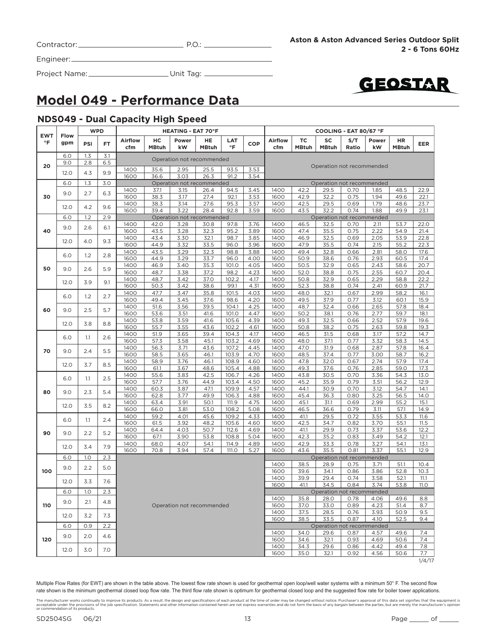| Contractor: |  |
|-------------|--|
|             |  |

Project Name: Unit Tag:



### **Model 049 - Performance Data**

#### **NDS049 - Dual Capacity High Speed**

|                         |             | <b>WPD</b> |     |                |                    | <b>HEATING - EAT 70°F</b> |                           |                |              | COOLING - EAT 80/67 °F |                    |                                   |              |              |                    |               |
|-------------------------|-------------|------------|-----|----------------|--------------------|---------------------------|---------------------------|----------------|--------------|------------------------|--------------------|-----------------------------------|--------------|--------------|--------------------|---------------|
| <b>EWT</b><br>$\circ$ F | Flow<br>gpm | PSI        | FT. | Airflow<br>cfm | HC<br><b>MBtuh</b> | Power<br>kW               | HE<br><b>MBtuh</b>        | LAT<br>°F      | COP          | Airflow<br>cfm         | ТC<br><b>MBtuh</b> | SC<br><b>MBtuh</b>                | S/T<br>Ratio | Power<br>kW  | HR<br><b>MBtuh</b> | <b>EER</b>    |
|                         | 6.0         | 1.3        | 3.1 |                |                    |                           | Operation not recommended |                |              |                        |                    |                                   |              |              |                    |               |
| 20                      | 9.0         | 2.8        | 6.5 |                |                    |                           |                           |                |              |                        |                    | Operation not recommended         |              |              |                    |               |
|                         | 12.0        | 4.3        | 9.9 | 1400<br>1600   | 35.6<br>36.6       | 2.95<br>3.03              | 25.5<br>26.3              | 93.5<br>91.2   | 3.53<br>3.54 |                        |                    |                                   |              |              |                    |               |
|                         | 6.0         | 1.3        | 3.0 |                |                    |                           | Operation not recommended |                |              |                        |                    | Operation not recommended         |              |              |                    |               |
|                         | 9.0         | 2.7        | 6.3 | 1400           | 37.1               | 3.15                      | 26.4                      | 94.5           | 3.45         | 1400                   | 42.2               | 29.5                              | 0.70         | 1.85         | 48.5               | 22.9          |
| 30                      |             |            |     | 1600           | 38.3               | 3.17                      | 27.4                      | 92.1           | 3.53         | 1600<br>1400           | 42.9               | 32.2                              | 0.75         | 1.94         | 49.6               | 22.1          |
|                         | 12.0        | 4.2        | 9.6 | 1400<br>1600   | 38.3<br>39.4       | 3.14<br>3.22              | 27.6<br>28.4              | 95.3<br>92.8   | 3.57<br>3.59 | 1600                   | 42.5<br>43.5       | 29.5<br>32.2                      | 0.69<br>0.74 | 1.79<br>1.88 | 48.6<br>49.9       | 23.7<br>23.1  |
|                         | 6.0         | 1.2        | 2.9 |                |                    |                           | Operation not recommended |                |              |                        |                    | Operation not recommended         |              |              |                    |               |
|                         | 9.0         | 2.6        | 6.1 | 1400           | 42.0               | 3.28                      | 30.8                      | 97.8           | 3.76         | 1400                   | 46.5               | 32.5                              | 0.70         | 2.11         | 53.7               | 22.0          |
| 40                      |             |            |     | 1600           | 43.5               | 3.28                      | 32.3                      | 95.2           | 3.89         | 1600                   | 47.4               | 35.5                              | 0.75         | 2.22         | 54.9               | 21.4          |
|                         | 12.0        | 4.0        | 9.3 | 1400           | 43.4               | 3.30                      | 32.1                      | 98.7           | 3.85         | 1400                   | 46.9               | 32.5                              | 0.69         | 2.05         | 53.9               | 22.8          |
|                         |             |            |     | 1600<br>1400   | 44.9               | 3.32                      | 33.5                      | 96.0           | 3.96         | 1600<br>1400           | 47.9<br>49.4       | 35.5                              | 0.74         | 2.15         | 55.2               | 22.3          |
|                         | 6.0         | 1.2        | 2.8 | 1600           | 43.5<br>44.9       | 3.29<br>3.29              | 32.3<br>33.7              | 98.8<br>96.0   | 3.88<br>4.00 | 1600                   | 50.9               | 32.8<br>38.6                      | 0.66<br>0.76 | 2.81<br>2.93 | 58.0<br>60.5       | 17.6<br>17.4  |
|                         |             |            |     | 1400           | 46.9               | 3.40                      | 35.3                      | 101.0          | 4.05         | 1400                   | 50.5               | 32.9                              | 0.65         | 2.43         | 58.6               | 20.7          |
| 50                      | 9.0         | 2.6        | 5.9 | 1600           | 48.7               | 3.38                      | 37.2                      | 98.2           | 4.23         | 1600                   | 52.0               | 38.8                              | 0.75         | 2.55         | 60.7               | 20.4          |
|                         | 12.0        | 3.9        | 9.1 | 1400           | 48.7               | 3.42                      | 37.0                      | 102.2          | 4.17         | 1400                   | 50.8               | 32.9                              | 0.65         | 2.29         | 58.8               | 22.2          |
|                         |             |            |     | 1600           | 50.3               | 3.42                      | 38.6                      | 99.1           | 4.31         | 1600                   | 52.3               | 38.8                              | 0.74         | 2.41         | 60.9               | 21.7          |
|                         | 6.0         | 1.2        | 2.7 | 1400           | 47.7               | 3.47                      | 35.8                      | 101.5          | 4.03         | 1400                   | 48.0               | 32.1                              | 0.67         | 2.99         | 58.2               | 16.1          |
|                         |             |            |     | 1600           | 49.4               | 3.45                      | 37.6                      | 98.6           | 4.20         | 1600<br>1400           | 49.5               | 37.9<br>32.4                      | 0.77         | 3.12         | 60.1               | 15.9          |
| 60                      | 9.0         | 2.5        | 5.7 | 1400<br>1600   | 51.6<br>53.6       | 3.56<br>3.51              | 39.5<br>41.6              | 104.1<br>101.0 | 4.25<br>4.47 | 1600                   | 48.7<br>50.2       | 38.1                              | 0.66<br>0.76 | 2.65<br>2.77 | 57.8<br>59.7       | 18.4<br>18.1  |
|                         |             |            |     | 1400           | 53.8               | 3.59                      | 41.6                      | 105.6          | 4.39         | 1400                   | 49.3               | 32.5                              | 0.66         | 2.52         | 57.9               | 19.6          |
|                         | 12.0        | 3.8        | 8.8 | 1600           | 55.7               | 3.55                      | 43.6                      | 102.2          | 4.61         | 1600                   | 50.8               | 38.2                              | 0.75         | 2.63         | 59.8               | 19.3          |
|                         | 6.0         | 1.1        | 2.6 | 1400           | 51.9               | 3.65                      | 39.4                      | 104.3          | 4.17         | 1400                   | 46.5               | 31.5                              | 0.68         | 3.17         | 57.2               | 14.7          |
|                         |             |            |     | 1600           | 57.3               | 3.58                      | 45.1                      | 103.2          | 4.69         | 1600                   | 48.0               | 37.1                              | 0.77         | 3.32         | 58.3               | 14.5          |
| 70                      | 9.0         | 2.4        | 5.5 | 1400           | 56.3               | 3.71                      | 43.6                      | 107.2          | 4.45         | 1400                   | 47.0               | 31.9                              | 0.68         | 2.87         | 57.8               | 16.4          |
|                         |             |            |     | 1600           | 58.5               | 3.65                      | 46.1                      | 103.9          | 4.70         | 1600                   | 48.5               | 37.4                              | 0.77         | 3.00         | 58.7               | 16.2          |
|                         | 12.0        | 3.7        | 8.5 | 1400<br>1600   | 58.9<br>61.1       | 3.76<br>3.67              | 46.1<br>48.6              | 108.9<br>105.4 | 4.60<br>4.88 | 1400<br>1600           | 47.8<br>49.3       | 32.0<br>37.6                      | 0.67<br>0.76 | 2.74<br>2.85 | 57.9<br>59.0       | 17.4<br>17.3  |
|                         |             |            |     | 1400           | 55.6               | 3.83                      | 42.5                      | 106.7          | 4.26         | 1400                   | 43.8               | 30.5                              | 0.70         | 3.36         | 54.3               | 13.0          |
|                         | 6.0         | 1.1        | 2.5 | 1600           | 57.7               | 3.76                      | 44.9                      | 103.4          | 4.50         | 1600                   | 45.2               | 35.9                              | 0.79         | 3.51         | 56.2               | 12.9          |
| 80                      | 9.0         | 2.3        | 5.4 | 1400           | 60.3               | 3.87                      | 47.1                      | 109.9          | 4.57         | 1400                   | 44.1               | 30.9                              | 0.70         | 3.12         | 54.7               | 14.1          |
|                         |             |            |     | 1600           | 62.8               | 3.77                      | 49.9                      | 106.3          | 4.88         | 1600                   | 45.4               | 36.3                              | 0.80         | 3.25         | 56.5               | 14.0          |
|                         | 12.0        | 3.5        | 8.2 | 1400           | 63.4               | 3.91                      | 50.1                      | 111.9          | 4.75         | 1400                   | 45.1               | 31.1                              | 0.69         | 2.99         | 55.2               | 15.1          |
|                         |             |            |     | 1600<br>1400   | 66.0               | 3.81<br>4.01              | 53.0                      | 108.2<br>109.2 | 5.08<br>4.33 | 1600<br>1400           | 46.5<br>41.1       | 36.6<br>29.5                      | 0.79<br>0.72 | 3.11         | 57.1<br>53.3       | 14.9<br>11.6  |
|                         | 6.0         | 1.1        | 2.4 | 1600           | 59.2<br>61.5       | 3.92                      | 45.6<br>48.2              | 105.6          | 4.60         | 1600                   | 42.5               | 34.7                              | 0.82         | 3.55<br>3.70 | 55.1               | 11.5          |
|                         |             |            |     | 1400           | 64.4               | 4.03                      | 50.7                      | 112.6          | 4.69         | 1400                   | 41.1               | 29.9                              | 0.73         | 3.37         | 53.6               | 12.2          |
| 90                      | 9.0         | 2.2        | 5.2 | 1600           | 67.1               | 3.90                      | 53.8                      | 108.8          | 5.04         | 1600                   | 42.3               | 35.2                              | 0.83         | 3.49         | 54.2               | 12.1          |
|                         | 12.0        | 3.4        | 7.9 | 1400           | 68.0               | 4.07                      | 54.1                      | 114.9          | 4.89         | 1400                   | 42.9               | 33.3                              | 0.78         | 3.27         | 54.1               | 13.1          |
|                         |             |            |     | 1600           | 70.8               | 3.94                      | 57.4                      | 111.O          | 5.27         | 1600                   | 43.6               | 35.5                              | 0.81         | 3.37         | 55.1               | 12.9          |
|                         | 6.0         | 1.0        | 2.3 |                |                    |                           |                           |                |              | 1400                   | 38.5               | Operation not recommended         | 0.75         |              | 51.1               | 10.4          |
| 100                     | 9.0         | 2.2        | 5.0 |                |                    |                           |                           |                |              | 1600                   | 39.6               | 28.9<br>34.1                      | 0.86         | 3.71<br>3.86 | 52.8               | 10.3          |
|                         |             |            |     |                |                    |                           |                           |                |              | 1400                   | 39.9               | 29.4                              | 0.74         | 3.58         | 52.1               | 11.1          |
|                         | 12.0        | 3.3        | 7.6 |                |                    |                           |                           |                |              | 1600                   | 41.1               | 34.5                              | 0.84         | 3.74         | 53.8               | <b>11.0</b>   |
|                         | 6.0         | 1.O        | 2.3 |                |                    |                           |                           |                |              | 1400                   | 35.8               | Operation not recommended<br>28.0 | 0.78         | 4.06         | 49.6               | 8.8           |
| 110                     | 9.0         | 2.1        | 4.8 |                |                    |                           | Operation not recommended |                |              | 1600                   | 37.0               | 33.0                              | 0.89         | 4.23         | 51.4               | 8.7           |
|                         | 12.0        | 3.2        | 7.3 |                |                    |                           |                           |                |              | 1400                   | 37.5               | 28.5                              | 0.76         | 3.93         | 50.9               | 9.5           |
|                         | 6.0         | 0.9        | 2.2 |                |                    |                           |                           |                |              | 1600                   | 38.5               | 33.5<br>Operation not recommended | 0.87         | 4.10         | 52.5               | 9.4           |
|                         | 9.0         | 2.0        | 4.6 |                |                    |                           |                           |                |              | 1400                   | 34.0               | 29.6                              | 0.87         | 4.57         | 49.6               | 7.4           |
| 120                     |             |            |     |                |                    |                           |                           |                |              | 1600                   | 34.6               | 32.1                              | 0.93         | 4.69         | 50.6               | 7.4           |
|                         | 12.0        | 3.0        | 7.0 |                |                    |                           |                           |                |              | 1400                   | 34.3               | 29.6                              | 0.86         | 4.42         | 49.4               | 7.8           |
|                         |             |            |     |                |                    |                           |                           |                |              | 1600                   | 35.0               | 32.1                              | 0.92         | 4.56         | 50.6               | 7.7<br>1/4/17 |

The manufacturer works continually to improve its products. As a result, the design and specifications of each product at the time of order may be changed without notice. Purchaser's approval of this data set signifies tha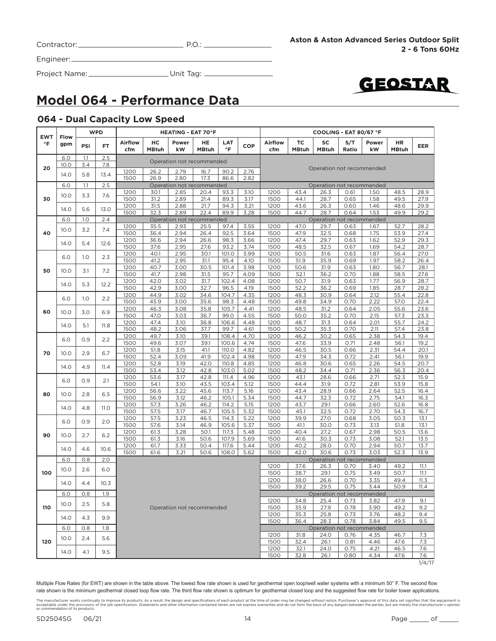| Contractor:_ |  |
|--------------|--|
|              |  |

 $P.O.:$ 

Engineer:

Project Name: Unit Tag:



### **Model 064 - Performance Data**

### **064 - Dual Capacity Low Speed**

| Power<br><b>Airflow</b><br>ТC<br>SC<br>S/T<br>Airflow<br>нc<br>HE<br>LAT<br>°F<br>gpm<br>PSI<br>FT.<br><b>COP</b><br>$\circ$ F<br>cfm<br><b>MBtuh</b><br>kW<br><b>MBtuh</b><br><b>MBtuh</b><br>Ratio<br><b>MBtuh</b><br>cfm<br>2.5<br>6.0<br>1.1<br>Operation not recommended<br>3.4<br>7.8<br>10.0<br>20<br>Operation not recommended<br>1200<br>26.2<br>2.79<br>16.7<br>90.2<br>2.76<br>14.0<br>5.8<br>13.4<br>1500<br>26.9<br>2.80<br>17.3<br>86.6<br>2.82<br>2.5<br>6.0<br>1.1<br>Operation not recommended<br>Operation not recommended<br>43.4<br>1200<br>2.85<br>20.4<br>93.3<br>3.10<br>1200<br>26.3<br>0.61<br>30.1<br>7.6<br>10.0<br>3.3<br>30<br>1500<br>31.2<br>2.89<br>21.4<br>89.3<br>3.17<br>1500<br>44.1<br>28.7<br>0.65<br>1.46<br>1200<br>31.5<br>2.88<br>21.7<br>94.3<br>3.21<br>1200<br>43.6<br>26.3<br>0.60<br>14.0<br>5.6<br>13.0<br>1500<br>32.3<br>2.89<br>22.4<br>89.9<br>3.28<br>1500<br>44.7<br>28.7<br>0.64<br>1.53<br>2.4<br>6.0<br>1.0<br>Operation not recommended<br>Operation not recommended<br>2.93<br>47.0<br>1200<br>35.5<br>25.5<br>97.4<br>3.55<br>1200<br>29.7<br>0.63<br>7.4<br>10.0<br>3.2<br>40<br>1500<br>36.4<br>2.94<br>26.4<br>92.5<br>3.64<br>1500<br>47.9<br>32.5<br>0.68<br>1200<br>36.6<br>2.94<br>26.6<br>98.3<br>3.66<br>1200<br>47.4<br>29.7<br>0.63<br>14.0<br>5.4<br>12.6<br>1500<br>37.6<br>2.95<br>1500<br>48.5<br>0.67<br>27.6<br>93.2<br>3.74<br>32.5<br>1200<br>40.1<br>2.95<br>30.1<br>101.0<br>3.99<br>1200<br>50.5<br>31.6<br>0.63<br>6.0<br>1.0<br>2.3<br>1500<br>41.2<br>2.95<br>31.1<br>95.4<br>4.10<br>1500<br>51.9<br>35.9<br>0.69<br>1200<br>40.7<br>3.00<br>30.5<br>3.98<br>1200<br>50.6<br>31.9<br>0.63<br>101.4<br>50<br>7.2<br>10.0<br>3.1<br>2.98<br>52.1<br>1500<br>41.7<br>31.5<br>95.7<br>4.09<br>1500<br>36.2<br>0.70<br>1200<br>42.0<br>3.02<br>31.7<br>102.4<br>4.08<br>1200<br>50.7<br>31.9<br>0.63<br>14.0<br>5.3<br>12.2<br>1500<br>42.9<br>3.00<br>32.7<br>96.5<br>1500<br>52.2<br>36.2<br>4.19<br>0.69<br>1200<br>44.9<br>3.02<br>34.6<br>104.7<br>4.35<br>1200<br>48.3<br>30.9<br>0.64<br>2.2<br>6.0<br>1.0<br>1500<br>45.9<br>3.00<br>35.6<br>98.3<br>4.48<br>1500<br>49.8<br>34.9<br>0.70<br>2.22<br>3.08<br>1200<br>46.3<br>35.8<br>105.7<br>4.41<br>1200<br>48.5<br>31.2<br>0.64<br>2.05<br>6.9<br>60<br>10.0<br>3.0<br>1500<br>47.0<br>3.03<br>36.7<br>99.0<br>4.55<br>1500<br>50.0<br>35.2<br>0.70<br>2.15<br>1200<br>47.4<br>3.10<br>36.8<br>106.6<br>4.48<br>1200<br>48.7<br>31.3<br>0.64<br>14.0<br>5.1<br>11.8<br>1500<br>48.2<br>3.06<br>37.7<br>99.7<br>4.61<br>1500<br>50.2<br>35.3<br>0.70<br>1200<br>49.7<br>3.10<br>39.1<br>108.4<br>4.70<br>1200<br>46.2<br>30.2<br>0.65<br>6.0<br>0.9<br>2.2<br>1500<br>3.07<br>49.6<br>39.1<br>100.6<br>4.74<br>1500<br>47.6<br>33.9<br>0.71<br>1200<br>51.8<br>3.15<br>41.1<br>110.0<br>4.82<br>1200<br>46.5<br>30.5<br>0.66<br>6.7<br>70<br>10.0<br>2.9<br>1500<br>52.4<br>3.09<br>41.9<br>102.4<br>4.98<br>1500<br>47.9<br>34.3<br>0.72<br>1200<br>3.19<br>42.0<br>1200<br>46.8<br>52.8<br>110.8<br>4.85<br>30.6<br>0.65<br>14.0<br>4.9<br>11.4<br>1500<br>3.12<br>53.4<br>42.8<br>103.0<br>5.02<br>1500<br>48.2<br>34.4<br>0.71<br>1200<br>53.6<br>3.17<br>42.8<br>111.4<br>4.96<br>1200<br>43.1<br>28.6<br>0.66<br>6.0<br>0.9<br>2.1<br>1500<br>54.1<br>3.10<br>43.5<br>103.4<br>5.12<br>1500<br>44.4<br>0.72<br>31.9<br>3.22<br>43.4<br>1200<br>56.6<br>45.6<br>113.7<br>5.16<br>1200<br>28.9<br>0.66<br>80<br>10.0<br>2.8<br>6.5<br>1500<br>56.9<br>3.12<br>46.2<br>105.1<br>5.34<br>1500<br>44.7<br>32.3<br>0.72<br>2.75<br>1200<br>57.3<br>3.26<br>46.2<br>114.2<br>5.15<br>1200<br>43.7<br>29.1<br>0.66<br>2.60<br>14.0<br>4.8<br><b>11.0</b><br>1500<br>57.5<br>3.17<br>105.5<br>5.32<br>1500<br>45.1<br>32.5<br>0.72<br>46.7 | HR<br><b>EER</b><br><b>MBtuh</b> | Power        |      |      |      |      |      | <b>HEATING - EAT 70°F</b> |      |      |      |      |  |      | <b>EWT</b> |
|------------------------------------------------------------------------------------------------------------------------------------------------------------------------------------------------------------------------------------------------------------------------------------------------------------------------------------------------------------------------------------------------------------------------------------------------------------------------------------------------------------------------------------------------------------------------------------------------------------------------------------------------------------------------------------------------------------------------------------------------------------------------------------------------------------------------------------------------------------------------------------------------------------------------------------------------------------------------------------------------------------------------------------------------------------------------------------------------------------------------------------------------------------------------------------------------------------------------------------------------------------------------------------------------------------------------------------------------------------------------------------------------------------------------------------------------------------------------------------------------------------------------------------------------------------------------------------------------------------------------------------------------------------------------------------------------------------------------------------------------------------------------------------------------------------------------------------------------------------------------------------------------------------------------------------------------------------------------------------------------------------------------------------------------------------------------------------------------------------------------------------------------------------------------------------------------------------------------------------------------------------------------------------------------------------------------------------------------------------------------------------------------------------------------------------------------------------------------------------------------------------------------------------------------------------------------------------------------------------------------------------------------------------------------------------------------------------------------------------------------------------------------------------------------------------------------------------------------------------------------------------------------------------------------------------------------------------------------------------------------------------------------------------------------------------------------------------------------------------------------------------------------------------------------------------------------------------------------------------------------------------------------------------------------------------------------------------------------------------------------------------------------------------------------------------------------------------------------------------------------------------------------------------------------------------------------------------------------------------------------------------------------------------------------------------------------------------------------------------------------------------------------------------|----------------------------------|--------------|------|------|------|------|------|---------------------------|------|------|------|------|--|------|------------|
|                                                                                                                                                                                                                                                                                                                                                                                                                                                                                                                                                                                                                                                                                                                                                                                                                                                                                                                                                                                                                                                                                                                                                                                                                                                                                                                                                                                                                                                                                                                                                                                                                                                                                                                                                                                                                                                                                                                                                                                                                                                                                                                                                                                                                                                                                                                                                                                                                                                                                                                                                                                                                                                                                                                                                                                                                                                                                                                                                                                                                                                                                                                                                                                                                                                                                                                                                                                                                                                                                                                                                                                                                                                                                                                                                                                    |                                  | kW           |      |      |      |      |      |                           |      |      |      |      |  | Flow |            |
|                                                                                                                                                                                                                                                                                                                                                                                                                                                                                                                                                                                                                                                                                                                                                                                                                                                                                                                                                                                                                                                                                                                                                                                                                                                                                                                                                                                                                                                                                                                                                                                                                                                                                                                                                                                                                                                                                                                                                                                                                                                                                                                                                                                                                                                                                                                                                                                                                                                                                                                                                                                                                                                                                                                                                                                                                                                                                                                                                                                                                                                                                                                                                                                                                                                                                                                                                                                                                                                                                                                                                                                                                                                                                                                                                                                    |                                  |              |      |      |      |      |      |                           |      |      |      |      |  |      |            |
|                                                                                                                                                                                                                                                                                                                                                                                                                                                                                                                                                                                                                                                                                                                                                                                                                                                                                                                                                                                                                                                                                                                                                                                                                                                                                                                                                                                                                                                                                                                                                                                                                                                                                                                                                                                                                                                                                                                                                                                                                                                                                                                                                                                                                                                                                                                                                                                                                                                                                                                                                                                                                                                                                                                                                                                                                                                                                                                                                                                                                                                                                                                                                                                                                                                                                                                                                                                                                                                                                                                                                                                                                                                                                                                                                                                    |                                  |              |      |      |      |      |      |                           |      |      |      |      |  |      |            |
|                                                                                                                                                                                                                                                                                                                                                                                                                                                                                                                                                                                                                                                                                                                                                                                                                                                                                                                                                                                                                                                                                                                                                                                                                                                                                                                                                                                                                                                                                                                                                                                                                                                                                                                                                                                                                                                                                                                                                                                                                                                                                                                                                                                                                                                                                                                                                                                                                                                                                                                                                                                                                                                                                                                                                                                                                                                                                                                                                                                                                                                                                                                                                                                                                                                                                                                                                                                                                                                                                                                                                                                                                                                                                                                                                                                    |                                  |              |      |      |      |      |      |                           |      |      |      |      |  |      |            |
|                                                                                                                                                                                                                                                                                                                                                                                                                                                                                                                                                                                                                                                                                                                                                                                                                                                                                                                                                                                                                                                                                                                                                                                                                                                                                                                                                                                                                                                                                                                                                                                                                                                                                                                                                                                                                                                                                                                                                                                                                                                                                                                                                                                                                                                                                                                                                                                                                                                                                                                                                                                                                                                                                                                                                                                                                                                                                                                                                                                                                                                                                                                                                                                                                                                                                                                                                                                                                                                                                                                                                                                                                                                                                                                                                                                    |                                  |              |      |      |      |      |      |                           |      |      |      |      |  |      |            |
|                                                                                                                                                                                                                                                                                                                                                                                                                                                                                                                                                                                                                                                                                                                                                                                                                                                                                                                                                                                                                                                                                                                                                                                                                                                                                                                                                                                                                                                                                                                                                                                                                                                                                                                                                                                                                                                                                                                                                                                                                                                                                                                                                                                                                                                                                                                                                                                                                                                                                                                                                                                                                                                                                                                                                                                                                                                                                                                                                                                                                                                                                                                                                                                                                                                                                                                                                                                                                                                                                                                                                                                                                                                                                                                                                                                    | 48.5<br>28.9                     | 1.50         |      |      |      |      |      |                           |      |      |      |      |  |      |            |
|                                                                                                                                                                                                                                                                                                                                                                                                                                                                                                                                                                                                                                                                                                                                                                                                                                                                                                                                                                                                                                                                                                                                                                                                                                                                                                                                                                                                                                                                                                                                                                                                                                                                                                                                                                                                                                                                                                                                                                                                                                                                                                                                                                                                                                                                                                                                                                                                                                                                                                                                                                                                                                                                                                                                                                                                                                                                                                                                                                                                                                                                                                                                                                                                                                                                                                                                                                                                                                                                                                                                                                                                                                                                                                                                                                                    | 49.5<br>27.9                     | 1.58         |      |      |      |      |      |                           |      |      |      |      |  |      |            |
|                                                                                                                                                                                                                                                                                                                                                                                                                                                                                                                                                                                                                                                                                                                                                                                                                                                                                                                                                                                                                                                                                                                                                                                                                                                                                                                                                                                                                                                                                                                                                                                                                                                                                                                                                                                                                                                                                                                                                                                                                                                                                                                                                                                                                                                                                                                                                                                                                                                                                                                                                                                                                                                                                                                                                                                                                                                                                                                                                                                                                                                                                                                                                                                                                                                                                                                                                                                                                                                                                                                                                                                                                                                                                                                                                                                    | 48.6<br>29.9<br>49.9<br>29.2     |              |      |      |      |      |      |                           |      |      |      |      |  |      |            |
|                                                                                                                                                                                                                                                                                                                                                                                                                                                                                                                                                                                                                                                                                                                                                                                                                                                                                                                                                                                                                                                                                                                                                                                                                                                                                                                                                                                                                                                                                                                                                                                                                                                                                                                                                                                                                                                                                                                                                                                                                                                                                                                                                                                                                                                                                                                                                                                                                                                                                                                                                                                                                                                                                                                                                                                                                                                                                                                                                                                                                                                                                                                                                                                                                                                                                                                                                                                                                                                                                                                                                                                                                                                                                                                                                                                    |                                  |              |      |      |      |      |      |                           |      |      |      |      |  |      |            |
|                                                                                                                                                                                                                                                                                                                                                                                                                                                                                                                                                                                                                                                                                                                                                                                                                                                                                                                                                                                                                                                                                                                                                                                                                                                                                                                                                                                                                                                                                                                                                                                                                                                                                                                                                                                                                                                                                                                                                                                                                                                                                                                                                                                                                                                                                                                                                                                                                                                                                                                                                                                                                                                                                                                                                                                                                                                                                                                                                                                                                                                                                                                                                                                                                                                                                                                                                                                                                                                                                                                                                                                                                                                                                                                                                                                    | 52.7<br>28.2                     | 1.67         |      |      |      |      |      |                           |      |      |      |      |  |      |            |
|                                                                                                                                                                                                                                                                                                                                                                                                                                                                                                                                                                                                                                                                                                                                                                                                                                                                                                                                                                                                                                                                                                                                                                                                                                                                                                                                                                                                                                                                                                                                                                                                                                                                                                                                                                                                                                                                                                                                                                                                                                                                                                                                                                                                                                                                                                                                                                                                                                                                                                                                                                                                                                                                                                                                                                                                                                                                                                                                                                                                                                                                                                                                                                                                                                                                                                                                                                                                                                                                                                                                                                                                                                                                                                                                                                                    | 53.9<br>27.4                     | 1.75         |      |      |      |      |      |                           |      |      |      |      |  |      |            |
|                                                                                                                                                                                                                                                                                                                                                                                                                                                                                                                                                                                                                                                                                                                                                                                                                                                                                                                                                                                                                                                                                                                                                                                                                                                                                                                                                                                                                                                                                                                                                                                                                                                                                                                                                                                                                                                                                                                                                                                                                                                                                                                                                                                                                                                                                                                                                                                                                                                                                                                                                                                                                                                                                                                                                                                                                                                                                                                                                                                                                                                                                                                                                                                                                                                                                                                                                                                                                                                                                                                                                                                                                                                                                                                                                                                    | 52.9<br>29.3                     | 1.62         |      |      |      |      |      |                           |      |      |      |      |  |      |            |
|                                                                                                                                                                                                                                                                                                                                                                                                                                                                                                                                                                                                                                                                                                                                                                                                                                                                                                                                                                                                                                                                                                                                                                                                                                                                                                                                                                                                                                                                                                                                                                                                                                                                                                                                                                                                                                                                                                                                                                                                                                                                                                                                                                                                                                                                                                                                                                                                                                                                                                                                                                                                                                                                                                                                                                                                                                                                                                                                                                                                                                                                                                                                                                                                                                                                                                                                                                                                                                                                                                                                                                                                                                                                                                                                                                                    | 54.2<br>28.7                     | 1.69         |      |      |      |      |      |                           |      |      |      |      |  |      |            |
|                                                                                                                                                                                                                                                                                                                                                                                                                                                                                                                                                                                                                                                                                                                                                                                                                                                                                                                                                                                                                                                                                                                                                                                                                                                                                                                                                                                                                                                                                                                                                                                                                                                                                                                                                                                                                                                                                                                                                                                                                                                                                                                                                                                                                                                                                                                                                                                                                                                                                                                                                                                                                                                                                                                                                                                                                                                                                                                                                                                                                                                                                                                                                                                                                                                                                                                                                                                                                                                                                                                                                                                                                                                                                                                                                                                    | 56.4<br>27.0                     | 1.87         |      |      |      |      |      |                           |      |      |      |      |  |      |            |
|                                                                                                                                                                                                                                                                                                                                                                                                                                                                                                                                                                                                                                                                                                                                                                                                                                                                                                                                                                                                                                                                                                                                                                                                                                                                                                                                                                                                                                                                                                                                                                                                                                                                                                                                                                                                                                                                                                                                                                                                                                                                                                                                                                                                                                                                                                                                                                                                                                                                                                                                                                                                                                                                                                                                                                                                                                                                                                                                                                                                                                                                                                                                                                                                                                                                                                                                                                                                                                                                                                                                                                                                                                                                                                                                                                                    | 58.2<br>26.4                     | 1.97         |      |      |      |      |      |                           |      |      |      |      |  |      |            |
|                                                                                                                                                                                                                                                                                                                                                                                                                                                                                                                                                                                                                                                                                                                                                                                                                                                                                                                                                                                                                                                                                                                                                                                                                                                                                                                                                                                                                                                                                                                                                                                                                                                                                                                                                                                                                                                                                                                                                                                                                                                                                                                                                                                                                                                                                                                                                                                                                                                                                                                                                                                                                                                                                                                                                                                                                                                                                                                                                                                                                                                                                                                                                                                                                                                                                                                                                                                                                                                                                                                                                                                                                                                                                                                                                                                    | 56.7<br>28.1                     | 1.80         |      |      |      |      |      |                           |      |      |      |      |  |      |            |
|                                                                                                                                                                                                                                                                                                                                                                                                                                                                                                                                                                                                                                                                                                                                                                                                                                                                                                                                                                                                                                                                                                                                                                                                                                                                                                                                                                                                                                                                                                                                                                                                                                                                                                                                                                                                                                                                                                                                                                                                                                                                                                                                                                                                                                                                                                                                                                                                                                                                                                                                                                                                                                                                                                                                                                                                                                                                                                                                                                                                                                                                                                                                                                                                                                                                                                                                                                                                                                                                                                                                                                                                                                                                                                                                                                                    | 58.5<br>27.6                     | 1.88         |      |      |      |      |      |                           |      |      |      |      |  |      |            |
|                                                                                                                                                                                                                                                                                                                                                                                                                                                                                                                                                                                                                                                                                                                                                                                                                                                                                                                                                                                                                                                                                                                                                                                                                                                                                                                                                                                                                                                                                                                                                                                                                                                                                                                                                                                                                                                                                                                                                                                                                                                                                                                                                                                                                                                                                                                                                                                                                                                                                                                                                                                                                                                                                                                                                                                                                                                                                                                                                                                                                                                                                                                                                                                                                                                                                                                                                                                                                                                                                                                                                                                                                                                                                                                                                                                    | 56.9<br>28.7                     | 1.77         |      |      |      |      |      |                           |      |      |      |      |  |      |            |
|                                                                                                                                                                                                                                                                                                                                                                                                                                                                                                                                                                                                                                                                                                                                                                                                                                                                                                                                                                                                                                                                                                                                                                                                                                                                                                                                                                                                                                                                                                                                                                                                                                                                                                                                                                                                                                                                                                                                                                                                                                                                                                                                                                                                                                                                                                                                                                                                                                                                                                                                                                                                                                                                                                                                                                                                                                                                                                                                                                                                                                                                                                                                                                                                                                                                                                                                                                                                                                                                                                                                                                                                                                                                                                                                                                                    | 28.7<br>28.2                     | 1.85         |      |      |      |      |      |                           |      |      |      |      |  |      |            |
|                                                                                                                                                                                                                                                                                                                                                                                                                                                                                                                                                                                                                                                                                                                                                                                                                                                                                                                                                                                                                                                                                                                                                                                                                                                                                                                                                                                                                                                                                                                                                                                                                                                                                                                                                                                                                                                                                                                                                                                                                                                                                                                                                                                                                                                                                                                                                                                                                                                                                                                                                                                                                                                                                                                                                                                                                                                                                                                                                                                                                                                                                                                                                                                                                                                                                                                                                                                                                                                                                                                                                                                                                                                                                                                                                                                    | 55.4<br>22.8                     | 2.12         |      |      |      |      |      |                           |      |      |      |      |  |      |            |
|                                                                                                                                                                                                                                                                                                                                                                                                                                                                                                                                                                                                                                                                                                                                                                                                                                                                                                                                                                                                                                                                                                                                                                                                                                                                                                                                                                                                                                                                                                                                                                                                                                                                                                                                                                                                                                                                                                                                                                                                                                                                                                                                                                                                                                                                                                                                                                                                                                                                                                                                                                                                                                                                                                                                                                                                                                                                                                                                                                                                                                                                                                                                                                                                                                                                                                                                                                                                                                                                                                                                                                                                                                                                                                                                                                                    | 57.0<br>22.4<br>23.6<br>55.6     |              |      |      |      |      |      |                           |      |      |      |      |  |      |            |
|                                                                                                                                                                                                                                                                                                                                                                                                                                                                                                                                                                                                                                                                                                                                                                                                                                                                                                                                                                                                                                                                                                                                                                                                                                                                                                                                                                                                                                                                                                                                                                                                                                                                                                                                                                                                                                                                                                                                                                                                                                                                                                                                                                                                                                                                                                                                                                                                                                                                                                                                                                                                                                                                                                                                                                                                                                                                                                                                                                                                                                                                                                                                                                                                                                                                                                                                                                                                                                                                                                                                                                                                                                                                                                                                                                                    | 57.3<br>23.3                     |              |      |      |      |      |      |                           |      |      |      |      |  |      |            |
|                                                                                                                                                                                                                                                                                                                                                                                                                                                                                                                                                                                                                                                                                                                                                                                                                                                                                                                                                                                                                                                                                                                                                                                                                                                                                                                                                                                                                                                                                                                                                                                                                                                                                                                                                                                                                                                                                                                                                                                                                                                                                                                                                                                                                                                                                                                                                                                                                                                                                                                                                                                                                                                                                                                                                                                                                                                                                                                                                                                                                                                                                                                                                                                                                                                                                                                                                                                                                                                                                                                                                                                                                                                                                                                                                                                    | 55.7<br>24.2                     | 2.01         |      |      |      |      |      |                           |      |      |      |      |  |      |            |
|                                                                                                                                                                                                                                                                                                                                                                                                                                                                                                                                                                                                                                                                                                                                                                                                                                                                                                                                                                                                                                                                                                                                                                                                                                                                                                                                                                                                                                                                                                                                                                                                                                                                                                                                                                                                                                                                                                                                                                                                                                                                                                                                                                                                                                                                                                                                                                                                                                                                                                                                                                                                                                                                                                                                                                                                                                                                                                                                                                                                                                                                                                                                                                                                                                                                                                                                                                                                                                                                                                                                                                                                                                                                                                                                                                                    | 57.4<br>23.8                     | 2.11         |      |      |      |      |      |                           |      |      |      |      |  |      |            |
|                                                                                                                                                                                                                                                                                                                                                                                                                                                                                                                                                                                                                                                                                                                                                                                                                                                                                                                                                                                                                                                                                                                                                                                                                                                                                                                                                                                                                                                                                                                                                                                                                                                                                                                                                                                                                                                                                                                                                                                                                                                                                                                                                                                                                                                                                                                                                                                                                                                                                                                                                                                                                                                                                                                                                                                                                                                                                                                                                                                                                                                                                                                                                                                                                                                                                                                                                                                                                                                                                                                                                                                                                                                                                                                                                                                    | 54.3<br>19.4                     | 2.38         |      |      |      |      |      |                           |      |      |      |      |  |      |            |
|                                                                                                                                                                                                                                                                                                                                                                                                                                                                                                                                                                                                                                                                                                                                                                                                                                                                                                                                                                                                                                                                                                                                                                                                                                                                                                                                                                                                                                                                                                                                                                                                                                                                                                                                                                                                                                                                                                                                                                                                                                                                                                                                                                                                                                                                                                                                                                                                                                                                                                                                                                                                                                                                                                                                                                                                                                                                                                                                                                                                                                                                                                                                                                                                                                                                                                                                                                                                                                                                                                                                                                                                                                                                                                                                                                                    | 56.1<br>19.2                     | 2.48         |      |      |      |      |      |                           |      |      |      |      |  |      |            |
|                                                                                                                                                                                                                                                                                                                                                                                                                                                                                                                                                                                                                                                                                                                                                                                                                                                                                                                                                                                                                                                                                                                                                                                                                                                                                                                                                                                                                                                                                                                                                                                                                                                                                                                                                                                                                                                                                                                                                                                                                                                                                                                                                                                                                                                                                                                                                                                                                                                                                                                                                                                                                                                                                                                                                                                                                                                                                                                                                                                                                                                                                                                                                                                                                                                                                                                                                                                                                                                                                                                                                                                                                                                                                                                                                                                    | 54.4<br>20.1                     | 2.31         |      |      |      |      |      |                           |      |      |      |      |  |      |            |
|                                                                                                                                                                                                                                                                                                                                                                                                                                                                                                                                                                                                                                                                                                                                                                                                                                                                                                                                                                                                                                                                                                                                                                                                                                                                                                                                                                                                                                                                                                                                                                                                                                                                                                                                                                                                                                                                                                                                                                                                                                                                                                                                                                                                                                                                                                                                                                                                                                                                                                                                                                                                                                                                                                                                                                                                                                                                                                                                                                                                                                                                                                                                                                                                                                                                                                                                                                                                                                                                                                                                                                                                                                                                                                                                                                                    | 56.1<br>19.9                     | 2.41         |      |      |      |      |      |                           |      |      |      |      |  |      |            |
|                                                                                                                                                                                                                                                                                                                                                                                                                                                                                                                                                                                                                                                                                                                                                                                                                                                                                                                                                                                                                                                                                                                                                                                                                                                                                                                                                                                                                                                                                                                                                                                                                                                                                                                                                                                                                                                                                                                                                                                                                                                                                                                                                                                                                                                                                                                                                                                                                                                                                                                                                                                                                                                                                                                                                                                                                                                                                                                                                                                                                                                                                                                                                                                                                                                                                                                                                                                                                                                                                                                                                                                                                                                                                                                                                                                    | 20.7<br>54.5                     | 2.26         |      |      |      |      |      |                           |      |      |      |      |  |      |            |
|                                                                                                                                                                                                                                                                                                                                                                                                                                                                                                                                                                                                                                                                                                                                                                                                                                                                                                                                                                                                                                                                                                                                                                                                                                                                                                                                                                                                                                                                                                                                                                                                                                                                                                                                                                                                                                                                                                                                                                                                                                                                                                                                                                                                                                                                                                                                                                                                                                                                                                                                                                                                                                                                                                                                                                                                                                                                                                                                                                                                                                                                                                                                                                                                                                                                                                                                                                                                                                                                                                                                                                                                                                                                                                                                                                                    | 20.4<br>56.3                     | 2.36         |      |      |      |      |      |                           |      |      |      |      |  |      |            |
|                                                                                                                                                                                                                                                                                                                                                                                                                                                                                                                                                                                                                                                                                                                                                                                                                                                                                                                                                                                                                                                                                                                                                                                                                                                                                                                                                                                                                                                                                                                                                                                                                                                                                                                                                                                                                                                                                                                                                                                                                                                                                                                                                                                                                                                                                                                                                                                                                                                                                                                                                                                                                                                                                                                                                                                                                                                                                                                                                                                                                                                                                                                                                                                                                                                                                                                                                                                                                                                                                                                                                                                                                                                                                                                                                                                    | 15.9<br>52.3                     | 2.71         |      |      |      |      |      |                           |      |      |      |      |  |      |            |
|                                                                                                                                                                                                                                                                                                                                                                                                                                                                                                                                                                                                                                                                                                                                                                                                                                                                                                                                                                                                                                                                                                                                                                                                                                                                                                                                                                                                                                                                                                                                                                                                                                                                                                                                                                                                                                                                                                                                                                                                                                                                                                                                                                                                                                                                                                                                                                                                                                                                                                                                                                                                                                                                                                                                                                                                                                                                                                                                                                                                                                                                                                                                                                                                                                                                                                                                                                                                                                                                                                                                                                                                                                                                                                                                                                                    | 53.9<br>15.8                     | 2.81         |      |      |      |      |      |                           |      |      |      |      |  |      |            |
|                                                                                                                                                                                                                                                                                                                                                                                                                                                                                                                                                                                                                                                                                                                                                                                                                                                                                                                                                                                                                                                                                                                                                                                                                                                                                                                                                                                                                                                                                                                                                                                                                                                                                                                                                                                                                                                                                                                                                                                                                                                                                                                                                                                                                                                                                                                                                                                                                                                                                                                                                                                                                                                                                                                                                                                                                                                                                                                                                                                                                                                                                                                                                                                                                                                                                                                                                                                                                                                                                                                                                                                                                                                                                                                                                                                    | 52.5<br>16.4                     | 2.64         |      |      |      |      |      |                           |      |      |      |      |  |      |            |
|                                                                                                                                                                                                                                                                                                                                                                                                                                                                                                                                                                                                                                                                                                                                                                                                                                                                                                                                                                                                                                                                                                                                                                                                                                                                                                                                                                                                                                                                                                                                                                                                                                                                                                                                                                                                                                                                                                                                                                                                                                                                                                                                                                                                                                                                                                                                                                                                                                                                                                                                                                                                                                                                                                                                                                                                                                                                                                                                                                                                                                                                                                                                                                                                                                                                                                                                                                                                                                                                                                                                                                                                                                                                                                                                                                                    | 16.3<br>54.1<br>52.6<br>16.8     |              |      |      |      |      |      |                           |      |      |      |      |  |      |            |
|                                                                                                                                                                                                                                                                                                                                                                                                                                                                                                                                                                                                                                                                                                                                                                                                                                                                                                                                                                                                                                                                                                                                                                                                                                                                                                                                                                                                                                                                                                                                                                                                                                                                                                                                                                                                                                                                                                                                                                                                                                                                                                                                                                                                                                                                                                                                                                                                                                                                                                                                                                                                                                                                                                                                                                                                                                                                                                                                                                                                                                                                                                                                                                                                                                                                                                                                                                                                                                                                                                                                                                                                                                                                                                                                                                                    | 54.3<br>16.7                     | 2.70         |      |      |      |      |      |                           |      |      |      |      |  |      |            |
|                                                                                                                                                                                                                                                                                                                                                                                                                                                                                                                                                                                                                                                                                                                                                                                                                                                                                                                                                                                                                                                                                                                                                                                                                                                                                                                                                                                                                                                                                                                                                                                                                                                                                                                                                                                                                                                                                                                                                                                                                                                                                                                                                                                                                                                                                                                                                                                                                                                                                                                                                                                                                                                                                                                                                                                                                                                                                                                                                                                                                                                                                                                                                                                                                                                                                                                                                                                                                                                                                                                                                                                                                                                                                                                                                                                    | 50.3<br>13.1                     | 3.05         | 0.68 | 27.0 | 39.9 | 1200 | 5.22 | 114.3                     | 46.5 | 3.23 | 57.5 | 1200 |  |      |            |
| 6.0<br>0.9<br>2.0<br>1500<br>105.6<br>57.6<br>3.14<br>46.9<br>5.37<br>1500<br>41.1<br>30.0<br>0.73                                                                                                                                                                                                                                                                                                                                                                                                                                                                                                                                                                                                                                                                                                                                                                                                                                                                                                                                                                                                                                                                                                                                                                                                                                                                                                                                                                                                                                                                                                                                                                                                                                                                                                                                                                                                                                                                                                                                                                                                                                                                                                                                                                                                                                                                                                                                                                                                                                                                                                                                                                                                                                                                                                                                                                                                                                                                                                                                                                                                                                                                                                                                                                                                                                                                                                                                                                                                                                                                                                                                                                                                                                                                                 | 51.8<br>13.1                     | 3.13         |      |      |      |      |      |                           |      |      |      |      |  |      |            |
| 1200<br>61.3<br>3.28<br>50.1<br>117.3<br>5.48<br>1200<br>40.4<br>27.2<br>0.67                                                                                                                                                                                                                                                                                                                                                                                                                                                                                                                                                                                                                                                                                                                                                                                                                                                                                                                                                                                                                                                                                                                                                                                                                                                                                                                                                                                                                                                                                                                                                                                                                                                                                                                                                                                                                                                                                                                                                                                                                                                                                                                                                                                                                                                                                                                                                                                                                                                                                                                                                                                                                                                                                                                                                                                                                                                                                                                                                                                                                                                                                                                                                                                                                                                                                                                                                                                                                                                                                                                                                                                                                                                                                                      | 50.5<br>13.6                     | 2.98         |      |      |      |      |      |                           |      |      |      |      |  |      |            |
| 90<br>10.0<br>2.7<br>6.2<br>41.6<br>1500<br>61.3<br>3.16<br>50.6<br>107.9<br>5.69<br>1500<br>30.3<br>0.73                                                                                                                                                                                                                                                                                                                                                                                                                                                                                                                                                                                                                                                                                                                                                                                                                                                                                                                                                                                                                                                                                                                                                                                                                                                                                                                                                                                                                                                                                                                                                                                                                                                                                                                                                                                                                                                                                                                                                                                                                                                                                                                                                                                                                                                                                                                                                                                                                                                                                                                                                                                                                                                                                                                                                                                                                                                                                                                                                                                                                                                                                                                                                                                                                                                                                                                                                                                                                                                                                                                                                                                                                                                                          | 52.1<br>13.5                     | 3.08         |      |      |      |      |      |                           |      |      |      |      |  |      |            |
| 1200<br>61.7<br>3.33<br>117.6<br>5.44<br>1200<br>40.2<br>28.0<br>0.70<br>50.4<br>10.6<br>14.0<br>4.6                                                                                                                                                                                                                                                                                                                                                                                                                                                                                                                                                                                                                                                                                                                                                                                                                                                                                                                                                                                                                                                                                                                                                                                                                                                                                                                                                                                                                                                                                                                                                                                                                                                                                                                                                                                                                                                                                                                                                                                                                                                                                                                                                                                                                                                                                                                                                                                                                                                                                                                                                                                                                                                                                                                                                                                                                                                                                                                                                                                                                                                                                                                                                                                                                                                                                                                                                                                                                                                                                                                                                                                                                                                                               | 50.7<br>13.7                     | 2.94         |      |      |      |      |      |                           |      |      |      |      |  |      |            |
| 3.21<br>1500<br>61.6<br>50.6<br>108.0<br>5.62<br>1500<br>42.0<br>30.6<br>0.73                                                                                                                                                                                                                                                                                                                                                                                                                                                                                                                                                                                                                                                                                                                                                                                                                                                                                                                                                                                                                                                                                                                                                                                                                                                                                                                                                                                                                                                                                                                                                                                                                                                                                                                                                                                                                                                                                                                                                                                                                                                                                                                                                                                                                                                                                                                                                                                                                                                                                                                                                                                                                                                                                                                                                                                                                                                                                                                                                                                                                                                                                                                                                                                                                                                                                                                                                                                                                                                                                                                                                                                                                                                                                                      | 52.3<br>13.9                     | 3.03         |      |      |      |      |      |                           |      |      |      |      |  |      |            |
| 6.0<br>0.8<br>2.0<br>Operation not recommended                                                                                                                                                                                                                                                                                                                                                                                                                                                                                                                                                                                                                                                                                                                                                                                                                                                                                                                                                                                                                                                                                                                                                                                                                                                                                                                                                                                                                                                                                                                                                                                                                                                                                                                                                                                                                                                                                                                                                                                                                                                                                                                                                                                                                                                                                                                                                                                                                                                                                                                                                                                                                                                                                                                                                                                                                                                                                                                                                                                                                                                                                                                                                                                                                                                                                                                                                                                                                                                                                                                                                                                                                                                                                                                                     |                                  |              |      |      |      |      |      |                           |      |      |      |      |  |      |            |
| 1200<br>37.6<br>0.70<br>26.3<br>10.0<br>2.6<br>6.0                                                                                                                                                                                                                                                                                                                                                                                                                                                                                                                                                                                                                                                                                                                                                                                                                                                                                                                                                                                                                                                                                                                                                                                                                                                                                                                                                                                                                                                                                                                                                                                                                                                                                                                                                                                                                                                                                                                                                                                                                                                                                                                                                                                                                                                                                                                                                                                                                                                                                                                                                                                                                                                                                                                                                                                                                                                                                                                                                                                                                                                                                                                                                                                                                                                                                                                                                                                                                                                                                                                                                                                                                                                                                                                                 | 49.2<br>11.1                     | 3.40         |      |      |      |      |      |                           |      |      |      |      |  |      |            |
| 100<br>1500<br>38.7<br>29.1<br>0.75                                                                                                                                                                                                                                                                                                                                                                                                                                                                                                                                                                                                                                                                                                                                                                                                                                                                                                                                                                                                                                                                                                                                                                                                                                                                                                                                                                                                                                                                                                                                                                                                                                                                                                                                                                                                                                                                                                                                                                                                                                                                                                                                                                                                                                                                                                                                                                                                                                                                                                                                                                                                                                                                                                                                                                                                                                                                                                                                                                                                                                                                                                                                                                                                                                                                                                                                                                                                                                                                                                                                                                                                                                                                                                                                                | 50.7<br>11.1                     | 3.49         |      |      |      |      |      |                           |      |      |      |      |  |      |            |
| 38.0<br>1200<br>26.6<br>0.70<br>14.0<br>10.3<br>4.4<br>39.2<br>1500<br>29.5<br>0.75                                                                                                                                                                                                                                                                                                                                                                                                                                                                                                                                                                                                                                                                                                                                                                                                                                                                                                                                                                                                                                                                                                                                                                                                                                                                                                                                                                                                                                                                                                                                                                                                                                                                                                                                                                                                                                                                                                                                                                                                                                                                                                                                                                                                                                                                                                                                                                                                                                                                                                                                                                                                                                                                                                                                                                                                                                                                                                                                                                                                                                                                                                                                                                                                                                                                                                                                                                                                                                                                                                                                                                                                                                                                                                | 11.3<br>49.4<br>50.9<br>11.4     | 3.35<br>3.44 |      |      |      |      |      |                           |      |      |      |      |  |      |            |
| 1.9                                                                                                                                                                                                                                                                                                                                                                                                                                                                                                                                                                                                                                                                                                                                                                                                                                                                                                                                                                                                                                                                                                                                                                                                                                                                                                                                                                                                                                                                                                                                                                                                                                                                                                                                                                                                                                                                                                                                                                                                                                                                                                                                                                                                                                                                                                                                                                                                                                                                                                                                                                                                                                                                                                                                                                                                                                                                                                                                                                                                                                                                                                                                                                                                                                                                                                                                                                                                                                                                                                                                                                                                                                                                                                                                                                                |                                  |              |      |      |      |      |      |                           |      |      |      |      |  |      |            |
| 6.Q<br>0.8<br>Operation not recommended<br>1200<br>34.8<br>25.4<br>0.73                                                                                                                                                                                                                                                                                                                                                                                                                                                                                                                                                                                                                                                                                                                                                                                                                                                                                                                                                                                                                                                                                                                                                                                                                                                                                                                                                                                                                                                                                                                                                                                                                                                                                                                                                                                                                                                                                                                                                                                                                                                                                                                                                                                                                                                                                                                                                                                                                                                                                                                                                                                                                                                                                                                                                                                                                                                                                                                                                                                                                                                                                                                                                                                                                                                                                                                                                                                                                                                                                                                                                                                                                                                                                                            | 47.9<br>9.1                      | 3.82         |      |      |      |      |      |                           |      |      |      |      |  |      |            |
| 2.5<br>5.8<br>10.0<br>110<br>1500<br>35.9<br>27.9<br>Operation not recommended<br>0.78                                                                                                                                                                                                                                                                                                                                                                                                                                                                                                                                                                                                                                                                                                                                                                                                                                                                                                                                                                                                                                                                                                                                                                                                                                                                                                                                                                                                                                                                                                                                                                                                                                                                                                                                                                                                                                                                                                                                                                                                                                                                                                                                                                                                                                                                                                                                                                                                                                                                                                                                                                                                                                                                                                                                                                                                                                                                                                                                                                                                                                                                                                                                                                                                                                                                                                                                                                                                                                                                                                                                                                                                                                                                                             | 49.2<br>9.2                      | 3.90         |      |      |      |      |      |                           |      |      |      |      |  |      |            |
| 1200<br>35.3<br>25.8<br>0.73                                                                                                                                                                                                                                                                                                                                                                                                                                                                                                                                                                                                                                                                                                                                                                                                                                                                                                                                                                                                                                                                                                                                                                                                                                                                                                                                                                                                                                                                                                                                                                                                                                                                                                                                                                                                                                                                                                                                                                                                                                                                                                                                                                                                                                                                                                                                                                                                                                                                                                                                                                                                                                                                                                                                                                                                                                                                                                                                                                                                                                                                                                                                                                                                                                                                                                                                                                                                                                                                                                                                                                                                                                                                                                                                                       | 48.2<br>9.4                      | 3.76         |      |      |      |      |      |                           |      |      |      |      |  |      |            |
| 9.9<br>14.0<br>4.3<br>1500<br>36.4<br>28.3<br>0.78                                                                                                                                                                                                                                                                                                                                                                                                                                                                                                                                                                                                                                                                                                                                                                                                                                                                                                                                                                                                                                                                                                                                                                                                                                                                                                                                                                                                                                                                                                                                                                                                                                                                                                                                                                                                                                                                                                                                                                                                                                                                                                                                                                                                                                                                                                                                                                                                                                                                                                                                                                                                                                                                                                                                                                                                                                                                                                                                                                                                                                                                                                                                                                                                                                                                                                                                                                                                                                                                                                                                                                                                                                                                                                                                 | 49.5<br>9.5                      | 3.84         |      |      |      |      |      |                           |      |      |      |      |  |      |            |
| 6.0<br>0.8<br>1.8<br>Operation not recommended                                                                                                                                                                                                                                                                                                                                                                                                                                                                                                                                                                                                                                                                                                                                                                                                                                                                                                                                                                                                                                                                                                                                                                                                                                                                                                                                                                                                                                                                                                                                                                                                                                                                                                                                                                                                                                                                                                                                                                                                                                                                                                                                                                                                                                                                                                                                                                                                                                                                                                                                                                                                                                                                                                                                                                                                                                                                                                                                                                                                                                                                                                                                                                                                                                                                                                                                                                                                                                                                                                                                                                                                                                                                                                                                     |                                  |              |      |      |      |      |      |                           |      |      |      |      |  |      |            |
| 24.0<br>1200<br>31.8<br>0.76<br>10.0<br>2.4<br>5.6                                                                                                                                                                                                                                                                                                                                                                                                                                                                                                                                                                                                                                                                                                                                                                                                                                                                                                                                                                                                                                                                                                                                                                                                                                                                                                                                                                                                                                                                                                                                                                                                                                                                                                                                                                                                                                                                                                                                                                                                                                                                                                                                                                                                                                                                                                                                                                                                                                                                                                                                                                                                                                                                                                                                                                                                                                                                                                                                                                                                                                                                                                                                                                                                                                                                                                                                                                                                                                                                                                                                                                                                                                                                                                                                 | 46.7<br>7.3                      | 4.35         |      |      |      |      |      |                           |      |      |      |      |  |      |            |
| 32.4<br>120<br>1500<br>26.1<br>0.81                                                                                                                                                                                                                                                                                                                                                                                                                                                                                                                                                                                                                                                                                                                                                                                                                                                                                                                                                                                                                                                                                                                                                                                                                                                                                                                                                                                                                                                                                                                                                                                                                                                                                                                                                                                                                                                                                                                                                                                                                                                                                                                                                                                                                                                                                                                                                                                                                                                                                                                                                                                                                                                                                                                                                                                                                                                                                                                                                                                                                                                                                                                                                                                                                                                                                                                                                                                                                                                                                                                                                                                                                                                                                                                                                | 47.6<br>7.3                      | 4.46         |      |      |      |      |      |                           |      |      |      |      |  |      |            |
| 32.1<br>24.0<br>1200<br>0.75<br>14.0<br>9.5<br>4.1                                                                                                                                                                                                                                                                                                                                                                                                                                                                                                                                                                                                                                                                                                                                                                                                                                                                                                                                                                                                                                                                                                                                                                                                                                                                                                                                                                                                                                                                                                                                                                                                                                                                                                                                                                                                                                                                                                                                                                                                                                                                                                                                                                                                                                                                                                                                                                                                                                                                                                                                                                                                                                                                                                                                                                                                                                                                                                                                                                                                                                                                                                                                                                                                                                                                                                                                                                                                                                                                                                                                                                                                                                                                                                                                 | 46.5<br>7.6                      | 4.21         |      |      |      |      |      |                           |      |      |      |      |  |      |            |
| 1500<br>32.8<br>26.1<br>0.80                                                                                                                                                                                                                                                                                                                                                                                                                                                                                                                                                                                                                                                                                                                                                                                                                                                                                                                                                                                                                                                                                                                                                                                                                                                                                                                                                                                                                                                                                                                                                                                                                                                                                                                                                                                                                                                                                                                                                                                                                                                                                                                                                                                                                                                                                                                                                                                                                                                                                                                                                                                                                                                                                                                                                                                                                                                                                                                                                                                                                                                                                                                                                                                                                                                                                                                                                                                                                                                                                                                                                                                                                                                                                                                                                       | 47.6<br>7.6                      | 4.34         |      |      |      |      |      |                           |      |      |      |      |  |      |            |

Multiple Flow Rates (for EWT) are shown in the table above. The lowest flow rate shown is used for geothermal open loop/well water systems with a minimum 50° F. The second flow rate shown is the minimum geothermal closed loop flow rate. The third flow rate shown is optimum for geothermal closed loop and the suggested flow rate for boiler tower applications.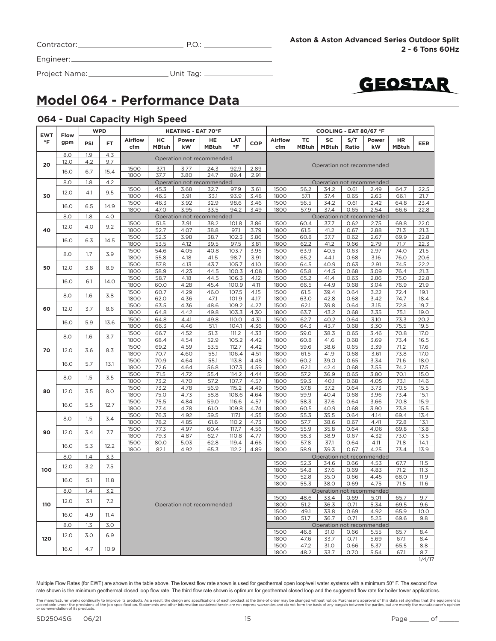| Contractor: |  |
|-------------|--|
|             |  |

Project Name: Unit Tag:



### **Model 064 - Performance Data**

#### **064 - Dual Capacity High Speed**

| <b>EWT</b> |             |     | <b>WPD</b> |                       |                    | <b>HEATING - EAT 70°F</b> |                           |                  |              | COOLING - EAT 80/67 °F |                    |                    |              |                                   |                    |              |
|------------|-------------|-----|------------|-----------------------|--------------------|---------------------------|---------------------------|------------------|--------------|------------------------|--------------------|--------------------|--------------|-----------------------------------|--------------------|--------------|
| $\circ$ F  | Flow<br>gpm | PSI | FT.        | <b>Airflow</b><br>cfm | нc<br><b>MBtuh</b> | Power<br>kW               | HE<br><b>MBtuh</b>        | LAT<br>$\circ$ F | COP          | <b>Airflow</b><br>cfm  | TC<br><b>MBtuh</b> | SC<br><b>MBtuh</b> | S/T<br>Ratio | Power<br>kW                       | HR<br><b>MBtuh</b> | <b>EER</b>   |
|            | 8.0         | 1.9 | 4.3        |                       |                    |                           | Operation not recommended |                  |              |                        |                    |                    |              |                                   |                    |              |
| 20         | 12.0        | 4.2 | 9.7        |                       |                    |                           |                           |                  |              |                        |                    |                    |              | Operation not recommended         |                    |              |
|            | 16.0        | 6.7 | 15.4       | 1500<br>1800          | 37.1<br>37.7       | 3.77<br>3.80              | 24.3<br>24.7              | 92.9<br>89.4     | 2.89<br>2.91 |                        |                    |                    |              |                                   |                    |              |
|            | 8.0         | 1.8 | 4.2        |                       |                    |                           | Operation not recommended |                  |              |                        |                    |                    |              | Operation not recommended         |                    |              |
|            | 12.0        | 4.1 | 9.5        | 1500                  | 45.3               | 3.68                      | 32.7                      | 97.9             | 3.61         | 1500                   | 56.2               | 34.2               | 0.61         | 2.49                              | 64.7               | 22.5         |
| 30         |             |     |            | 1800                  | 46.5               | 3.91                      | 33.1                      | 93.9             | 3.48         | 1800                   | 57.1               | 37.4               | 0.65         | 2.63                              | 66.1               | 21.7         |
|            | 16.0        | 6.5 | 14.9       | 1500<br>1800          | 46.3<br>47.0       | 3.92<br>3.95              | 32.9<br>33.5              | 98.6<br>94.2     | 3.46<br>3.49 | 1500<br>1800           | 56.5<br>57.9       | 34.2<br>37.4       | 0.61<br>0.65 | 2.42<br>2.54                      | 64.8               | 23.4<br>22.8 |
|            | 8.0         | 1.8 | 4.0        |                       |                    |                           | Operation not recommended |                  |              |                        |                    |                    |              | Operation not recommended         | 66.6               |              |
|            |             |     |            | 1500                  | 51.5               | 3.91                      | 38.2                      | 101.8            | 3.86         | 1500                   | 60.4               | 37.7               | 0.62         | 2.75                              | 69.8               | 22.0         |
| 40         | 12.0        | 4.0 | 9.2        | 1800                  | 52.7               | 4.07                      | 38.8                      | 97.1             | 3.79         | 1800                   | 61.5               | 41.2               | 0.67         | 2.88                              | 71.3               | 21.3         |
|            |             |     |            | 1500                  | 52.3               | 3.98                      | 38.7                      | 102.3            | 3.86         | 1500                   | 60.8               | 37.7               | 0.62         | 2.67                              | 69.9               | 22.8         |
|            | 16.0        | 6.3 | 14.5       | 1800                  | 53.5               | 4.12                      | 39.5                      | 97.5             | 3.81         | 1800                   | 62.2               | 41.2               | 0.66         | 2.79                              | 71.7               | 22.3         |
|            | 8.0         | 1.7 | 3.9        | 1500                  | 54.6               | 4.05                      | 40.8                      | 103.7            | 3.95         | 1500                   | 63.9               | 40.5               | 0.63         | 2.97                              | 74.0               | 21.5         |
|            |             |     |            | 1800                  | 55.8               | 4.18                      | 41.5                      | 98.7             | 3.91         | 1800                   | 65.2               | 44.1               | 0.68         | 3.16                              | 76.0               | 20.6         |
| 50         | 12.0        | 3.8 | 8.9        | 1500                  | 57.8               | 4.13                      | 43.7                      | 105.7            | 4.10         | 1500                   | 64.5               | 40.9               | 0.63         | 2.91                              | 74.5               | 22.2         |
|            |             |     |            | 1800                  | 58.9               | 4.23                      | 44.5                      | 100.3            | 4.08         | 1800                   | 65.8               | 44.5               | 0.68         | 3.09                              | 76.4               | 21.3         |
|            | 16.0        | 6.1 | 14.0       | 1500                  | 58.7               | 4.18                      | 44.5                      | 106.3            | 4.12         | 1500                   | 65.2               | 41.4               | 0.63         | 2.86                              | 75.0               | 22.8         |
|            |             |     |            | 1800                  | 60.0               | 4.28                      | 45.4                      | 100.9            | 4.11         | 1800                   | 66.5               | 44.9               | 0.68         | 3.04                              | 76.9               | 21.9         |
|            | 8.0         | 1.6 | 3.8        | 1500<br>1800          | 60.7<br>62.0       | 4.29<br>4.36              | 46.0<br>47.1              | 107.5<br>101.9   | 4.15<br>4.17 | 1500<br>1800           | 61.5<br>63.0       | 39.4<br>42.8       | 0.64<br>0.68 | 3.22<br>3.42                      | 72.4<br>74.7       | 19.1<br>18.4 |
|            |             |     |            | 1500                  | 63.5               | 4.36                      | 48.6                      | 109.2            | 4.27         | 1500                   | 62.1               | 39.8               | 0.64         | 3.15                              | 72.8               | 19.7         |
| 60         | 12.0        | 3.7 | 8.6        | 1800                  | 64.8               | 4.42                      | 49.8                      | 103.3            | 4.30         | 1800                   | 63.7               | 43.2               | 0.68         | 3.35                              | 75.1               | 19.0         |
|            |             |     |            | 1500                  | 64.8               | 4.41                      | 49.8                      | 110.0            | 4.31         | 1500                   | 62.7               | 40.2               | 0.64         | 3.10                              | 73.3               | 20.2         |
|            | 16.0        | 5.9 | 13.6       | 1800                  | 66.3               | 4.46                      | 51.1                      | 104.1            | 4.36         | 1800                   | 64.3               | 43.7               | 0.68         | 3.30                              | 75.5               | 19.5         |
|            | 8.0         | 1.6 | 3.7        | 1500                  | 66.7               | 4.52                      | 51.3                      | 111.2            | 4.33         | 1500                   | 59.0               | 38.3               | 0.65         | 3.46                              | 70.8               | 17.0         |
|            |             |     |            | 1800                  | 68.4               | 4.54                      | 52.9                      | 105.2            | 4.42         | 1800                   | 60.8               | 41.6               | 0.68         | 3.69                              | 73.4               | 16.5         |
| 70         | 12.0        | 3.6 | 8.3        | 1500                  | 69.2               | 4.59                      | 53.5                      | 112.7            | 4.42         | 1500                   | 59.6               | 38.6               | 0.65         | 3.39                              | 71.2               | 17.6         |
|            |             |     |            | 1800                  | 70.7               | 4.60                      | 55.1                      | 106.4            | 4.51         | 1800                   | 61.5               | 41.9               | 0.68         | 3.61                              | 73.8               | 17.0         |
|            | 16.0        | 5.7 | 13.1       | 1500                  | 70.9               | 4.64                      | 55.1                      | 113.8            | 4.48         | 1500                   | 60.2               | 39.0               | 0.65         | 3.34                              | 71.6               | 18.0         |
|            |             |     |            | 1800<br>1500          | 72.6<br>71.5       | 4.64<br>4.72              | 56.8<br>55.4              | 107.3<br>114.2   | 4.59<br>4.44 | 1800<br>1500           | 62.1<br>57.2       | 42.4<br>36.9       | 0.68<br>0.65 | 3.55<br>3.80                      | 74.2<br>70.1       | 17.5<br>15.0 |
|            | 8.0         | 1.5 | 3.5        | 1800                  | 73.2               | 4.70                      | 57.2                      | 107.7            | 4.57         | 1800                   | 59.3               | 40.1               | 0.68         | 4.05                              | 73.1               | 14.6         |
|            |             |     |            | 1500                  | 73.2               | 4.78                      | 56.9                      | 115.2            | 4.49         | 1500                   | 57.8               | 37.2               | 0.64         | 3.73                              | 70.5               | 15.5         |
| 80         | 12.0        | 3.5 | 8.0        | 1800                  | 75.0               | 4.73                      | 58.8                      | 108.6            | 4.64         | 1800                   | 59.9               | 40.4               | 0.68         | 3.96                              | 73.4               | 15.1         |
|            |             | 5.5 |            | 1500                  | 75.5               | 4.84                      | 59.0                      | 116.6            | 4.57         | 1500                   | 58.3               | 37.6               | 0.64         | 3.66                              | 70.8               | 15.9         |
|            | 16.0        |     | 12.7       | 1800                  | 77.4               | 4.78                      | 61.0                      | 109.8            | 4.74         | 1800                   | 60.5               | 40.9               | 0.68         | 3.90                              | 73.8               | 15.5         |
|            | 8.0         | 1.5 | 3.4        | 1500                  | 76.3               | 4.92                      | 59.5                      | 117.1            | 4.55         | 1500                   | 55.3               | 35.5               | 0.64         | 4.14                              | 69.4               | 13.4         |
|            |             |     |            | 1800                  | 78.2               | 4.85                      | 61.6                      | 110.2            | 4.73         | 1800                   | 57.7               | 38.6               | 0.67         | 4.41                              | 72.8               | 13.1         |
| 90         | 12.0        | 3.4 | 7.7        | 1500                  | 77.3               | 4.97                      | 60.4                      | 117.7            | 4.56         | 1500                   | 55.9               | 35.8               | 0.64         | 4.06                              | 69.8               | 13.8         |
|            |             |     |            | 1800<br>1500          | 79.3<br>80.0       | 4.87<br>5.03              | 62.7<br>62.8              | 110.8<br>119.4   | 4.77<br>4.66 | 1800<br>1500           | 58.3<br>57.8       | 38.9<br>37.1       | 0.67<br>0.64 | 4.32<br>4.11                      | 73.0<br>71.8       | 13.5<br>14.1 |
|            | 16.0        | 5.3 | 12.2       | 1800                  | 82.1               | 4.92                      | 65.3                      | 112.2            | 4.89         | 1800                   | 58.9               | 39.3               | 0.67         | 4.25                              | 73.4               | 13.9         |
|            | 8.0         | 1.4 | 3.3        |                       |                    |                           |                           |                  |              |                        |                    |                    |              | Operation not recommended         |                    |              |
|            |             |     |            |                       |                    |                           |                           |                  |              | 1500                   | 52.3               | 34.6               | 0.66         | 4.53                              | 67.7               | 11.5         |
| 100        | 12.0        | 3.2 | 7.5        |                       |                    |                           |                           |                  |              | 1800                   | 54.8               | 37.6               | 0.69         | 4.83                              | 71.2               | 11.3         |
|            | 16.0        | 5.1 | 11.8       |                       |                    |                           |                           |                  |              | 1500                   | 52.8               | 35.0               | 0.66         | 4.45                              | 68.0               | 11.9         |
|            |             |     |            |                       |                    |                           |                           |                  |              | 1800                   | 55.3               | 38.0               | 0.69         | 4.75                              | 71.5               | 11.6         |
|            | 8.0         | 1.4 | 3.2        |                       |                    |                           |                           |                  |              |                        |                    |                    |              | Operation not recommended         |                    |              |
|            | 12.0        | 3.1 | 7.2        |                       |                    |                           |                           |                  |              | 1500                   | 48.6               | 33.4               | 0.69         | 5.01                              | 65.7               | 9.7          |
| 110        |             |     |            |                       |                    |                           | Operation not recommended |                  |              | 1800                   | 51.2               | 36.3               | 0.71         | 5.34                              | 69.5               | 9.6          |
|            | 16.0        | 4.9 | 11.4       |                       |                    |                           |                           |                  |              | 1500                   | 49.1               | 33.8               | 0.69         | 4.92                              | 65.9               | 10.0         |
|            | 8.0         |     | 3.0        |                       |                    |                           |                           |                  |              | 1800                   | 51.7               | 36.7               | 0.71         | 5.25<br>Operation not recommended | 69.6               | 9.8          |
|            |             | 1.3 |            |                       |                    |                           |                           |                  |              | 1500                   | 46.8               | 31.0               | 0.66         | 5.55                              | 65.7               | 8.4          |
| 120        | 12.0        | 3.0 | 6.9        |                       |                    |                           |                           |                  |              | 1800                   | 47.6               | 33.7               | 0.71         | 5.69                              | 67.1               | 8.4          |
|            |             |     |            |                       |                    |                           |                           |                  |              | 1500                   | 47.2               | 31.0               | 0.66         | 5.37                              | 65.5               | 8.8          |
|            | 16.0        | 4.7 | 10.9       |                       |                    |                           |                           |                  |              | 1800                   | 48.2               | 33.7               | 0.70         | 5.54                              | 67.1               | 8.7          |
|            |             |     |            |                       |                    |                           |                           |                  |              |                        |                    |                    |              |                                   |                    | 1/4/17       |

The manufacturer works continually to improve its products. As a result, the design and specifications of each product at the time of order may be changed without notice. Purchaser's approval of this data set signifies tha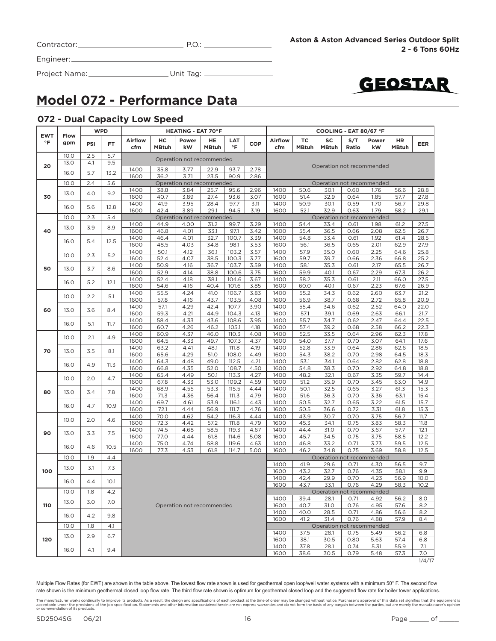| Contractor: |  |
|-------------|--|
|             |  |

Engineer:

Project Name: Unit Tag:



### **Model 072 - Performance Data**

#### **072 - Dual Capacity Low Speed**

| <b>EWT</b> | <b>Flow</b> |     | <b>WPD</b> |                |                    | <b>HEATING - EAT 70°F</b> |                    |                |              | COOLING - EAT 80/67 °F |                    |                           |              |              |                    |               |
|------------|-------------|-----|------------|----------------|--------------------|---------------------------|--------------------|----------------|--------------|------------------------|--------------------|---------------------------|--------------|--------------|--------------------|---------------|
| $\circ$ F  | gpm         | PSI | FT         | Airflow<br>cfm | нc<br><b>MBtuh</b> | Power<br>kW               | HE<br><b>MBtuh</b> | LAT<br>°F      | <b>COP</b>   | Airflow<br>cfm         | TC<br><b>MBtuh</b> | SC<br><b>MBtuh</b>        | S/T<br>Ratio | Power<br>kW  | HR<br><b>MBtuh</b> | <b>EER</b>    |
|            | 10.0        | 2.5 | 5.7        |                |                    | Operation not recommended |                    |                |              |                        |                    |                           |              |              |                    |               |
| 20         | 13.0        | 4.1 | 9.5        |                |                    |                           |                    |                |              |                        |                    | Operation not recommended |              |              |                    |               |
|            | 16.0        | 5.7 | 13.2       | 1400<br>1600   | 35.8<br>36.2       | 3.77<br>3.71              | 22.9<br>23.5       | 93.7<br>90.9   | 2.78<br>2.86 |                        |                    |                           |              |              |                    |               |
|            | 10.0        | 2.4 | 5.6        |                |                    | Operation not recommended |                    |                |              |                        |                    | Operation not recommended |              |              |                    |               |
|            | 13.0        | 4.0 | 9.2        | 1400           | 38.8               | 3.84                      | 25.7               | 95.6           | 2.96         | 1400                   | 50.6               | 30.1                      | 0.60         | 1.76         | 56.6               | 28.8          |
| 30         |             |     |            | 1600<br>1400   | 40.7<br>41.9       | 3.89                      | 27.4<br>28.4       | 93.6<br>97.7   | 3.07         | 1600<br>1400           | 51.4<br>50.9       | 32.9<br>30.1              | 0.64<br>0.59 | 1.85<br>1.70 | 57.7<br>56.7       | 27.8          |
|            | 16.0        | 5.6 | 12.8       | 1600           | 42.4               | 3.95<br>3.89              | 29.1               | 94.5           | 3.11<br>3.19 | 1600                   | 52.1               | 32.9                      | 0.63         | 1.79         | 58.2               | 29.8<br>29.1  |
|            | 10.0        | 2.3 | 5.4        |                |                    | Operation not recommended |                    |                |              |                        |                    | Operation not recommended |              |              |                    |               |
|            |             |     |            | 1400           | 44.9               | 4.00                      | 31.2               | 99.7           | 3.29         | 1400                   | 54.4               | 33.4                      | 0.61         | 1.98         | 61.2               | 27.5          |
| 40         | 13.0        | 3.9 | 8.9        | 1600           | 46.8               | 4.01                      | 33.1               | 97.1           | 3.42         | 1600                   | 55.4               | 36.5                      | 0.66         | 2.08         | 62.5               | 26.7          |
|            |             |     |            | 1400           | 46.4               | 4.01                      | 32.7               | 100.7          | 3.39         | 1400                   | 54.8               | 33.4                      | 0.61         | 1.92         | 61.4               | 28.5          |
|            | 16.0        | 5.4 | 12.5       | 1600           | 48.5               | 4.03                      | 34.8               | 98.1           | 3.53         | 1600                   | 56.1               | 36.5                      | 0.65         | 2.01         | 62.9               | 27.9          |
|            | 10.0        | 2.3 | 5.2        | 1400           | 50.1               | 4.12                      | 36.1               | 103.2          | 3.57         | 1400                   | 57.9               | 35.0                      | 0.60         | 2.25         | 64.6               | 25.8          |
|            |             |     |            | 1600           | 52.4               | 4.07                      | 38.5               | 100.3          | 3.77         | 1600                   | 59.7               | 39.7                      | 0.66         | 2.36         | 66.8               | 25.2          |
| 50         | 13.0        | 3.7 | 8.6        | 1400           | 50.9               | 4.16                      | 36.7               | 103.7          | 3.59         | 1400                   | 58.1               | 35.3                      | 0.61         | 2.17         | 65.5               | 26.7          |
|            |             |     |            | 1600           | 52.9               | 4.14                      | 38.8               | 100.6          | 3.75         | 1600                   | 59.9               | 40.1                      | 0.67         | 2.29         | 67.3               | 26.2          |
|            | 16.0        | 5.2 | 12.1       | 1400           | 52.4               | 4.18                      | 38.1               | 104.6          | 3.67         | 1400                   | 58.2               | 35.3                      | 0.61         | 2.11         | 66.0               | 27.5          |
|            |             |     |            | 1600           | 54.6               | 4.16                      | 40.4               | 101.6          | 3.85         | 1600                   | 60.0               | 40.1                      | 0.67         | 2.23         | 67.6               | 26.9          |
|            | 10.0        | 2.2 | 5.1        | 1400<br>1600   | 55.5<br>57.8       | 4.24<br>4.16              | 41.0<br>43.7       | 106.7<br>103.5 | 3.83<br>4.08 | 1400<br>1600           | 55.2<br>56.9       | 34.3<br>38.7              | 0.62<br>0.68 | 2.60<br>2.72 | 63.7<br>65.8       | 21.2<br>20.9  |
|            |             |     |            | 1400           | 57.1               | 4.29                      | 42.4               | 107.7          | 3.90         | 1400                   | 55.4               | 34.6                      | 0.62         | 2.52         | 64.0               | 22.0          |
| 60         | 13.0        | 3.6 | 8.4        | 1600           | 59.3               | 4.21                      | 44.9               | 104.3          | 4.13         | 1600                   | 57.1               | 39.1                      | 0.69         | 2.63         | 66.1               | 21.7          |
|            |             |     |            | 1400           | 58.4               | 4.33                      | 43.6               | 108.6          | 3.95         | 1400                   | 55.7               | 34.7                      | 0.62         | 2.47         | 64.4               | 22.5          |
|            | 16.0        | 5.1 | 11.7       | 1600           | 60.7               | 4.26                      | 46.2               | 105.1          | 4.18         | 1600                   | 57.4               | 39.2                      | 0.68         | 2.58         | 66.2               | 22.3          |
|            |             |     |            | 1400           | 60.9               | 4.37                      | 46.0               | 110.3          | 4.08         | 1400                   | 52.5               | 33.5                      | 0.64         | 2.96         | 62.3               | 17.8          |
|            | 10.0        | 2.1 | 4.9        | 1600           | 64.5               | 4.33                      | 49.7               | 107.3          | 4.37         | 1600                   | 54.0               | 37.7                      | 0.70         | 3.07         | 64.1               | 17.6          |
| 70         | 13.0        | 3.5 | 8.1        | 1400           | 63.2               | 4.41                      | 48.1               | 111.8          | 4.19         | 1400                   | 52.8               | 33.9                      | 0.64         | 2.86         | 62.6               | 18.5          |
|            |             |     |            | 1600           | 65.6               | 4.29                      | 51.0               | 108.0          | 4.49         | 1600                   | 54.3               | 38.2                      | 0.70         | 2.98         | 64.5               | 18.3          |
|            | 16.0        | 4.9 | 11.3       | 1400           | 64.3               | 4.48                      | 49.0               | 112.5          | 4.21         | 1400                   | 53.1               | 34.1                      | 0.64         | 2.82         | 62.8               | 18.8          |
|            |             |     |            | 1600           | 66.8               | 4.35                      | 52.0               | 108.7          | 4.50         | 1600                   | 54.8               | 38.3                      | 0.70         | 2.92         | 64.8               | 18.8          |
|            | 10.0        | 2.0 | 4.7        | 1400           | 65.4               | 4.49                      | 50.1               | 113.3          | 4.27         | 1400                   | 48.2               | 32.1                      | 0.67         | 3.35         | 59.7               | 14.4          |
|            |             |     |            | 1600<br>1400   | 67.8               | 4.33                      | 53.0               | 109.2          | 4.59         | 1600<br>1400           | 51.2               | 35.9                      | 0.70         | 3.45         | 63.0               | 14.9          |
| 80         | 13.0        | 3.4 | 7.8        | 1600           | 68.9<br>71.3       | 4.55<br>4.36              | 53.3<br>56.4       | 115.5<br>111.3 | 4.44<br>4.79 | 1600                   | 50.1<br>51.6       | 32.5<br>36.3              | 0.65<br>0.70 | 3.27<br>3.36 | 61.3<br>63.1       | 15.3<br>15.4  |
|            |             |     |            | 1400           | 69.7               | 4.61                      | 53.9               | 116.1          | 4.43         | 1400                   | 50.5               | 32.7                      | 0.65         | 3.22         | 61.5               | 15.7          |
|            | 16.0        | 4.7 | 10.9       | 1600           | 72.1               | 4.44                      | 56.9               | 111.7          | 4.76         | 1600                   | 50.5               | 36.6                      | 0.72         | 3.31         | 61.8               | 15.3          |
|            |             |     |            | 1400           | 70.0               | 4.62                      | 54.2               | 116.3          | 4.44         | 1400                   | 43.9               | 30.7                      | 0.70         | 3.75         | 56.7               | 11.7          |
|            | 10.0        | 2.0 | 4.6        | 1600           | 72.3               | 4.42                      | 57.2               | 111.8          | 4.79         | 1600                   | 45.3               | 34.1                      | 0.75         | 3.83         | 58.3               | 11.8          |
| 90         |             | 3.3 | 7.5        | 1400           | 74.5               | 4.68                      | 58.5               | 119.3          | 4.67         | 1400                   | 44.4               | 31.0                      | 0.70         | 3.67         | 57.7               | 12.1          |
|            | 13.0        |     |            | 1600           | 77.0               | 4.44                      | 61.8               | 114.6          | 5.08         | 1600                   | 45.7               | 34.5                      | 0.75         | 3.75         | 58.5               | 12.2          |
|            | 16.0        | 4.6 | 10.5       | 1400           | 75.0               | 4.74                      | 58.8               | 119.6          | 4.63         | 1400                   | 46.8               | 33.2                      | 0.71         | 3.73         | 59.5               | 12.5          |
|            |             |     |            | 1600           | 77.3               | 4.53                      | 61.8               | 114.7          | 5.00         | 1600                   | 46.2               | 34.8                      | 0.75         | 3.69         | 58.8               | 12.5          |
|            | 10.0        | 1.9 | 4.4        |                |                    |                           |                    |                |              |                        |                    | Operation not recommended |              |              |                    |               |
|            | 13.0        | 3.1 | 7.3        |                |                    |                           |                    |                |              | 1400                   | 41.9               | 29.6                      | 0.71         | 4.30         | 56.5               | 9.7           |
| 100        |             |     |            |                |                    |                           |                    |                |              | 1600                   | 43.2               | 32.7                      | 0.76         | 4.35         | 58.1               | 9.9           |
|            | 16.0        | 4.4 | 10.1       |                |                    |                           |                    |                |              | 1400<br>1600           | 42.4<br>43.7       | 29.9<br>33.1              | 0.70<br>0.76 | 4.23<br>4.29 | 56.9<br>58.3       | 10.0<br>10.2  |
|            | 10.0        | 1.8 | 4.2        |                |                    |                           |                    |                |              |                        |                    | Operation not recommended |              |              |                    |               |
|            |             |     |            |                |                    |                           |                    |                |              | 1400                   | 39.4               | 28.1                      | 0.71         | 4.92         | 56.2               | 8.0           |
| 110        | 13.0        | 3.0 | 7.0        |                |                    | Operation not recommended |                    |                |              | 1600                   | 40.7               | 31.0                      | 0.76         | 4.95         | 57.6               | 8.2           |
|            |             |     |            |                |                    |                           |                    |                |              | 1400                   | 40.0               | 28.5                      | 0.71         | 4.86         | 56.6               | 8.2           |
|            | 16.0        | 4.2 | 9.8        |                |                    |                           |                    |                |              | 1600                   | 41.2               | 31.4                      | 0.76         | 4.88         | 57.9               | 8.4           |
|            | 10.0        | 1.8 | 4.1        |                |                    |                           |                    |                |              |                        |                    | Operation not recommended |              |              |                    |               |
|            | 13.0        | 2.9 | 6.7        |                |                    |                           |                    |                |              | 1400                   | 37.5               | 28.1                      | 0.75         | 5.49         | 56.2               | 6.8           |
| 120        |             |     |            |                |                    |                           |                    |                |              | 1600                   | 38.1               | 30.5                      | 0.80         | 5.63         | 57.4               | 6.8           |
|            | 16.0        | 4.1 | 9.4        |                |                    |                           |                    |                |              | 1400                   | 37.8               | 28.1                      | 0.74         | 5.31         | 55.9               | 7.1           |
|            |             |     |            |                |                    |                           |                    |                |              | 1600                   | 38.6               | 30.5                      | 0.79         | 5.48         | 57.3               | 7.0<br>1/4/17 |
|            |             |     |            |                |                    |                           |                    |                |              |                        |                    |                           |              |              |                    |               |

The manufacturer works continually to improve its products. As a result, the design and specifications of each product at the time of order may be changed without notice. Purchaser's approval of this data set signifies tha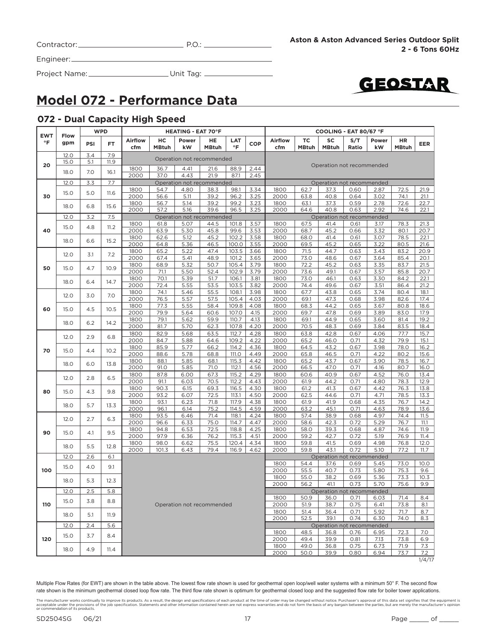| Contractor: | P.O. |
|-------------|------|
|             |      |



Project Name: Unit Tag:



### **Model 072 - Performance Data**

#### **072 - Dual Capacity High Speed**

| <b>TC</b><br>SC<br><b>Airflow</b><br>нc<br>Power<br>HE<br><b>LAT</b><br><b>Airflow</b><br>S/T<br>HR<br>Power<br>°F<br>gpm<br>PSI<br>FT.<br><b>COP</b><br>°F<br><b>MBtuh</b><br>cfm<br><b>MBtuh</b><br>kW<br><b>MBtuh</b><br>cfm<br><b>MBtuh</b><br>kW<br><b>MBtuh</b><br>Ratio<br>12.0<br>3.4<br>7.9<br>Operation not recommended<br>15.0<br>5.1<br>11.9<br>20<br>Operation not recommended<br>1800<br>36.7<br>4.41<br>88.9<br>2.44<br>21.6<br>7.0<br>18.0<br>16.1<br>2.45<br>2000<br>37.0<br>4.43<br>21.9<br>87.1<br>3.3<br>12.0<br>7.7<br>Operation not recommended<br>Operation not recommended<br>72.5<br>21.9<br>1800<br>54.7<br>38.3<br>98.1<br>3.34<br>1800<br>62.7<br>37.3<br>2.87<br>4.80<br>0.60<br>5.0<br>15.0<br>11.6<br>30<br>2000<br>56.6<br>5.11<br>39.2<br>96.2<br>3.25<br>2000<br>63.8<br>40.8<br>3.02<br>74.1<br>21.1<br>0.64<br>39.2<br>37.3<br>1800<br>56.7<br>5.14<br>99.2<br>3.23<br>1800<br>63.1<br>0.59<br>2.78<br>72.6<br>22.7<br>18.0<br>6.8<br>15.6<br>2000<br>57.2<br>5.16<br>39.6<br>96.5<br>3.25<br>2000<br>64.6<br>40.8<br>2.92<br>74.6<br>22.1<br>0.63<br>12.0<br>3.2<br>7.5<br>Operation not recommended<br>Operation not recommended<br>5.07<br>101.8<br>3.57<br>1800<br>61.8<br>44.5<br>1800<br>67.5<br>41.4<br>0.61<br>3.17<br>78.3<br>21.3<br>15.0<br>11.2<br>4.8<br>40<br>45.8<br>45.2<br>2000<br>63.9<br>5.30<br>99.6<br>3.53<br>2000<br>68.7<br>3.32<br>80.1<br>0.66<br>45.2<br>102.2<br>1800<br>62.6<br>5.12<br>3.58<br>1800<br>68.0<br>41.4<br>0.61<br>3.07<br>78.5<br>6.6<br>18.0<br>15.2<br>2000<br>45.2<br>3.22<br>64.8<br>5.36<br>46.5<br>100.0<br>3.55<br>2000<br>69.5<br>0.65<br>80.5<br>1800<br>65.2<br>5.22<br>47.4<br>3.66<br>71.5<br>44.7<br>83.2<br>103.5<br>1800<br>0.63<br>3.43<br>12.0<br>3.1<br>7.2<br>48.9<br>2000<br>67.4<br>5.41<br>101.2<br>3.65<br>2000<br>73.0<br>48.6<br>0.67<br>3.64<br>85.4<br>1800<br>68.9<br>5.32<br>50.7<br>105.4<br>3.79<br>1800<br>72.2<br>45.2<br>3.35<br>83.7<br>0.63<br>4.7<br>50<br>15.0<br>10.9<br>5.50<br>102.9<br>3.79<br>73.6<br>49.1<br>3.57<br>2000<br>71.1<br>52.4<br>2000<br>0.67<br>85.8<br>5.39<br>1800<br>70.1<br>51.7<br>106.1<br>3.81<br>1800<br>73.0<br>46.1<br>0.63<br>3.30<br>84.2<br>6.4<br>14.7<br>18.0<br>5.55<br>53.5<br>103.5<br>3.82<br>49.6<br>2000<br>72.4<br>2000<br>74.4<br>3.51<br>86.4<br>0.67<br>74.1<br>55.5<br>67.7<br>43.8<br>1800<br>5.46<br>108.1<br>3.98<br>1800<br>0.65<br>3.74<br>80.4<br>12.0<br>7.0<br>3.0<br>2000<br>76.5<br>5.57<br>57.5<br>105.4<br>4.03<br>2000<br>69.1<br>47.3<br>3.98<br>82.6<br>0.68<br>5.55<br>109.8<br>44.2<br>1800<br>77.3<br>58.4<br>4.08<br>1800<br>68.3<br>0.65<br>3.67<br>80.8<br>18.6<br>4.5<br>10.5<br>60<br>15.0<br>2000<br>79.9<br>5.64<br>60.6<br>107.0<br>4.15<br>2000<br>69.7<br>47.8<br>0.69<br>3.89<br>83.0<br>17.9<br>1800<br>79.1<br>4.13<br>44.9<br>5.62<br>59.9<br>110.7<br>1800<br>69.1<br>0.65<br>3.60<br>81.4<br>19.2<br>6.2<br>18.0<br>14.2<br>2000<br>81.7<br>5.70<br>62.3<br>107.8<br>4.20<br>2000<br>70.5<br>48.3<br>3.84<br>83.5<br>18.4<br>0.69<br>1800<br>82.9<br>5.68<br>63.5<br>112.7<br>4.28<br>63.8<br>42.8<br>77.7<br>15.7<br>1800<br>0.67<br>4.06<br>2.9<br>12.0<br>6.8<br>2000<br>84.7<br>5.88<br>64.6<br>109.2<br>4.22<br>2000<br>65.2<br>46.0<br>0.71<br>4.32<br>79.9<br>15.1<br>1800<br>85.9<br>5.77<br>66.2<br>114.2<br>4.36<br>1800<br>64.5<br>43.2<br>0.67<br>3.98<br>78.0<br>16.2<br>10.2<br>70<br>15.0<br>4.4<br>2000<br>88.6<br>5.78<br>68.8<br>111.O<br>4.49<br>2000<br>65.8<br>46.5<br>4.22<br>80.2<br>15.6<br>0.71<br>1800<br>88.1<br>5.85<br>68.1<br>115.3<br>4.42<br>1800<br>65.2<br>43.7<br>0.67<br>3.90<br>78.5<br>16.7<br>6.0<br>18.0<br>13.8<br>71.0<br>112.1<br>4.56<br>47.0<br>2000<br>91.0<br>5.85<br>2000<br>66.5<br>0.71<br>4.16<br>80.7<br>16.0<br>115.2<br>4.52<br>1800<br>87.8<br>6.00<br>67.3<br>4.29<br>1800<br>60.6<br>40.9<br>0.67<br>76.0<br>13.4<br>2.8<br>6.5<br>12.0<br>2000<br>91.1<br>6.03<br>70.5<br>112.2<br>4.43<br>2000<br>61.9<br>44.2<br>0.71<br>4.80<br>78.3<br>12.9<br>1800<br>69.3<br>116.5<br>4.30<br>61.2<br>41.3<br>90.3<br>6.15<br>1800<br>0.67<br>4.42<br>76.3<br>4.3<br>9.8<br>80<br>15.0<br>2000<br>6.07<br>72.5<br>44.6<br>93.2<br>113.1<br>4.50<br>2000<br>62.5<br>0.71<br>4.71<br>78.5<br>1800<br>93.1<br>6.23<br>71.8<br>117.9<br>4.38<br>1800<br>61.9<br>41.9<br>4.35<br>76.7<br>0.68<br>5.7<br>18.0<br>13.3<br>75.2<br>2000<br>96.1<br>6.14<br>114.5<br>4.59<br>2000<br>63.2<br>45.1<br>0.71<br>4.63<br>78.9<br>1800<br>93.5<br>71.4<br>118.1<br>4.24<br>1800<br>57.4<br>38.9<br>4.97<br>74.4<br>6.46<br>0.68<br>2.7<br>12.0<br>6.3<br>2000<br>6.33<br>75.0<br>114.7<br>4.47<br>2000<br>58.6<br>42.3<br>5.29<br>76.7<br>11.1<br>96.6<br>0.72<br>1800<br>94.8<br>6.53<br>72.5<br>118.8<br>4.25<br>1800<br>58.0<br>39.3<br>4.87<br>74.6<br>0.68<br>4.1<br>9.5<br>90<br>15.0<br>115.3<br>4.51<br>59.2<br>42.7<br>2000<br>97.9<br>6.36<br>76.2<br>2000<br>0.72<br>5.19<br>76.9<br>75.5<br>120.4<br>12.0<br>1800<br>98.0<br>6.62<br>4.34<br>1800<br>59.8<br>41.5<br>0.69<br>4.98<br>76.8<br>5.5<br>12.8<br>18.0<br>79.4<br>59.8<br>43.1<br>0.72<br>77.2<br>11.7<br>2000<br>101.3<br>6.43<br>116.9<br>4.62<br>2000<br>5.10<br>12.0<br>2.6<br>6.1<br>Operation not recommended<br>1800<br>54.4<br>37.6<br>0.69<br>5.45<br>73.0<br>10.0<br>4.0<br>9.1<br>15.0<br>100<br>55.5<br>40.7<br>2000<br>0.73<br>5.80<br>75.3<br>9.6<br>38.2<br>1800<br>55.0<br>0.69<br>5.36<br>73.3<br>10.3<br>5.3<br>18.0<br>12.3<br>75.6<br>2000<br>56.2<br>41.1<br>0.73<br>5.70<br>Operation not recommended<br>12.0<br>2.5<br>5.8<br>1800<br>50.9<br>36.0<br>6.03<br>71.4<br>0.71<br>15.0<br>3.8<br>8.8<br>110<br>2000<br>51.9<br>38.7<br>6.41<br>73.8<br>8.1<br>Operation not recommended<br>0.75<br>1800<br>36.4<br>0.71<br>5.92<br>51.4<br>71.7<br>5.1<br>18.0<br>11.9<br>2000<br>52.5<br>39.1<br>0.74<br>6.30<br>74.0<br>12.0<br>2.4<br>5.6<br>Operation not recommended<br>72.3<br>1800<br>48.5<br>36.8<br>0.76<br>6.95<br>15.0<br>3.7<br>8.4<br>120<br>49.4<br>39.9<br>7.13<br>73.8<br>2000<br>0.81<br>49.0<br>36.8<br>0.75<br>6.73<br>1800<br>71.9<br>7.3<br>18.0<br>4.9<br>11.4<br>2000<br>50.0<br>39.9<br>0.80<br>6.94<br>73.7<br>7.2 | <b>EWT</b> |      | <b>WPD</b> |  | <b>HEATING - EAT 70°F</b> |  | COOLING - EAT 80/67 °F |  |  |  |  |  |            |
|----------------------------------------------------------------------------------------------------------------------------------------------------------------------------------------------------------------------------------------------------------------------------------------------------------------------------------------------------------------------------------------------------------------------------------------------------------------------------------------------------------------------------------------------------------------------------------------------------------------------------------------------------------------------------------------------------------------------------------------------------------------------------------------------------------------------------------------------------------------------------------------------------------------------------------------------------------------------------------------------------------------------------------------------------------------------------------------------------------------------------------------------------------------------------------------------------------------------------------------------------------------------------------------------------------------------------------------------------------------------------------------------------------------------------------------------------------------------------------------------------------------------------------------------------------------------------------------------------------------------------------------------------------------------------------------------------------------------------------------------------------------------------------------------------------------------------------------------------------------------------------------------------------------------------------------------------------------------------------------------------------------------------------------------------------------------------------------------------------------------------------------------------------------------------------------------------------------------------------------------------------------------------------------------------------------------------------------------------------------------------------------------------------------------------------------------------------------------------------------------------------------------------------------------------------------------------------------------------------------------------------------------------------------------------------------------------------------------------------------------------------------------------------------------------------------------------------------------------------------------------------------------------------------------------------------------------------------------------------------------------------------------------------------------------------------------------------------------------------------------------------------------------------------------------------------------------------------------------------------------------------------------------------------------------------------------------------------------------------------------------------------------------------------------------------------------------------------------------------------------------------------------------------------------------------------------------------------------------------------------------------------------------------------------------------------------------------------------------------------------------------------------------------------------------------------------------------------------------------------------------------------------------------------------------------------------------------------------------------------------------------------------------------------------------------------------------------------------------------------------------------------------------------------------------------------------------------------------------------------------------------------------------------------------------------------------------------------------------------------------------------------------------------------------------------------------------------------------------------------------------------------------------------------------------------------------------------------------------------------------------------------------------------------------------------------------------------------------------------------------------------------------------------------------------------------------------------------------------------------------------------------------------------------------------------------------------------------------------------------------------------------------------------------------------------------------------------------------------------------------------------------------------------------------------------------------------------------------------------------------------------------------------------------------------------------------------------------------------------------------------------------------------------------------------------------------------------------------------------------------------------------------------------------------------------------------------------------------------------------------------------------------------------------------------------------------------------------------------------------------------------------------------------------------------------------------------------------------------------------------------------------------------------------------------------------------------------------------------------------------------------------------------------------------------------------------------------------------------------------------------------------------------------------------------|------------|------|------------|--|---------------------------|--|------------------------|--|--|--|--|--|------------|
|                                                                                                                                                                                                                                                                                                                                                                                                                                                                                                                                                                                                                                                                                                                                                                                                                                                                                                                                                                                                                                                                                                                                                                                                                                                                                                                                                                                                                                                                                                                                                                                                                                                                                                                                                                                                                                                                                                                                                                                                                                                                                                                                                                                                                                                                                                                                                                                                                                                                                                                                                                                                                                                                                                                                                                                                                                                                                                                                                                                                                                                                                                                                                                                                                                                                                                                                                                                                                                                                                                                                                                                                                                                                                                                                                                                                                                                                                                                                                                                                                                                                                                                                                                                                                                                                                                                                                                                                                                                                                                                                                                                                                                                                                                                                                                                                                                                                                                                                                                                                                                                                                                                                                                                                                                                                                                                                                                                                                                                                                                                                                                                                                                                                                                                                                                                                                                                                                                                                                                                                                                                                                                                                                                            |            | Flow |            |  |                           |  |                        |  |  |  |  |  | <b>EER</b> |
|                                                                                                                                                                                                                                                                                                                                                                                                                                                                                                                                                                                                                                                                                                                                                                                                                                                                                                                                                                                                                                                                                                                                                                                                                                                                                                                                                                                                                                                                                                                                                                                                                                                                                                                                                                                                                                                                                                                                                                                                                                                                                                                                                                                                                                                                                                                                                                                                                                                                                                                                                                                                                                                                                                                                                                                                                                                                                                                                                                                                                                                                                                                                                                                                                                                                                                                                                                                                                                                                                                                                                                                                                                                                                                                                                                                                                                                                                                                                                                                                                                                                                                                                                                                                                                                                                                                                                                                                                                                                                                                                                                                                                                                                                                                                                                                                                                                                                                                                                                                                                                                                                                                                                                                                                                                                                                                                                                                                                                                                                                                                                                                                                                                                                                                                                                                                                                                                                                                                                                                                                                                                                                                                                                            |            |      |            |  |                           |  |                        |  |  |  |  |  |            |
|                                                                                                                                                                                                                                                                                                                                                                                                                                                                                                                                                                                                                                                                                                                                                                                                                                                                                                                                                                                                                                                                                                                                                                                                                                                                                                                                                                                                                                                                                                                                                                                                                                                                                                                                                                                                                                                                                                                                                                                                                                                                                                                                                                                                                                                                                                                                                                                                                                                                                                                                                                                                                                                                                                                                                                                                                                                                                                                                                                                                                                                                                                                                                                                                                                                                                                                                                                                                                                                                                                                                                                                                                                                                                                                                                                                                                                                                                                                                                                                                                                                                                                                                                                                                                                                                                                                                                                                                                                                                                                                                                                                                                                                                                                                                                                                                                                                                                                                                                                                                                                                                                                                                                                                                                                                                                                                                                                                                                                                                                                                                                                                                                                                                                                                                                                                                                                                                                                                                                                                                                                                                                                                                                                            |            |      |            |  |                           |  |                        |  |  |  |  |  |            |
|                                                                                                                                                                                                                                                                                                                                                                                                                                                                                                                                                                                                                                                                                                                                                                                                                                                                                                                                                                                                                                                                                                                                                                                                                                                                                                                                                                                                                                                                                                                                                                                                                                                                                                                                                                                                                                                                                                                                                                                                                                                                                                                                                                                                                                                                                                                                                                                                                                                                                                                                                                                                                                                                                                                                                                                                                                                                                                                                                                                                                                                                                                                                                                                                                                                                                                                                                                                                                                                                                                                                                                                                                                                                                                                                                                                                                                                                                                                                                                                                                                                                                                                                                                                                                                                                                                                                                                                                                                                                                                                                                                                                                                                                                                                                                                                                                                                                                                                                                                                                                                                                                                                                                                                                                                                                                                                                                                                                                                                                                                                                                                                                                                                                                                                                                                                                                                                                                                                                                                                                                                                                                                                                                                            |            |      |            |  |                           |  |                        |  |  |  |  |  |            |
|                                                                                                                                                                                                                                                                                                                                                                                                                                                                                                                                                                                                                                                                                                                                                                                                                                                                                                                                                                                                                                                                                                                                                                                                                                                                                                                                                                                                                                                                                                                                                                                                                                                                                                                                                                                                                                                                                                                                                                                                                                                                                                                                                                                                                                                                                                                                                                                                                                                                                                                                                                                                                                                                                                                                                                                                                                                                                                                                                                                                                                                                                                                                                                                                                                                                                                                                                                                                                                                                                                                                                                                                                                                                                                                                                                                                                                                                                                                                                                                                                                                                                                                                                                                                                                                                                                                                                                                                                                                                                                                                                                                                                                                                                                                                                                                                                                                                                                                                                                                                                                                                                                                                                                                                                                                                                                                                                                                                                                                                                                                                                                                                                                                                                                                                                                                                                                                                                                                                                                                                                                                                                                                                                                            |            |      |            |  |                           |  |                        |  |  |  |  |  |            |
|                                                                                                                                                                                                                                                                                                                                                                                                                                                                                                                                                                                                                                                                                                                                                                                                                                                                                                                                                                                                                                                                                                                                                                                                                                                                                                                                                                                                                                                                                                                                                                                                                                                                                                                                                                                                                                                                                                                                                                                                                                                                                                                                                                                                                                                                                                                                                                                                                                                                                                                                                                                                                                                                                                                                                                                                                                                                                                                                                                                                                                                                                                                                                                                                                                                                                                                                                                                                                                                                                                                                                                                                                                                                                                                                                                                                                                                                                                                                                                                                                                                                                                                                                                                                                                                                                                                                                                                                                                                                                                                                                                                                                                                                                                                                                                                                                                                                                                                                                                                                                                                                                                                                                                                                                                                                                                                                                                                                                                                                                                                                                                                                                                                                                                                                                                                                                                                                                                                                                                                                                                                                                                                                                                            |            |      |            |  |                           |  |                        |  |  |  |  |  |            |
|                                                                                                                                                                                                                                                                                                                                                                                                                                                                                                                                                                                                                                                                                                                                                                                                                                                                                                                                                                                                                                                                                                                                                                                                                                                                                                                                                                                                                                                                                                                                                                                                                                                                                                                                                                                                                                                                                                                                                                                                                                                                                                                                                                                                                                                                                                                                                                                                                                                                                                                                                                                                                                                                                                                                                                                                                                                                                                                                                                                                                                                                                                                                                                                                                                                                                                                                                                                                                                                                                                                                                                                                                                                                                                                                                                                                                                                                                                                                                                                                                                                                                                                                                                                                                                                                                                                                                                                                                                                                                                                                                                                                                                                                                                                                                                                                                                                                                                                                                                                                                                                                                                                                                                                                                                                                                                                                                                                                                                                                                                                                                                                                                                                                                                                                                                                                                                                                                                                                                                                                                                                                                                                                                                            |            |      |            |  |                           |  |                        |  |  |  |  |  |            |
|                                                                                                                                                                                                                                                                                                                                                                                                                                                                                                                                                                                                                                                                                                                                                                                                                                                                                                                                                                                                                                                                                                                                                                                                                                                                                                                                                                                                                                                                                                                                                                                                                                                                                                                                                                                                                                                                                                                                                                                                                                                                                                                                                                                                                                                                                                                                                                                                                                                                                                                                                                                                                                                                                                                                                                                                                                                                                                                                                                                                                                                                                                                                                                                                                                                                                                                                                                                                                                                                                                                                                                                                                                                                                                                                                                                                                                                                                                                                                                                                                                                                                                                                                                                                                                                                                                                                                                                                                                                                                                                                                                                                                                                                                                                                                                                                                                                                                                                                                                                                                                                                                                                                                                                                                                                                                                                                                                                                                                                                                                                                                                                                                                                                                                                                                                                                                                                                                                                                                                                                                                                                                                                                                                            |            |      |            |  |                           |  |                        |  |  |  |  |  |            |
|                                                                                                                                                                                                                                                                                                                                                                                                                                                                                                                                                                                                                                                                                                                                                                                                                                                                                                                                                                                                                                                                                                                                                                                                                                                                                                                                                                                                                                                                                                                                                                                                                                                                                                                                                                                                                                                                                                                                                                                                                                                                                                                                                                                                                                                                                                                                                                                                                                                                                                                                                                                                                                                                                                                                                                                                                                                                                                                                                                                                                                                                                                                                                                                                                                                                                                                                                                                                                                                                                                                                                                                                                                                                                                                                                                                                                                                                                                                                                                                                                                                                                                                                                                                                                                                                                                                                                                                                                                                                                                                                                                                                                                                                                                                                                                                                                                                                                                                                                                                                                                                                                                                                                                                                                                                                                                                                                                                                                                                                                                                                                                                                                                                                                                                                                                                                                                                                                                                                                                                                                                                                                                                                                                            |            |      |            |  |                           |  |                        |  |  |  |  |  |            |
|                                                                                                                                                                                                                                                                                                                                                                                                                                                                                                                                                                                                                                                                                                                                                                                                                                                                                                                                                                                                                                                                                                                                                                                                                                                                                                                                                                                                                                                                                                                                                                                                                                                                                                                                                                                                                                                                                                                                                                                                                                                                                                                                                                                                                                                                                                                                                                                                                                                                                                                                                                                                                                                                                                                                                                                                                                                                                                                                                                                                                                                                                                                                                                                                                                                                                                                                                                                                                                                                                                                                                                                                                                                                                                                                                                                                                                                                                                                                                                                                                                                                                                                                                                                                                                                                                                                                                                                                                                                                                                                                                                                                                                                                                                                                                                                                                                                                                                                                                                                                                                                                                                                                                                                                                                                                                                                                                                                                                                                                                                                                                                                                                                                                                                                                                                                                                                                                                                                                                                                                                                                                                                                                                                            |            |      |            |  |                           |  |                        |  |  |  |  |  |            |
|                                                                                                                                                                                                                                                                                                                                                                                                                                                                                                                                                                                                                                                                                                                                                                                                                                                                                                                                                                                                                                                                                                                                                                                                                                                                                                                                                                                                                                                                                                                                                                                                                                                                                                                                                                                                                                                                                                                                                                                                                                                                                                                                                                                                                                                                                                                                                                                                                                                                                                                                                                                                                                                                                                                                                                                                                                                                                                                                                                                                                                                                                                                                                                                                                                                                                                                                                                                                                                                                                                                                                                                                                                                                                                                                                                                                                                                                                                                                                                                                                                                                                                                                                                                                                                                                                                                                                                                                                                                                                                                                                                                                                                                                                                                                                                                                                                                                                                                                                                                                                                                                                                                                                                                                                                                                                                                                                                                                                                                                                                                                                                                                                                                                                                                                                                                                                                                                                                                                                                                                                                                                                                                                                                            |            |      |            |  |                           |  |                        |  |  |  |  |  | 20.7       |
|                                                                                                                                                                                                                                                                                                                                                                                                                                                                                                                                                                                                                                                                                                                                                                                                                                                                                                                                                                                                                                                                                                                                                                                                                                                                                                                                                                                                                                                                                                                                                                                                                                                                                                                                                                                                                                                                                                                                                                                                                                                                                                                                                                                                                                                                                                                                                                                                                                                                                                                                                                                                                                                                                                                                                                                                                                                                                                                                                                                                                                                                                                                                                                                                                                                                                                                                                                                                                                                                                                                                                                                                                                                                                                                                                                                                                                                                                                                                                                                                                                                                                                                                                                                                                                                                                                                                                                                                                                                                                                                                                                                                                                                                                                                                                                                                                                                                                                                                                                                                                                                                                                                                                                                                                                                                                                                                                                                                                                                                                                                                                                                                                                                                                                                                                                                                                                                                                                                                                                                                                                                                                                                                                                            |            |      |            |  |                           |  |                        |  |  |  |  |  | 22.1       |
|                                                                                                                                                                                                                                                                                                                                                                                                                                                                                                                                                                                                                                                                                                                                                                                                                                                                                                                                                                                                                                                                                                                                                                                                                                                                                                                                                                                                                                                                                                                                                                                                                                                                                                                                                                                                                                                                                                                                                                                                                                                                                                                                                                                                                                                                                                                                                                                                                                                                                                                                                                                                                                                                                                                                                                                                                                                                                                                                                                                                                                                                                                                                                                                                                                                                                                                                                                                                                                                                                                                                                                                                                                                                                                                                                                                                                                                                                                                                                                                                                                                                                                                                                                                                                                                                                                                                                                                                                                                                                                                                                                                                                                                                                                                                                                                                                                                                                                                                                                                                                                                                                                                                                                                                                                                                                                                                                                                                                                                                                                                                                                                                                                                                                                                                                                                                                                                                                                                                                                                                                                                                                                                                                                            |            |      |            |  |                           |  |                        |  |  |  |  |  | 21.6       |
|                                                                                                                                                                                                                                                                                                                                                                                                                                                                                                                                                                                                                                                                                                                                                                                                                                                                                                                                                                                                                                                                                                                                                                                                                                                                                                                                                                                                                                                                                                                                                                                                                                                                                                                                                                                                                                                                                                                                                                                                                                                                                                                                                                                                                                                                                                                                                                                                                                                                                                                                                                                                                                                                                                                                                                                                                                                                                                                                                                                                                                                                                                                                                                                                                                                                                                                                                                                                                                                                                                                                                                                                                                                                                                                                                                                                                                                                                                                                                                                                                                                                                                                                                                                                                                                                                                                                                                                                                                                                                                                                                                                                                                                                                                                                                                                                                                                                                                                                                                                                                                                                                                                                                                                                                                                                                                                                                                                                                                                                                                                                                                                                                                                                                                                                                                                                                                                                                                                                                                                                                                                                                                                                                                            |            |      |            |  |                           |  |                        |  |  |  |  |  | 20.9       |
|                                                                                                                                                                                                                                                                                                                                                                                                                                                                                                                                                                                                                                                                                                                                                                                                                                                                                                                                                                                                                                                                                                                                                                                                                                                                                                                                                                                                                                                                                                                                                                                                                                                                                                                                                                                                                                                                                                                                                                                                                                                                                                                                                                                                                                                                                                                                                                                                                                                                                                                                                                                                                                                                                                                                                                                                                                                                                                                                                                                                                                                                                                                                                                                                                                                                                                                                                                                                                                                                                                                                                                                                                                                                                                                                                                                                                                                                                                                                                                                                                                                                                                                                                                                                                                                                                                                                                                                                                                                                                                                                                                                                                                                                                                                                                                                                                                                                                                                                                                                                                                                                                                                                                                                                                                                                                                                                                                                                                                                                                                                                                                                                                                                                                                                                                                                                                                                                                                                                                                                                                                                                                                                                                                            |            |      |            |  |                           |  |                        |  |  |  |  |  | 20.1       |
|                                                                                                                                                                                                                                                                                                                                                                                                                                                                                                                                                                                                                                                                                                                                                                                                                                                                                                                                                                                                                                                                                                                                                                                                                                                                                                                                                                                                                                                                                                                                                                                                                                                                                                                                                                                                                                                                                                                                                                                                                                                                                                                                                                                                                                                                                                                                                                                                                                                                                                                                                                                                                                                                                                                                                                                                                                                                                                                                                                                                                                                                                                                                                                                                                                                                                                                                                                                                                                                                                                                                                                                                                                                                                                                                                                                                                                                                                                                                                                                                                                                                                                                                                                                                                                                                                                                                                                                                                                                                                                                                                                                                                                                                                                                                                                                                                                                                                                                                                                                                                                                                                                                                                                                                                                                                                                                                                                                                                                                                                                                                                                                                                                                                                                                                                                                                                                                                                                                                                                                                                                                                                                                                                                            |            |      |            |  |                           |  |                        |  |  |  |  |  | 21.5       |
|                                                                                                                                                                                                                                                                                                                                                                                                                                                                                                                                                                                                                                                                                                                                                                                                                                                                                                                                                                                                                                                                                                                                                                                                                                                                                                                                                                                                                                                                                                                                                                                                                                                                                                                                                                                                                                                                                                                                                                                                                                                                                                                                                                                                                                                                                                                                                                                                                                                                                                                                                                                                                                                                                                                                                                                                                                                                                                                                                                                                                                                                                                                                                                                                                                                                                                                                                                                                                                                                                                                                                                                                                                                                                                                                                                                                                                                                                                                                                                                                                                                                                                                                                                                                                                                                                                                                                                                                                                                                                                                                                                                                                                                                                                                                                                                                                                                                                                                                                                                                                                                                                                                                                                                                                                                                                                                                                                                                                                                                                                                                                                                                                                                                                                                                                                                                                                                                                                                                                                                                                                                                                                                                                                            |            |      |            |  |                           |  |                        |  |  |  |  |  | 20.7       |
|                                                                                                                                                                                                                                                                                                                                                                                                                                                                                                                                                                                                                                                                                                                                                                                                                                                                                                                                                                                                                                                                                                                                                                                                                                                                                                                                                                                                                                                                                                                                                                                                                                                                                                                                                                                                                                                                                                                                                                                                                                                                                                                                                                                                                                                                                                                                                                                                                                                                                                                                                                                                                                                                                                                                                                                                                                                                                                                                                                                                                                                                                                                                                                                                                                                                                                                                                                                                                                                                                                                                                                                                                                                                                                                                                                                                                                                                                                                                                                                                                                                                                                                                                                                                                                                                                                                                                                                                                                                                                                                                                                                                                                                                                                                                                                                                                                                                                                                                                                                                                                                                                                                                                                                                                                                                                                                                                                                                                                                                                                                                                                                                                                                                                                                                                                                                                                                                                                                                                                                                                                                                                                                                                                            |            |      |            |  |                           |  |                        |  |  |  |  |  | 22.1       |
|                                                                                                                                                                                                                                                                                                                                                                                                                                                                                                                                                                                                                                                                                                                                                                                                                                                                                                                                                                                                                                                                                                                                                                                                                                                                                                                                                                                                                                                                                                                                                                                                                                                                                                                                                                                                                                                                                                                                                                                                                                                                                                                                                                                                                                                                                                                                                                                                                                                                                                                                                                                                                                                                                                                                                                                                                                                                                                                                                                                                                                                                                                                                                                                                                                                                                                                                                                                                                                                                                                                                                                                                                                                                                                                                                                                                                                                                                                                                                                                                                                                                                                                                                                                                                                                                                                                                                                                                                                                                                                                                                                                                                                                                                                                                                                                                                                                                                                                                                                                                                                                                                                                                                                                                                                                                                                                                                                                                                                                                                                                                                                                                                                                                                                                                                                                                                                                                                                                                                                                                                                                                                                                                                                            |            |      |            |  |                           |  |                        |  |  |  |  |  | 21.2       |
|                                                                                                                                                                                                                                                                                                                                                                                                                                                                                                                                                                                                                                                                                                                                                                                                                                                                                                                                                                                                                                                                                                                                                                                                                                                                                                                                                                                                                                                                                                                                                                                                                                                                                                                                                                                                                                                                                                                                                                                                                                                                                                                                                                                                                                                                                                                                                                                                                                                                                                                                                                                                                                                                                                                                                                                                                                                                                                                                                                                                                                                                                                                                                                                                                                                                                                                                                                                                                                                                                                                                                                                                                                                                                                                                                                                                                                                                                                                                                                                                                                                                                                                                                                                                                                                                                                                                                                                                                                                                                                                                                                                                                                                                                                                                                                                                                                                                                                                                                                                                                                                                                                                                                                                                                                                                                                                                                                                                                                                                                                                                                                                                                                                                                                                                                                                                                                                                                                                                                                                                                                                                                                                                                                            |            |      |            |  |                           |  |                        |  |  |  |  |  | 18.1       |
|                                                                                                                                                                                                                                                                                                                                                                                                                                                                                                                                                                                                                                                                                                                                                                                                                                                                                                                                                                                                                                                                                                                                                                                                                                                                                                                                                                                                                                                                                                                                                                                                                                                                                                                                                                                                                                                                                                                                                                                                                                                                                                                                                                                                                                                                                                                                                                                                                                                                                                                                                                                                                                                                                                                                                                                                                                                                                                                                                                                                                                                                                                                                                                                                                                                                                                                                                                                                                                                                                                                                                                                                                                                                                                                                                                                                                                                                                                                                                                                                                                                                                                                                                                                                                                                                                                                                                                                                                                                                                                                                                                                                                                                                                                                                                                                                                                                                                                                                                                                                                                                                                                                                                                                                                                                                                                                                                                                                                                                                                                                                                                                                                                                                                                                                                                                                                                                                                                                                                                                                                                                                                                                                                                            |            |      |            |  |                           |  |                        |  |  |  |  |  | 17.4       |
|                                                                                                                                                                                                                                                                                                                                                                                                                                                                                                                                                                                                                                                                                                                                                                                                                                                                                                                                                                                                                                                                                                                                                                                                                                                                                                                                                                                                                                                                                                                                                                                                                                                                                                                                                                                                                                                                                                                                                                                                                                                                                                                                                                                                                                                                                                                                                                                                                                                                                                                                                                                                                                                                                                                                                                                                                                                                                                                                                                                                                                                                                                                                                                                                                                                                                                                                                                                                                                                                                                                                                                                                                                                                                                                                                                                                                                                                                                                                                                                                                                                                                                                                                                                                                                                                                                                                                                                                                                                                                                                                                                                                                                                                                                                                                                                                                                                                                                                                                                                                                                                                                                                                                                                                                                                                                                                                                                                                                                                                                                                                                                                                                                                                                                                                                                                                                                                                                                                                                                                                                                                                                                                                                                            |            |      |            |  |                           |  |                        |  |  |  |  |  |            |
|                                                                                                                                                                                                                                                                                                                                                                                                                                                                                                                                                                                                                                                                                                                                                                                                                                                                                                                                                                                                                                                                                                                                                                                                                                                                                                                                                                                                                                                                                                                                                                                                                                                                                                                                                                                                                                                                                                                                                                                                                                                                                                                                                                                                                                                                                                                                                                                                                                                                                                                                                                                                                                                                                                                                                                                                                                                                                                                                                                                                                                                                                                                                                                                                                                                                                                                                                                                                                                                                                                                                                                                                                                                                                                                                                                                                                                                                                                                                                                                                                                                                                                                                                                                                                                                                                                                                                                                                                                                                                                                                                                                                                                                                                                                                                                                                                                                                                                                                                                                                                                                                                                                                                                                                                                                                                                                                                                                                                                                                                                                                                                                                                                                                                                                                                                                                                                                                                                                                                                                                                                                                                                                                                                            |            |      |            |  |                           |  |                        |  |  |  |  |  |            |
|                                                                                                                                                                                                                                                                                                                                                                                                                                                                                                                                                                                                                                                                                                                                                                                                                                                                                                                                                                                                                                                                                                                                                                                                                                                                                                                                                                                                                                                                                                                                                                                                                                                                                                                                                                                                                                                                                                                                                                                                                                                                                                                                                                                                                                                                                                                                                                                                                                                                                                                                                                                                                                                                                                                                                                                                                                                                                                                                                                                                                                                                                                                                                                                                                                                                                                                                                                                                                                                                                                                                                                                                                                                                                                                                                                                                                                                                                                                                                                                                                                                                                                                                                                                                                                                                                                                                                                                                                                                                                                                                                                                                                                                                                                                                                                                                                                                                                                                                                                                                                                                                                                                                                                                                                                                                                                                                                                                                                                                                                                                                                                                                                                                                                                                                                                                                                                                                                                                                                                                                                                                                                                                                                                            |            |      |            |  |                           |  |                        |  |  |  |  |  |            |
|                                                                                                                                                                                                                                                                                                                                                                                                                                                                                                                                                                                                                                                                                                                                                                                                                                                                                                                                                                                                                                                                                                                                                                                                                                                                                                                                                                                                                                                                                                                                                                                                                                                                                                                                                                                                                                                                                                                                                                                                                                                                                                                                                                                                                                                                                                                                                                                                                                                                                                                                                                                                                                                                                                                                                                                                                                                                                                                                                                                                                                                                                                                                                                                                                                                                                                                                                                                                                                                                                                                                                                                                                                                                                                                                                                                                                                                                                                                                                                                                                                                                                                                                                                                                                                                                                                                                                                                                                                                                                                                                                                                                                                                                                                                                                                                                                                                                                                                                                                                                                                                                                                                                                                                                                                                                                                                                                                                                                                                                                                                                                                                                                                                                                                                                                                                                                                                                                                                                                                                                                                                                                                                                                                            |            |      |            |  |                           |  |                        |  |  |  |  |  |            |
|                                                                                                                                                                                                                                                                                                                                                                                                                                                                                                                                                                                                                                                                                                                                                                                                                                                                                                                                                                                                                                                                                                                                                                                                                                                                                                                                                                                                                                                                                                                                                                                                                                                                                                                                                                                                                                                                                                                                                                                                                                                                                                                                                                                                                                                                                                                                                                                                                                                                                                                                                                                                                                                                                                                                                                                                                                                                                                                                                                                                                                                                                                                                                                                                                                                                                                                                                                                                                                                                                                                                                                                                                                                                                                                                                                                                                                                                                                                                                                                                                                                                                                                                                                                                                                                                                                                                                                                                                                                                                                                                                                                                                                                                                                                                                                                                                                                                                                                                                                                                                                                                                                                                                                                                                                                                                                                                                                                                                                                                                                                                                                                                                                                                                                                                                                                                                                                                                                                                                                                                                                                                                                                                                                            |            |      |            |  |                           |  |                        |  |  |  |  |  |            |
|                                                                                                                                                                                                                                                                                                                                                                                                                                                                                                                                                                                                                                                                                                                                                                                                                                                                                                                                                                                                                                                                                                                                                                                                                                                                                                                                                                                                                                                                                                                                                                                                                                                                                                                                                                                                                                                                                                                                                                                                                                                                                                                                                                                                                                                                                                                                                                                                                                                                                                                                                                                                                                                                                                                                                                                                                                                                                                                                                                                                                                                                                                                                                                                                                                                                                                                                                                                                                                                                                                                                                                                                                                                                                                                                                                                                                                                                                                                                                                                                                                                                                                                                                                                                                                                                                                                                                                                                                                                                                                                                                                                                                                                                                                                                                                                                                                                                                                                                                                                                                                                                                                                                                                                                                                                                                                                                                                                                                                                                                                                                                                                                                                                                                                                                                                                                                                                                                                                                                                                                                                                                                                                                                                            |            |      |            |  |                           |  |                        |  |  |  |  |  |            |
|                                                                                                                                                                                                                                                                                                                                                                                                                                                                                                                                                                                                                                                                                                                                                                                                                                                                                                                                                                                                                                                                                                                                                                                                                                                                                                                                                                                                                                                                                                                                                                                                                                                                                                                                                                                                                                                                                                                                                                                                                                                                                                                                                                                                                                                                                                                                                                                                                                                                                                                                                                                                                                                                                                                                                                                                                                                                                                                                                                                                                                                                                                                                                                                                                                                                                                                                                                                                                                                                                                                                                                                                                                                                                                                                                                                                                                                                                                                                                                                                                                                                                                                                                                                                                                                                                                                                                                                                                                                                                                                                                                                                                                                                                                                                                                                                                                                                                                                                                                                                                                                                                                                                                                                                                                                                                                                                                                                                                                                                                                                                                                                                                                                                                                                                                                                                                                                                                                                                                                                                                                                                                                                                                                            |            |      |            |  |                           |  |                        |  |  |  |  |  |            |
|                                                                                                                                                                                                                                                                                                                                                                                                                                                                                                                                                                                                                                                                                                                                                                                                                                                                                                                                                                                                                                                                                                                                                                                                                                                                                                                                                                                                                                                                                                                                                                                                                                                                                                                                                                                                                                                                                                                                                                                                                                                                                                                                                                                                                                                                                                                                                                                                                                                                                                                                                                                                                                                                                                                                                                                                                                                                                                                                                                                                                                                                                                                                                                                                                                                                                                                                                                                                                                                                                                                                                                                                                                                                                                                                                                                                                                                                                                                                                                                                                                                                                                                                                                                                                                                                                                                                                                                                                                                                                                                                                                                                                                                                                                                                                                                                                                                                                                                                                                                                                                                                                                                                                                                                                                                                                                                                                                                                                                                                                                                                                                                                                                                                                                                                                                                                                                                                                                                                                                                                                                                                                                                                                                            |            |      |            |  |                           |  |                        |  |  |  |  |  |            |
|                                                                                                                                                                                                                                                                                                                                                                                                                                                                                                                                                                                                                                                                                                                                                                                                                                                                                                                                                                                                                                                                                                                                                                                                                                                                                                                                                                                                                                                                                                                                                                                                                                                                                                                                                                                                                                                                                                                                                                                                                                                                                                                                                                                                                                                                                                                                                                                                                                                                                                                                                                                                                                                                                                                                                                                                                                                                                                                                                                                                                                                                                                                                                                                                                                                                                                                                                                                                                                                                                                                                                                                                                                                                                                                                                                                                                                                                                                                                                                                                                                                                                                                                                                                                                                                                                                                                                                                                                                                                                                                                                                                                                                                                                                                                                                                                                                                                                                                                                                                                                                                                                                                                                                                                                                                                                                                                                                                                                                                                                                                                                                                                                                                                                                                                                                                                                                                                                                                                                                                                                                                                                                                                                                            |            |      |            |  |                           |  |                        |  |  |  |  |  |            |
|                                                                                                                                                                                                                                                                                                                                                                                                                                                                                                                                                                                                                                                                                                                                                                                                                                                                                                                                                                                                                                                                                                                                                                                                                                                                                                                                                                                                                                                                                                                                                                                                                                                                                                                                                                                                                                                                                                                                                                                                                                                                                                                                                                                                                                                                                                                                                                                                                                                                                                                                                                                                                                                                                                                                                                                                                                                                                                                                                                                                                                                                                                                                                                                                                                                                                                                                                                                                                                                                                                                                                                                                                                                                                                                                                                                                                                                                                                                                                                                                                                                                                                                                                                                                                                                                                                                                                                                                                                                                                                                                                                                                                                                                                                                                                                                                                                                                                                                                                                                                                                                                                                                                                                                                                                                                                                                                                                                                                                                                                                                                                                                                                                                                                                                                                                                                                                                                                                                                                                                                                                                                                                                                                                            |            |      |            |  |                           |  |                        |  |  |  |  |  |            |
|                                                                                                                                                                                                                                                                                                                                                                                                                                                                                                                                                                                                                                                                                                                                                                                                                                                                                                                                                                                                                                                                                                                                                                                                                                                                                                                                                                                                                                                                                                                                                                                                                                                                                                                                                                                                                                                                                                                                                                                                                                                                                                                                                                                                                                                                                                                                                                                                                                                                                                                                                                                                                                                                                                                                                                                                                                                                                                                                                                                                                                                                                                                                                                                                                                                                                                                                                                                                                                                                                                                                                                                                                                                                                                                                                                                                                                                                                                                                                                                                                                                                                                                                                                                                                                                                                                                                                                                                                                                                                                                                                                                                                                                                                                                                                                                                                                                                                                                                                                                                                                                                                                                                                                                                                                                                                                                                                                                                                                                                                                                                                                                                                                                                                                                                                                                                                                                                                                                                                                                                                                                                                                                                                                            |            |      |            |  |                           |  |                        |  |  |  |  |  |            |
|                                                                                                                                                                                                                                                                                                                                                                                                                                                                                                                                                                                                                                                                                                                                                                                                                                                                                                                                                                                                                                                                                                                                                                                                                                                                                                                                                                                                                                                                                                                                                                                                                                                                                                                                                                                                                                                                                                                                                                                                                                                                                                                                                                                                                                                                                                                                                                                                                                                                                                                                                                                                                                                                                                                                                                                                                                                                                                                                                                                                                                                                                                                                                                                                                                                                                                                                                                                                                                                                                                                                                                                                                                                                                                                                                                                                                                                                                                                                                                                                                                                                                                                                                                                                                                                                                                                                                                                                                                                                                                                                                                                                                                                                                                                                                                                                                                                                                                                                                                                                                                                                                                                                                                                                                                                                                                                                                                                                                                                                                                                                                                                                                                                                                                                                                                                                                                                                                                                                                                                                                                                                                                                                                                            |            |      |            |  |                           |  |                        |  |  |  |  |  | 13.8       |
|                                                                                                                                                                                                                                                                                                                                                                                                                                                                                                                                                                                                                                                                                                                                                                                                                                                                                                                                                                                                                                                                                                                                                                                                                                                                                                                                                                                                                                                                                                                                                                                                                                                                                                                                                                                                                                                                                                                                                                                                                                                                                                                                                                                                                                                                                                                                                                                                                                                                                                                                                                                                                                                                                                                                                                                                                                                                                                                                                                                                                                                                                                                                                                                                                                                                                                                                                                                                                                                                                                                                                                                                                                                                                                                                                                                                                                                                                                                                                                                                                                                                                                                                                                                                                                                                                                                                                                                                                                                                                                                                                                                                                                                                                                                                                                                                                                                                                                                                                                                                                                                                                                                                                                                                                                                                                                                                                                                                                                                                                                                                                                                                                                                                                                                                                                                                                                                                                                                                                                                                                                                                                                                                                                            |            |      |            |  |                           |  |                        |  |  |  |  |  | 13.3       |
|                                                                                                                                                                                                                                                                                                                                                                                                                                                                                                                                                                                                                                                                                                                                                                                                                                                                                                                                                                                                                                                                                                                                                                                                                                                                                                                                                                                                                                                                                                                                                                                                                                                                                                                                                                                                                                                                                                                                                                                                                                                                                                                                                                                                                                                                                                                                                                                                                                                                                                                                                                                                                                                                                                                                                                                                                                                                                                                                                                                                                                                                                                                                                                                                                                                                                                                                                                                                                                                                                                                                                                                                                                                                                                                                                                                                                                                                                                                                                                                                                                                                                                                                                                                                                                                                                                                                                                                                                                                                                                                                                                                                                                                                                                                                                                                                                                                                                                                                                                                                                                                                                                                                                                                                                                                                                                                                                                                                                                                                                                                                                                                                                                                                                                                                                                                                                                                                                                                                                                                                                                                                                                                                                                            |            |      |            |  |                           |  |                        |  |  |  |  |  | 14.2       |
|                                                                                                                                                                                                                                                                                                                                                                                                                                                                                                                                                                                                                                                                                                                                                                                                                                                                                                                                                                                                                                                                                                                                                                                                                                                                                                                                                                                                                                                                                                                                                                                                                                                                                                                                                                                                                                                                                                                                                                                                                                                                                                                                                                                                                                                                                                                                                                                                                                                                                                                                                                                                                                                                                                                                                                                                                                                                                                                                                                                                                                                                                                                                                                                                                                                                                                                                                                                                                                                                                                                                                                                                                                                                                                                                                                                                                                                                                                                                                                                                                                                                                                                                                                                                                                                                                                                                                                                                                                                                                                                                                                                                                                                                                                                                                                                                                                                                                                                                                                                                                                                                                                                                                                                                                                                                                                                                                                                                                                                                                                                                                                                                                                                                                                                                                                                                                                                                                                                                                                                                                                                                                                                                                                            |            |      |            |  |                           |  |                        |  |  |  |  |  | 13.6       |
|                                                                                                                                                                                                                                                                                                                                                                                                                                                                                                                                                                                                                                                                                                                                                                                                                                                                                                                                                                                                                                                                                                                                                                                                                                                                                                                                                                                                                                                                                                                                                                                                                                                                                                                                                                                                                                                                                                                                                                                                                                                                                                                                                                                                                                                                                                                                                                                                                                                                                                                                                                                                                                                                                                                                                                                                                                                                                                                                                                                                                                                                                                                                                                                                                                                                                                                                                                                                                                                                                                                                                                                                                                                                                                                                                                                                                                                                                                                                                                                                                                                                                                                                                                                                                                                                                                                                                                                                                                                                                                                                                                                                                                                                                                                                                                                                                                                                                                                                                                                                                                                                                                                                                                                                                                                                                                                                                                                                                                                                                                                                                                                                                                                                                                                                                                                                                                                                                                                                                                                                                                                                                                                                                                            |            |      |            |  |                           |  |                        |  |  |  |  |  | 11.5       |
|                                                                                                                                                                                                                                                                                                                                                                                                                                                                                                                                                                                                                                                                                                                                                                                                                                                                                                                                                                                                                                                                                                                                                                                                                                                                                                                                                                                                                                                                                                                                                                                                                                                                                                                                                                                                                                                                                                                                                                                                                                                                                                                                                                                                                                                                                                                                                                                                                                                                                                                                                                                                                                                                                                                                                                                                                                                                                                                                                                                                                                                                                                                                                                                                                                                                                                                                                                                                                                                                                                                                                                                                                                                                                                                                                                                                                                                                                                                                                                                                                                                                                                                                                                                                                                                                                                                                                                                                                                                                                                                                                                                                                                                                                                                                                                                                                                                                                                                                                                                                                                                                                                                                                                                                                                                                                                                                                                                                                                                                                                                                                                                                                                                                                                                                                                                                                                                                                                                                                                                                                                                                                                                                                                            |            |      |            |  |                           |  |                        |  |  |  |  |  |            |
|                                                                                                                                                                                                                                                                                                                                                                                                                                                                                                                                                                                                                                                                                                                                                                                                                                                                                                                                                                                                                                                                                                                                                                                                                                                                                                                                                                                                                                                                                                                                                                                                                                                                                                                                                                                                                                                                                                                                                                                                                                                                                                                                                                                                                                                                                                                                                                                                                                                                                                                                                                                                                                                                                                                                                                                                                                                                                                                                                                                                                                                                                                                                                                                                                                                                                                                                                                                                                                                                                                                                                                                                                                                                                                                                                                                                                                                                                                                                                                                                                                                                                                                                                                                                                                                                                                                                                                                                                                                                                                                                                                                                                                                                                                                                                                                                                                                                                                                                                                                                                                                                                                                                                                                                                                                                                                                                                                                                                                                                                                                                                                                                                                                                                                                                                                                                                                                                                                                                                                                                                                                                                                                                                                            |            |      |            |  |                           |  |                        |  |  |  |  |  | 11.9       |
|                                                                                                                                                                                                                                                                                                                                                                                                                                                                                                                                                                                                                                                                                                                                                                                                                                                                                                                                                                                                                                                                                                                                                                                                                                                                                                                                                                                                                                                                                                                                                                                                                                                                                                                                                                                                                                                                                                                                                                                                                                                                                                                                                                                                                                                                                                                                                                                                                                                                                                                                                                                                                                                                                                                                                                                                                                                                                                                                                                                                                                                                                                                                                                                                                                                                                                                                                                                                                                                                                                                                                                                                                                                                                                                                                                                                                                                                                                                                                                                                                                                                                                                                                                                                                                                                                                                                                                                                                                                                                                                                                                                                                                                                                                                                                                                                                                                                                                                                                                                                                                                                                                                                                                                                                                                                                                                                                                                                                                                                                                                                                                                                                                                                                                                                                                                                                                                                                                                                                                                                                                                                                                                                                                            |            |      |            |  |                           |  |                        |  |  |  |  |  | 11.4       |
|                                                                                                                                                                                                                                                                                                                                                                                                                                                                                                                                                                                                                                                                                                                                                                                                                                                                                                                                                                                                                                                                                                                                                                                                                                                                                                                                                                                                                                                                                                                                                                                                                                                                                                                                                                                                                                                                                                                                                                                                                                                                                                                                                                                                                                                                                                                                                                                                                                                                                                                                                                                                                                                                                                                                                                                                                                                                                                                                                                                                                                                                                                                                                                                                                                                                                                                                                                                                                                                                                                                                                                                                                                                                                                                                                                                                                                                                                                                                                                                                                                                                                                                                                                                                                                                                                                                                                                                                                                                                                                                                                                                                                                                                                                                                                                                                                                                                                                                                                                                                                                                                                                                                                                                                                                                                                                                                                                                                                                                                                                                                                                                                                                                                                                                                                                                                                                                                                                                                                                                                                                                                                                                                                                            |            |      |            |  |                           |  |                        |  |  |  |  |  |            |
|                                                                                                                                                                                                                                                                                                                                                                                                                                                                                                                                                                                                                                                                                                                                                                                                                                                                                                                                                                                                                                                                                                                                                                                                                                                                                                                                                                                                                                                                                                                                                                                                                                                                                                                                                                                                                                                                                                                                                                                                                                                                                                                                                                                                                                                                                                                                                                                                                                                                                                                                                                                                                                                                                                                                                                                                                                                                                                                                                                                                                                                                                                                                                                                                                                                                                                                                                                                                                                                                                                                                                                                                                                                                                                                                                                                                                                                                                                                                                                                                                                                                                                                                                                                                                                                                                                                                                                                                                                                                                                                                                                                                                                                                                                                                                                                                                                                                                                                                                                                                                                                                                                                                                                                                                                                                                                                                                                                                                                                                                                                                                                                                                                                                                                                                                                                                                                                                                                                                                                                                                                                                                                                                                                            |            |      |            |  |                           |  |                        |  |  |  |  |  |            |
|                                                                                                                                                                                                                                                                                                                                                                                                                                                                                                                                                                                                                                                                                                                                                                                                                                                                                                                                                                                                                                                                                                                                                                                                                                                                                                                                                                                                                                                                                                                                                                                                                                                                                                                                                                                                                                                                                                                                                                                                                                                                                                                                                                                                                                                                                                                                                                                                                                                                                                                                                                                                                                                                                                                                                                                                                                                                                                                                                                                                                                                                                                                                                                                                                                                                                                                                                                                                                                                                                                                                                                                                                                                                                                                                                                                                                                                                                                                                                                                                                                                                                                                                                                                                                                                                                                                                                                                                                                                                                                                                                                                                                                                                                                                                                                                                                                                                                                                                                                                                                                                                                                                                                                                                                                                                                                                                                                                                                                                                                                                                                                                                                                                                                                                                                                                                                                                                                                                                                                                                                                                                                                                                                                            |            |      |            |  |                           |  |                        |  |  |  |  |  |            |
|                                                                                                                                                                                                                                                                                                                                                                                                                                                                                                                                                                                                                                                                                                                                                                                                                                                                                                                                                                                                                                                                                                                                                                                                                                                                                                                                                                                                                                                                                                                                                                                                                                                                                                                                                                                                                                                                                                                                                                                                                                                                                                                                                                                                                                                                                                                                                                                                                                                                                                                                                                                                                                                                                                                                                                                                                                                                                                                                                                                                                                                                                                                                                                                                                                                                                                                                                                                                                                                                                                                                                                                                                                                                                                                                                                                                                                                                                                                                                                                                                                                                                                                                                                                                                                                                                                                                                                                                                                                                                                                                                                                                                                                                                                                                                                                                                                                                                                                                                                                                                                                                                                                                                                                                                                                                                                                                                                                                                                                                                                                                                                                                                                                                                                                                                                                                                                                                                                                                                                                                                                                                                                                                                                            |            |      |            |  |                           |  |                        |  |  |  |  |  |            |
|                                                                                                                                                                                                                                                                                                                                                                                                                                                                                                                                                                                                                                                                                                                                                                                                                                                                                                                                                                                                                                                                                                                                                                                                                                                                                                                                                                                                                                                                                                                                                                                                                                                                                                                                                                                                                                                                                                                                                                                                                                                                                                                                                                                                                                                                                                                                                                                                                                                                                                                                                                                                                                                                                                                                                                                                                                                                                                                                                                                                                                                                                                                                                                                                                                                                                                                                                                                                                                                                                                                                                                                                                                                                                                                                                                                                                                                                                                                                                                                                                                                                                                                                                                                                                                                                                                                                                                                                                                                                                                                                                                                                                                                                                                                                                                                                                                                                                                                                                                                                                                                                                                                                                                                                                                                                                                                                                                                                                                                                                                                                                                                                                                                                                                                                                                                                                                                                                                                                                                                                                                                                                                                                                                            |            |      |            |  |                           |  |                        |  |  |  |  |  |            |
|                                                                                                                                                                                                                                                                                                                                                                                                                                                                                                                                                                                                                                                                                                                                                                                                                                                                                                                                                                                                                                                                                                                                                                                                                                                                                                                                                                                                                                                                                                                                                                                                                                                                                                                                                                                                                                                                                                                                                                                                                                                                                                                                                                                                                                                                                                                                                                                                                                                                                                                                                                                                                                                                                                                                                                                                                                                                                                                                                                                                                                                                                                                                                                                                                                                                                                                                                                                                                                                                                                                                                                                                                                                                                                                                                                                                                                                                                                                                                                                                                                                                                                                                                                                                                                                                                                                                                                                                                                                                                                                                                                                                                                                                                                                                                                                                                                                                                                                                                                                                                                                                                                                                                                                                                                                                                                                                                                                                                                                                                                                                                                                                                                                                                                                                                                                                                                                                                                                                                                                                                                                                                                                                                                            |            |      |            |  |                           |  |                        |  |  |  |  |  | 9.9        |
|                                                                                                                                                                                                                                                                                                                                                                                                                                                                                                                                                                                                                                                                                                                                                                                                                                                                                                                                                                                                                                                                                                                                                                                                                                                                                                                                                                                                                                                                                                                                                                                                                                                                                                                                                                                                                                                                                                                                                                                                                                                                                                                                                                                                                                                                                                                                                                                                                                                                                                                                                                                                                                                                                                                                                                                                                                                                                                                                                                                                                                                                                                                                                                                                                                                                                                                                                                                                                                                                                                                                                                                                                                                                                                                                                                                                                                                                                                                                                                                                                                                                                                                                                                                                                                                                                                                                                                                                                                                                                                                                                                                                                                                                                                                                                                                                                                                                                                                                                                                                                                                                                                                                                                                                                                                                                                                                                                                                                                                                                                                                                                                                                                                                                                                                                                                                                                                                                                                                                                                                                                                                                                                                                                            |            |      |            |  |                           |  |                        |  |  |  |  |  |            |
|                                                                                                                                                                                                                                                                                                                                                                                                                                                                                                                                                                                                                                                                                                                                                                                                                                                                                                                                                                                                                                                                                                                                                                                                                                                                                                                                                                                                                                                                                                                                                                                                                                                                                                                                                                                                                                                                                                                                                                                                                                                                                                                                                                                                                                                                                                                                                                                                                                                                                                                                                                                                                                                                                                                                                                                                                                                                                                                                                                                                                                                                                                                                                                                                                                                                                                                                                                                                                                                                                                                                                                                                                                                                                                                                                                                                                                                                                                                                                                                                                                                                                                                                                                                                                                                                                                                                                                                                                                                                                                                                                                                                                                                                                                                                                                                                                                                                                                                                                                                                                                                                                                                                                                                                                                                                                                                                                                                                                                                                                                                                                                                                                                                                                                                                                                                                                                                                                                                                                                                                                                                                                                                                                                            |            |      |            |  |                           |  |                        |  |  |  |  |  | 8.4        |
|                                                                                                                                                                                                                                                                                                                                                                                                                                                                                                                                                                                                                                                                                                                                                                                                                                                                                                                                                                                                                                                                                                                                                                                                                                                                                                                                                                                                                                                                                                                                                                                                                                                                                                                                                                                                                                                                                                                                                                                                                                                                                                                                                                                                                                                                                                                                                                                                                                                                                                                                                                                                                                                                                                                                                                                                                                                                                                                                                                                                                                                                                                                                                                                                                                                                                                                                                                                                                                                                                                                                                                                                                                                                                                                                                                                                                                                                                                                                                                                                                                                                                                                                                                                                                                                                                                                                                                                                                                                                                                                                                                                                                                                                                                                                                                                                                                                                                                                                                                                                                                                                                                                                                                                                                                                                                                                                                                                                                                                                                                                                                                                                                                                                                                                                                                                                                                                                                                                                                                                                                                                                                                                                                                            |            |      |            |  |                           |  |                        |  |  |  |  |  |            |
|                                                                                                                                                                                                                                                                                                                                                                                                                                                                                                                                                                                                                                                                                                                                                                                                                                                                                                                                                                                                                                                                                                                                                                                                                                                                                                                                                                                                                                                                                                                                                                                                                                                                                                                                                                                                                                                                                                                                                                                                                                                                                                                                                                                                                                                                                                                                                                                                                                                                                                                                                                                                                                                                                                                                                                                                                                                                                                                                                                                                                                                                                                                                                                                                                                                                                                                                                                                                                                                                                                                                                                                                                                                                                                                                                                                                                                                                                                                                                                                                                                                                                                                                                                                                                                                                                                                                                                                                                                                                                                                                                                                                                                                                                                                                                                                                                                                                                                                                                                                                                                                                                                                                                                                                                                                                                                                                                                                                                                                                                                                                                                                                                                                                                                                                                                                                                                                                                                                                                                                                                                                                                                                                                                            |            |      |            |  |                           |  |                        |  |  |  |  |  | 8.7        |
|                                                                                                                                                                                                                                                                                                                                                                                                                                                                                                                                                                                                                                                                                                                                                                                                                                                                                                                                                                                                                                                                                                                                                                                                                                                                                                                                                                                                                                                                                                                                                                                                                                                                                                                                                                                                                                                                                                                                                                                                                                                                                                                                                                                                                                                                                                                                                                                                                                                                                                                                                                                                                                                                                                                                                                                                                                                                                                                                                                                                                                                                                                                                                                                                                                                                                                                                                                                                                                                                                                                                                                                                                                                                                                                                                                                                                                                                                                                                                                                                                                                                                                                                                                                                                                                                                                                                                                                                                                                                                                                                                                                                                                                                                                                                                                                                                                                                                                                                                                                                                                                                                                                                                                                                                                                                                                                                                                                                                                                                                                                                                                                                                                                                                                                                                                                                                                                                                                                                                                                                                                                                                                                                                                            |            |      |            |  |                           |  |                        |  |  |  |  |  | 8.3        |
|                                                                                                                                                                                                                                                                                                                                                                                                                                                                                                                                                                                                                                                                                                                                                                                                                                                                                                                                                                                                                                                                                                                                                                                                                                                                                                                                                                                                                                                                                                                                                                                                                                                                                                                                                                                                                                                                                                                                                                                                                                                                                                                                                                                                                                                                                                                                                                                                                                                                                                                                                                                                                                                                                                                                                                                                                                                                                                                                                                                                                                                                                                                                                                                                                                                                                                                                                                                                                                                                                                                                                                                                                                                                                                                                                                                                                                                                                                                                                                                                                                                                                                                                                                                                                                                                                                                                                                                                                                                                                                                                                                                                                                                                                                                                                                                                                                                                                                                                                                                                                                                                                                                                                                                                                                                                                                                                                                                                                                                                                                                                                                                                                                                                                                                                                                                                                                                                                                                                                                                                                                                                                                                                                                            |            |      |            |  |                           |  |                        |  |  |  |  |  |            |
|                                                                                                                                                                                                                                                                                                                                                                                                                                                                                                                                                                                                                                                                                                                                                                                                                                                                                                                                                                                                                                                                                                                                                                                                                                                                                                                                                                                                                                                                                                                                                                                                                                                                                                                                                                                                                                                                                                                                                                                                                                                                                                                                                                                                                                                                                                                                                                                                                                                                                                                                                                                                                                                                                                                                                                                                                                                                                                                                                                                                                                                                                                                                                                                                                                                                                                                                                                                                                                                                                                                                                                                                                                                                                                                                                                                                                                                                                                                                                                                                                                                                                                                                                                                                                                                                                                                                                                                                                                                                                                                                                                                                                                                                                                                                                                                                                                                                                                                                                                                                                                                                                                                                                                                                                                                                                                                                                                                                                                                                                                                                                                                                                                                                                                                                                                                                                                                                                                                                                                                                                                                                                                                                                                            |            |      |            |  |                           |  |                        |  |  |  |  |  | 7.0        |
|                                                                                                                                                                                                                                                                                                                                                                                                                                                                                                                                                                                                                                                                                                                                                                                                                                                                                                                                                                                                                                                                                                                                                                                                                                                                                                                                                                                                                                                                                                                                                                                                                                                                                                                                                                                                                                                                                                                                                                                                                                                                                                                                                                                                                                                                                                                                                                                                                                                                                                                                                                                                                                                                                                                                                                                                                                                                                                                                                                                                                                                                                                                                                                                                                                                                                                                                                                                                                                                                                                                                                                                                                                                                                                                                                                                                                                                                                                                                                                                                                                                                                                                                                                                                                                                                                                                                                                                                                                                                                                                                                                                                                                                                                                                                                                                                                                                                                                                                                                                                                                                                                                                                                                                                                                                                                                                                                                                                                                                                                                                                                                                                                                                                                                                                                                                                                                                                                                                                                                                                                                                                                                                                                                            |            |      |            |  |                           |  |                        |  |  |  |  |  | 6.9        |
|                                                                                                                                                                                                                                                                                                                                                                                                                                                                                                                                                                                                                                                                                                                                                                                                                                                                                                                                                                                                                                                                                                                                                                                                                                                                                                                                                                                                                                                                                                                                                                                                                                                                                                                                                                                                                                                                                                                                                                                                                                                                                                                                                                                                                                                                                                                                                                                                                                                                                                                                                                                                                                                                                                                                                                                                                                                                                                                                                                                                                                                                                                                                                                                                                                                                                                                                                                                                                                                                                                                                                                                                                                                                                                                                                                                                                                                                                                                                                                                                                                                                                                                                                                                                                                                                                                                                                                                                                                                                                                                                                                                                                                                                                                                                                                                                                                                                                                                                                                                                                                                                                                                                                                                                                                                                                                                                                                                                                                                                                                                                                                                                                                                                                                                                                                                                                                                                                                                                                                                                                                                                                                                                                                            |            |      |            |  |                           |  |                        |  |  |  |  |  |            |
|                                                                                                                                                                                                                                                                                                                                                                                                                                                                                                                                                                                                                                                                                                                                                                                                                                                                                                                                                                                                                                                                                                                                                                                                                                                                                                                                                                                                                                                                                                                                                                                                                                                                                                                                                                                                                                                                                                                                                                                                                                                                                                                                                                                                                                                                                                                                                                                                                                                                                                                                                                                                                                                                                                                                                                                                                                                                                                                                                                                                                                                                                                                                                                                                                                                                                                                                                                                                                                                                                                                                                                                                                                                                                                                                                                                                                                                                                                                                                                                                                                                                                                                                                                                                                                                                                                                                                                                                                                                                                                                                                                                                                                                                                                                                                                                                                                                                                                                                                                                                                                                                                                                                                                                                                                                                                                                                                                                                                                                                                                                                                                                                                                                                                                                                                                                                                                                                                                                                                                                                                                                                                                                                                                            |            |      |            |  |                           |  |                        |  |  |  |  |  | 1/4/17     |

The manufacturer works continually to improve its products. As a result, the design and specifications of each product at the time of order may be changed without notice. Purchaser's approval of this data set signifies tha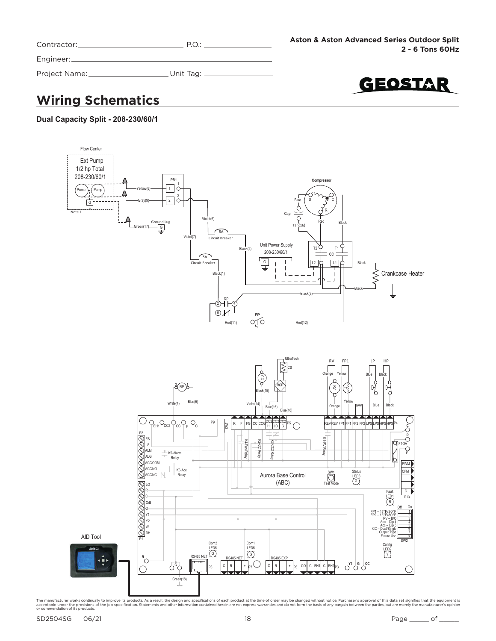| Contractor:   | PO:         |  |
|---------------|-------------|--|
| Engineer:     |             |  |
| Project Name: | . Unit Tag: |  |

GEOSTAR

## **Wiring Schematics**

#### **Dual Capacity Split - 208-230/60/1**

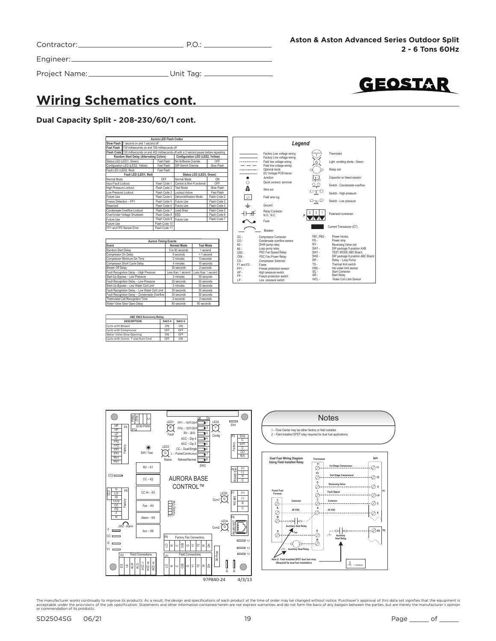| Contractor:     | $\mathsf{P}\cap\cdot$ |  |
|-----------------|-----------------------|--|
| Engineer:       |                       |  |
| Project Name: _ | . Unit Tag: .         |  |

# GEOSTAR

## **Wiring Schematics cont.**

#### **Dual Capacity Split - 208-230/60/1 cont.**



| <b>ABC SW2 Accessory Relay</b>  |              |              |  |
|---------------------------------|--------------|--------------|--|
| <b>DESCRIPTION</b>              | <b>SW2-4</b> | <b>SW2-5</b> |  |
| Cycle with Blower               | ON           | ON           |  |
| Cycle with Compressor           | OFF          | OFF          |  |
| Water Valve Slow Opening        | ON           | OFF          |  |
| Cycle with Comm. T-stat Hum Cmd | OFF          | ON           |  |

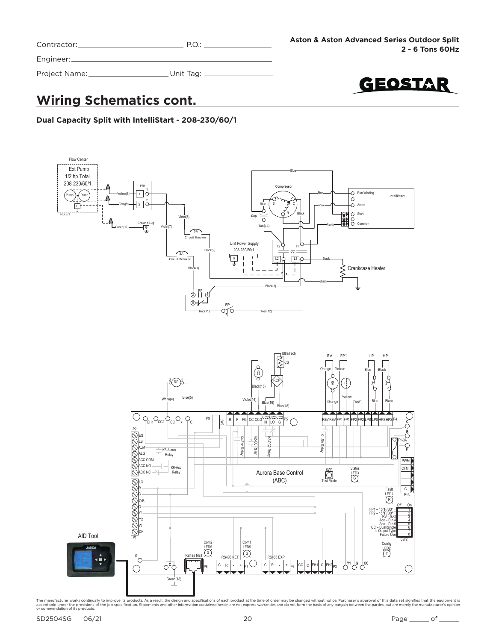| Contractor:   | $P.O$ :   |
|---------------|-----------|
| Engineer:     |           |
| Project Name: | Unit Tag: |

GEOSTAR

## **Wiring Schematics cont.**

**Dual Capacity Split with IntelliStart - 208-230/60/1**

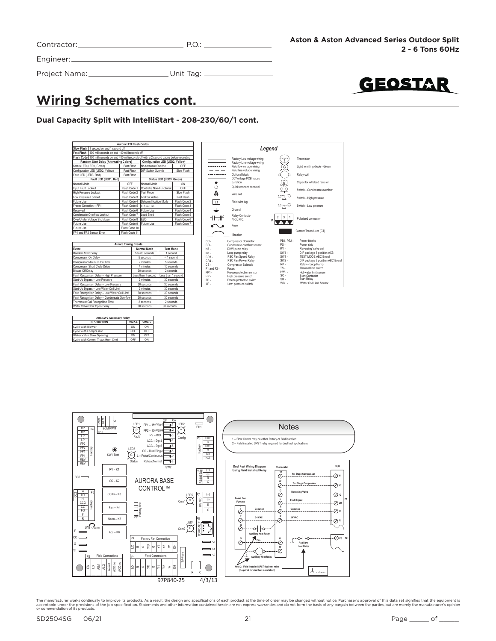| Contractor: |  |
|-------------|--|
|             |  |
|             |  |

Engineer:

Project Name: Unit Tag:



## **Wiring Schematics cont.**

#### **Dual Capacity Split with IntelliStart - 208-230/60/1 cont.**

|                        |                                              | Aurora LED Flash Codes |                                                                                                |              |
|------------------------|----------------------------------------------|------------------------|------------------------------------------------------------------------------------------------|--------------|
|                        | Slow Flash 1 second on and 1 second off      |                        |                                                                                                |              |
| Fast Flash             | 100 milliseconds on and 100 milliseconds off |                        |                                                                                                |              |
|                        |                                              |                        | Flash Code 100 milliseconds on and 400 milliseconds off with a 2 second pause before repeating |              |
|                        | Random Start Delay (Alternating Colors)      |                        | Configuration LED (LED2, Yellow)                                                               |              |
|                        | Status LED (LED1, Green)                     | Fast Flash             | No Software Overide                                                                            | OFF          |
|                        | Configuration LED (LED2, Yellow)             | Fast Flash             | DIP Switch Overide                                                                             | Slow Flash   |
| Fault LED (LED3, Red)  |                                              | Fast Flash             |                                                                                                |              |
|                        | Fault LED (LED1, Red)                        |                        | Status LED (LED3, Green)                                                                       |              |
| Normal Mode            |                                              | OFF                    | Normal Mode<br>ON                                                                              |              |
| Input Fault Lockout    |                                              | Flash Code 1           | Control is Non-Functional                                                                      | OFF          |
| High Pressure Lockout  |                                              | Flash Code 2           | <b>Test Mode</b>                                                                               | Slow Flash   |
| Low Pressure Lockout   |                                              | Flash Code 3           | Lockout Active                                                                                 | Fast Flash   |
| Future Use             |                                              | Flash Code 4           | Dehumidification Mode                                                                          | Flash Code 2 |
| Freeze Detection - FP1 |                                              | Flash Code 5           | Future Use                                                                                     | Flash Code 3 |
| Reserved               |                                              | Flash Code 6           | Future Use                                                                                     | Flash Code 4 |
|                        | Condensate Overflow Lockout                  | Flash Code 7           | Load Shed                                                                                      | Flash Code 5 |
|                        | Over/Under Voltage Shutdown                  | Flash Code 8           | <b>FSD</b>                                                                                     | Flash Code 6 |
| Future Use             |                                              | Flash Code 9           | Future Use                                                                                     | Flash Code 7 |
| Future Use             |                                              | Flash Code 10          |                                                                                                |              |
|                        | FP1 and FP2 Sensor Error                     | Flash Code 11          |                                                                                                |              |

| <b>Aurora Timing Events</b>                    |                    |                    |  |
|------------------------------------------------|--------------------|--------------------|--|
| Event<br>Normal Mode<br><b>Test Mode</b>       |                    |                    |  |
| Random Start Delay                             | 5 to 80 seconds    | 1 second           |  |
| Compressor On Delay                            | 5 seconds          | < 1 second         |  |
| Compressor Minimum On Time                     | 2 minutes          | 5 seconds          |  |
| Compressor Short Cycle Delay                   | 4 minutes          | 15 seconds         |  |
| Blower Off Delay                               | 30 seconds         | 2 seconds          |  |
| Fault Recognition Delay - High Pressure        | Less than 1 second | Less than 1 second |  |
| Start-Up Bypass - Low Pressure                 | 2 minutes          | 30 seconds         |  |
| Fault Recognition Delay - Low Pressure         | 30 seconds         | 30 seconds         |  |
| Start-Up Bypass - Low Water Coil Limit         | 2 minutes          | 30 seconds         |  |
| Fault Recognition Delay - Low Water Coil Limit | 30 seconds         | 30 seconds         |  |
| Fault Recognition Delay - Condensate Overflow  | 30 seconds         | 30 seconds         |  |
| Thermostat Call Recognition Time               | 2 seconds          | 2 seconds          |  |
| Water Valve Slow Open Delav                    | 90 seconds         | 90 seconds         |  |

| <b>ABC SW2 Accessory Relay</b>  |       |       |
|---------------------------------|-------|-------|
| <b>DESCRIPTION</b>              | SW2-4 | SW2-5 |
| Cycle with Blower               | ON    | ON    |
| Cycle with Compressor           | OFF   | OFF   |
| Water Valve Slow Opening        | ON    | OFF   |
| Cycle with Comm. T-stat Hum Cmd | OFF   | ON    |



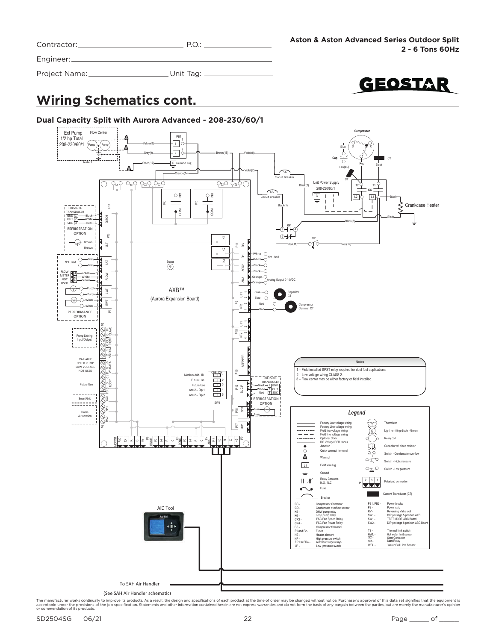| Contractor: |  |
|-------------|--|
|             |  |

Project Name: \_\_\_\_\_\_\_\_\_\_\_\_\_\_\_\_\_\_\_\_\_\_\_\_\_Unit Tag: \_

GEOSTAR

## **Wiring Schematics cont.**

#### **Dual Capacity Split with Aurora Advanced - 208-230/60/1**

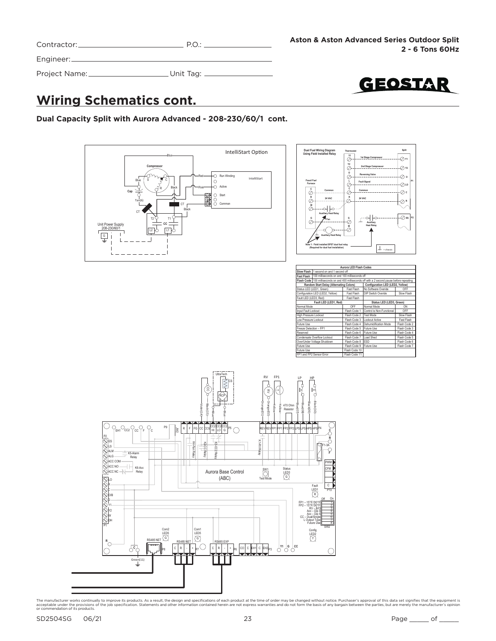| Contractor: _ | PO:       |  |
|---------------|-----------|--|
| Engineer:     |           |  |
| Project Name: | Unit Tag: |  |

GEOSTAR

**P2**

**P1**

## **Wiring Schematics cont.**

**Dual Capacity Split with Aurora Advanced - 208-230/60/1 cont.**



| Aurora LED Flash Codes |                                                         |                          |                                                                                                |              |
|------------------------|---------------------------------------------------------|--------------------------|------------------------------------------------------------------------------------------------|--------------|
|                        | Slow Flash 11 second on and 1 second off                |                          |                                                                                                |              |
|                        | Fast Flash 100 milliseconds on and 100 milliseconds off |                          |                                                                                                |              |
|                        |                                                         |                          | Flash Code 100 milliseconds on and 400 milliseconds off with a 2 second pause before repeating |              |
|                        |                                                         |                          | Random Start Delay (Alternating Colors) Configuration LED (LED2, Yellow)                       |              |
|                        | Status LED (LED1, Green)                                | Fast Flash               | No Software Overide                                                                            | OFF          |
|                        | Configuration LED (LED2, Yellow)                        | Fast Flash               | DIP Switch Overide                                                                             | Slow Flash   |
| Fault LED (LED3, Red)  |                                                         | Fast Flash               |                                                                                                |              |
| Fault LED (LED1, Red)  |                                                         | Status LED (LED3, Green) |                                                                                                |              |
| Normal Mode            |                                                         | OFF                      | Normal Mode                                                                                    | ON           |
| Input Fault Lockout    |                                                         | Flash Code 1             | Control is Non-Functional                                                                      | OFF          |
| High Pressure Lockout  |                                                         | Flash Code 2             | <b>Test Mode</b>                                                                               | Slow Flash   |
| Low Pressure Lockout   |                                                         | Flash Code 3             | Lockout Active                                                                                 | Fast Flash   |
| Future Use             |                                                         | Flash Code 4             | Dehumidification Mode                                                                          | Flash Code 2 |
| Freeze Detection - FP1 |                                                         | Flash Code 5             | Future Use                                                                                     | Flash Code 3 |
| Reserved               |                                                         | Flash Code 6             | Future Use                                                                                     | Flash Code 4 |
|                        | Condensate Overflow Lockout                             | Flash Code 7             | Load Shed                                                                                      | Flash Code 5 |
|                        | Over/Under Voltage Shutdown                             | Flash Code 8             | ESD                                                                                            | Flash Code 6 |
| Future Use             |                                                         | Flash Code 9             | Future Use                                                                                     | Flash Code 7 |
| Future Use             |                                                         | Flash Code 10            |                                                                                                |              |
|                        | FP1 and FP2 Sensor Error                                | Flash Code 11            |                                                                                                |              |

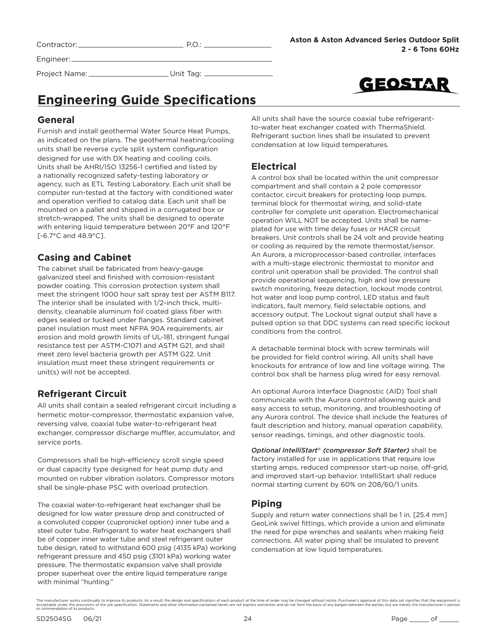Contractor: P.O.:

Engineer:

Project Name: \_\_\_\_\_\_\_\_\_\_\_\_\_\_\_\_\_\_\_\_\_\_\_\_Unit Tag: \_\_



## **Engineering Guide Specifications**

### **General**

Furnish and install geothermal Water Source Heat Pumps, as indicated on the plans. The geothermal heating/cooling units shall be reverse cycle split system configuration designed for use with DX heating and cooling coils. Units shall be AHRI/ISO 13256-1 certified and listed by a nationally recognized safety-testing laboratory or agency, such as ETL Testing Laboratory. Each unit shall be computer run-tested at the factory with conditioned water and operation verified to catalog data. Each unit shall be mounted on a pallet and shipped in a corrugated box or stretch-wrapped. The units shall be designed to operate with entering liquid temperature between 20°F and 120°F [-6.7°C and 48.9°C].

### **Casing and Cabinet**

The cabinet shall be fabricated from heavy-gauge galvanized steel and finished with corrosion-resistant powder coating. This corrosion protection system shall meet the stringent 1000 hour salt spray test per ASTM B117. The interior shall be insulated with 1/2-inch thick, multidensity, cleanable aluminum foil coated glass fiber with edges sealed or tucked under flanges. Standard cabinet panel insulation must meet NFPA 90A requirements, air erosion and mold growth limits of UL-181, stringent fungal resistance test per ASTM-C1071 and ASTM G21, and shall meet zero level bacteria growth per ASTM G22. Unit insulation must meet these stringent requirements or unit(s) will not be accepted.

### **Refrigerant Circuit**

All units shall contain a sealed refrigerant circuit including a hermetic motor-compressor, thermostatic expansion valve, reversing valve, coaxial tube water-to-refrigerant heat exchanger, compressor discharge muffler, accumulator, and service ports.

Compressors shall be high-efficiency scroll single speed or dual capacity type designed for heat pump duty and mounted on rubber vibration isolators. Compressor motors shall be single-phase PSC with overload protection.

The coaxial water-to-refrigerant heat exchanger shall be designed for low water pressure drop and constructed of a convoluted copper (cupronickel option) inner tube and a steel outer tube. Refrigerant to water heat exchangers shall be of copper inner water tube and steel refrigerant outer tube design, rated to withstand 600 psig (4135 kPa) working refrigerant pressure and 450 psig (3101 kPa) working water pressure. The thermostatic expansion valve shall provide proper superheat over the entire liquid temperature range with minimal "hunting."

All units shall have the source coaxial tube refrigerantto-water heat exchanger coated with ThermaShield. Refrigerant suction lines shall be insulated to prevent condensation at low liquid temperatures.

### **Electrical**

A control box shall be located within the unit compressor compartment and shall contain a 2 pole compressor contactor, circuit breakers for protecting loop pumps, terminal block for thermostat wiring, and solid-state controller for complete unit operation. Electromechanical operation WILL NOT be accepted. Units shall be nameplated for use with time delay fuses or HACR circuit breakers. Unit controls shall be 24 volt and provide heating or cooling as required by the remote thermostat/sensor. An Aurora, a microprocessor-based controller, interfaces with a multi-stage electronic thermostat to monitor and control unit operation shall be provided. The control shall provide operational sequencing, high and low pressure switch monitoring, freeze detection, lockout mode control, hot water and loop pump control, LED status and fault indicators, fault memory, field selectable options, and accessory output. The Lockout signal output shall have a pulsed option so that DDC systems can read specific lockout conditions from the control.

A detachable terminal block with screw terminals will be provided for field control wiring. All units shall have knockouts for entrance of low and line voltage wiring. The control box shall be harness plug wired for easy removal.

An optional Aurora Interface Diagnostic (AID) Tool shall communicate with the Aurora control allowing quick and easy access to setup, monitoring, and troubleshooting of any Aurora control. The device shall include the features of fault description and history, manual operation capability, sensor readings, timings, and other diagnostic tools.

*Optional IntelliStart® (compressor Soft Starter)* shall be factory installed for use in applications that require low starting amps, reduced compressor start-up noise, off-grid, and improved start-up behavior. IntelliStart shall reduce normal starting current by 60% on 208/60/1 units.

### **Piping**

Supply and return water connections shall be 1 in. [25.4 mm] GeoLink swivel fittings, which provide a union and eliminate the need for pipe wrenches and sealants when making field connections. All water piping shall be insulated to prevent condensation at low liquid temperatures.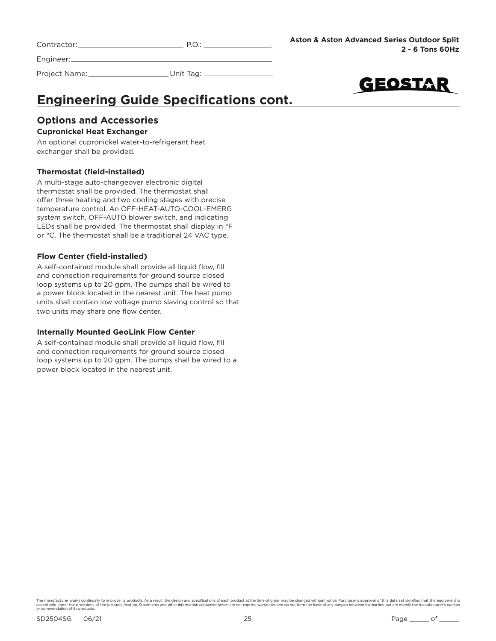| Contractor: |  |
|-------------|--|
|             |  |

Project Name: Unit Tag: \_



## **Engineering Guide Specifications cont.**

#### **Options and Accessories Cupronickel Heat Exchanger**

An optional cupronickel water-to-refrigerant heat exchanger shall be provided.

#### **Thermostat (field-installed)**

A multi-stage auto-changeover electronic digital thermostat shall be provided. The thermostat shall offer three heating and two cooling stages with precise temperature control. An OFF-HEAT-AUTO-COOL-EMERG system switch, OFF-AUTO blower switch, and indicating LEDs shall be provided. The thermostat shall display in °F or °C. The thermostat shall be a traditional 24 VAC type.

#### **Flow Center (field-installed)**

A self-contained module shall provide all liquid flow, fill and connection requirements for ground source closed loop systems up to 20 gpm. The pumps shall be wired to a power block located in the nearest unit. The heat pump units shall contain low voltage pump slaving control so that two units may share one flow center.

#### **Internally Mounted GeoLink Flow Center**

A self-contained module shall provide all liquid flow, fill and connection requirements for ground source closed loop systems up to 20 gpm. The pumps shall be wired to a power block located in the nearest unit.